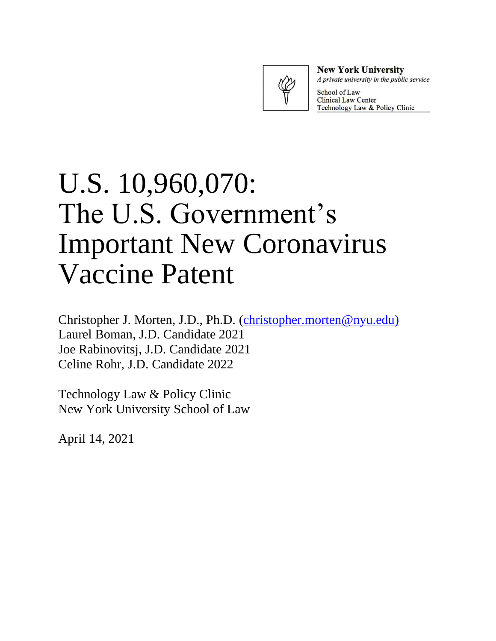

**New York University** A private university in the public service

School of Law **Clinical Law Center** Technology Law & Policy Clinic

# U.S. 10,960,070: The U.S. Government's Important New Coronavirus Vaccine Patent

Christopher J. Morten, J.D., Ph.D. [\(christopher.morten@nyu.edu\)](mailto:christopher.morten@nyu.edu) Laurel Boman, J.D. Candidate 2021 Joe Rabinovitsj, J.D. Candidate 2021 Celine Rohr, J.D. Candidate 2022

Technology Law & Policy Clinic New York University School of Law

April 14, 2021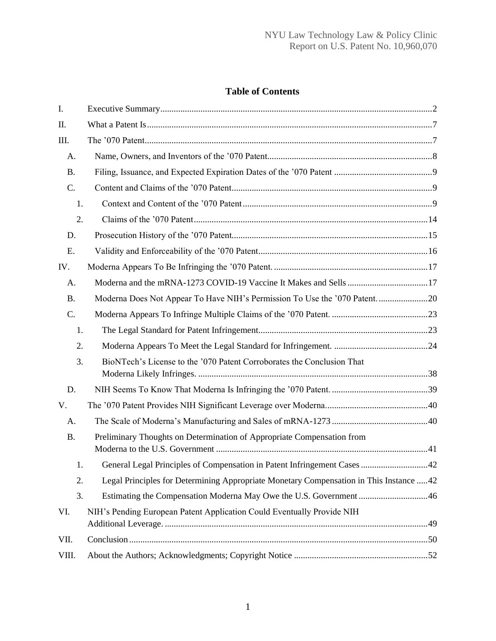# **Table of Contents**

| I.        |                                                                                         |
|-----------|-----------------------------------------------------------------------------------------|
| Π.        |                                                                                         |
| III.      |                                                                                         |
| A.        |                                                                                         |
| <b>B.</b> |                                                                                         |
| C.        |                                                                                         |
| 1.        |                                                                                         |
| 2.        |                                                                                         |
| D.        |                                                                                         |
| Ε.        |                                                                                         |
| IV.       |                                                                                         |
| A.        |                                                                                         |
| <b>B.</b> |                                                                                         |
| C.        |                                                                                         |
| 1.        |                                                                                         |
| 2.        |                                                                                         |
| 3.        | BioNTech's License to the '070 Patent Corroborates the Conclusion That                  |
| D.        |                                                                                         |
| V.        |                                                                                         |
| A.        |                                                                                         |
| <b>B.</b> | Preliminary Thoughts on Determination of Appropriate Compensation from                  |
| Ι.        | General Legal Principles of Compensation in Patent Infringement Cases 42                |
| 2.        | Legal Principles for Determining Appropriate Monetary Compensation in This Instance  42 |
| 3.        | Estimating the Compensation Moderna May Owe the U.S. Government 46                      |
| VI.       | NIH's Pending European Patent Application Could Eventually Provide NIH                  |
| VII.      |                                                                                         |
| VIII.     |                                                                                         |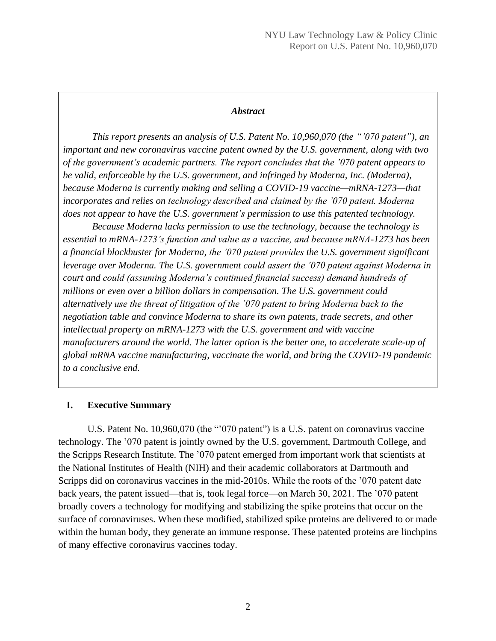#### *Abstract*

*This report presents an analysis of U.S. Patent No. 10,960,070 (the "'070 patent"), an important and new coronavirus vaccine patent owned by the U.S. government, along with two of the government's academic partners. The report concludes that the '070 patent appears to be valid, enforceable by the U.S. government, and infringed by Moderna, Inc. (Moderna), because Moderna is currently making and selling a COVID-19 vaccine—mRNA-1273—that incorporates and relies on technology described and claimed by the '070 patent. Moderna does not appear to have the U.S. government's permission to use this patented technology.* 

*Because Moderna lacks permission to use the technology, because the technology is essential to mRNA-1273's function and value as a vaccine, and because mRNA-1273 has been a financial blockbuster for Moderna, the '070 patent provides the U.S. government significant leverage over Moderna. The U.S. government could assert the '070 patent against Moderna in court and could (assuming Moderna's continued financial success) demand hundreds of millions or even over a billion dollars in compensation. The U.S. government could alternatively use the threat of litigation of the '070 patent to bring Moderna back to the negotiation table and convince Moderna to share its own patents, trade secrets, and other intellectual property on mRNA-1273 with the U.S. government and with vaccine manufacturers around the world. The latter option is the better one, to accelerate scale-up of global mRNA vaccine manufacturing, vaccinate the world, and bring the COVID-19 pandemic to a conclusive end.*

## <span id="page-2-0"></span>**I. Executive Summary**

U.S. Patent No. 10,960,070 (the "'070 patent") is a U.S. patent on coronavirus vaccine technology. The '070 patent is jointly owned by the U.S. government, Dartmouth College, and the Scripps Research Institute. The '070 patent emerged from important work that scientists at the National Institutes of Health (NIH) and their academic collaborators at Dartmouth and Scripps did on coronavirus vaccines in the mid-2010s. While the roots of the '070 patent date back years, the patent issued—that is, took legal force—on March 30, 2021. The '070 patent broadly covers a technology for modifying and stabilizing the spike proteins that occur on the surface of coronaviruses. When these modified, stabilized spike proteins are delivered to or made within the human body, they generate an immune response. These patented proteins are linchpins of many effective coronavirus vaccines today.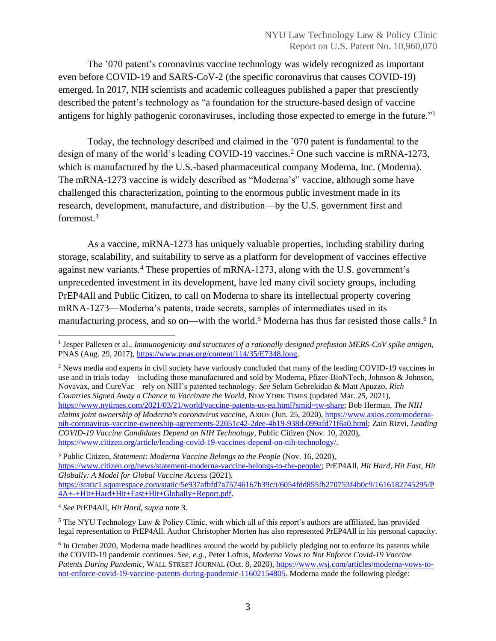The '070 patent's coronavirus vaccine technology was widely recognized as important even before COVID-19 and SARS-CoV-2 (the specific coronavirus that causes COVID-19) emerged. In 2017, NIH scientists and academic colleagues published a paper that presciently described the patent's technology as "a foundation for the structure-based design of vaccine antigens for highly pathogenic coronaviruses, including those expected to emerge in the future."<sup>1</sup>

Today, the technology described and claimed in the '070 patent is fundamental to the design of many of the world's leading COVID-19 vaccines.<sup>2</sup> One such vaccine is mRNA-1273, which is manufactured by the U.S.-based pharmaceutical company Moderna, Inc. (Moderna). The mRNA-1273 vaccine is widely described as "Moderna's" vaccine, although some have challenged this characterization, pointing to the enormous public investment made in its research, development, manufacture, and distribution—by the U.S. government first and foremost. 3

As a vaccine, mRNA-1273 has uniquely valuable properties, including stability during storage, scalability, and suitability to serve as a platform for development of vaccines effective against new variants.<sup>4</sup> These properties of mRNA-1273, along with the U.S. government's unprecedented investment in its development, have led many civil society groups, including PrEP4All and Public Citizen, to call on Moderna to share its intellectual property covering mRNA-1273—Moderna's patents, trade secrets, samples of intermediates used in its manufacturing process, and so on—with the world.<sup>5</sup> Moderna has thus far resisted those calls.<sup>6</sup> In

<sup>3</sup> Public Citizen, *Statement: Moderna Vaccine Belongs to the People* (Nov. 16, 2020), [https://www.citizen.org/news/statement-moderna-vaccine-belongs-to-the-people/;](https://www.citizen.org/news/statement-moderna-vaccine-belongs-to-the-people/) PrEP4All, *Hit Hard, Hit Fast, Hit Globally: A Model for Global Vaccine Access* (2021), [https://static1.squarespace.com/static/5e937afbfd7a75746167b39c/t/6054fdd855fb270753f4b0c9/1616182745295/P](https://static1.squarespace.com/static/5e937afbfd7a75746167b39c/t/6054fdd855fb270753f4b0c9/1616182745295/P4A+-+Hit+Hard+Hit+Fast+Hit+Globally+Report.pdf) [4A+-+Hit+Hard+Hit+Fast+Hit+Globally+Report.pdf.](https://static1.squarespace.com/static/5e937afbfd7a75746167b39c/t/6054fdd855fb270753f4b0c9/1616182745295/P4A+-+Hit+Hard+Hit+Fast+Hit+Globally+Report.pdf)

<sup>4</sup> *See* PrEP4All, *Hit Hard*, *supra* note 3.

<sup>5</sup> The NYU Technology Law & Policy Clinic, with which all of this report's authors are affiliated, has provided legal representation to PrEP4All. Author Christopher Morten has also represented PrEP4All in his personal capacity.

<sup>1</sup> Jesper Pallesen et al., *Immunogenicity and structures of a rationally designed prefusion MERS-CoV spike antigen*, PNAS (Aug. 29, 2017), [https://www.pnas.org/content/114/35/E7348.long.](https://www.pnas.org/content/114/35/E7348.long)

<sup>2</sup> News media and experts in civil society have variously concluded that many of the leading COVID-19 vaccines in use and in trials today—including those manufactured and sold by Moderna, Pfizer-BioNTech, Johnson & Johnson, Novavax, and CureVac—rely on NIH's patented technology. *See* Selam Gebrekidan & Matt Apuzzo, *Rich Countries Signed Away a Chance to Vaccinate the World,* NEW YORK TIMES (updated Mar. 25, 2021), [https://www.nytimes.com/2021/03/21/world/vaccine-patents-us-eu.html?smid=tw-share;](https://www.nytimes.com/2021/03/21/world/vaccine-patents-us-eu.html?smid=tw-share) Bob Herman, *The NIH claims joint ownership of Moderna's coronavirus vaccine*, AXIOS (Jun. 25, 2020), [https://www.axios.com/moderna](https://www.axios.com/moderna-nih-coronavirus-vaccine-ownership-agreements-22051c42-2dee-4b19-938d-099afd71f6a0.html)[nih-coronavirus-vaccine-ownership-agreements-22051c42-2dee-4b19-938d-099afd71f6a0.html;](https://www.axios.com/moderna-nih-coronavirus-vaccine-ownership-agreements-22051c42-2dee-4b19-938d-099afd71f6a0.html) Zain Rizvi, *Leading COVID-19 Vaccine Candidates Depend on NIH Technology*, Public Citizen (Nov. 10, 2020), [https://www.citizen.org/article/leading-covid-19-vaccines-depend-on-nih-technology/.](https://www.citizen.org/article/leading-covid-19-vaccines-depend-on-nih-technology/)

<sup>&</sup>lt;sup>6</sup> In October 2020, Moderna made headlines around the world by publicly pledging not to enforce its patents while the COVID-19 pandemic continues. *See, e.g.*, Peter Loftus, *Moderna Vows to Not Enforce Covid-19 Vaccine Patents During Pandemic*, WALL STREET JOURNAL (Oct. 8, 2020), [https://www.wsj.com/articles/moderna-vows-to](https://www.wsj.com/articles/moderna-vows-to-not-enforce-covid-19-vaccine-patents-during-pandemic-11602154805)[not-enforce-covid-19-vaccine-patents-during-pandemic-11602154805.](https://www.wsj.com/articles/moderna-vows-to-not-enforce-covid-19-vaccine-patents-during-pandemic-11602154805) Moderna made the following pledge: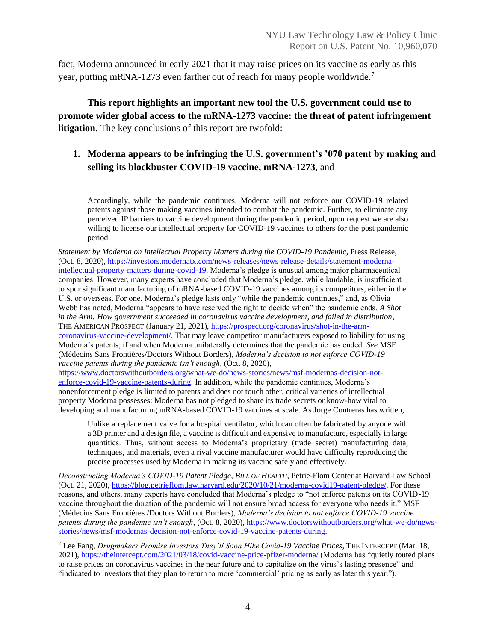fact, Moderna announced in early 2021 that it may raise prices on its vaccine as early as this year, putting mRNA-1273 even farther out of reach for many people worldwide.<sup>7</sup>

**This report highlights an important new tool the U.S. government could use to promote wider global access to the mRNA-1273 vaccine: the threat of patent infringement litigation**. The key conclusions of this report are twofold:

# **1. Moderna appears to be infringing the U.S. government's '070 patent by making and selling its blockbuster COVID-19 vaccine, mRNA-1273**, and

*Statement by Moderna on Intellectual Property Matters during the COVID-19 Pandemic*, Press Release, (Oct. 8, 2020), [https://investors.modernatx.com/news-releases/news-release-details/statement-moderna](https://investors.modernatx.com/news-releases/news-release-details/statement-moderna-intellectual-property-matters-during-covid-19)[intellectual-property-matters-during-covid-19.](https://investors.modernatx.com/news-releases/news-release-details/statement-moderna-intellectual-property-matters-during-covid-19) Moderna's pledge is unusual among major pharmaceutical companies. However, many experts have concluded that Moderna's pledge, while laudable, is insufficient to spur significant manufacturing of mRNA-based COVID-19 vaccines among its competitors, either in the U.S. or overseas. For one, Moderna's pledge lasts only "while the pandemic continues," and, as Olivia Webb has noted, Moderna "appears to have reserved the right to decide when" the pandemic ends. *A Shot in the Arm: How government succeeded in coronavirus vaccine development, and failed in distribution*, THE AMERICAN PROSPECT (January 21, 2021)[, https://prospect.org/coronavirus/shot-in-the-arm](https://prospect.org/coronavirus/shot-in-the-arm-coronavirus-vaccine-development/)[coronavirus-vaccine-development/.](https://prospect.org/coronavirus/shot-in-the-arm-coronavirus-vaccine-development/) That may leave competitor manufacturers exposed to liability for using Moderna's patents, if and when Moderna unilaterally determines that the pandemic has ended. *See* MSF (Médecins Sans Frontières/Doctors Without Borders), *Moderna's decision to not enforce COVID-19 vaccine patents during the pandemic isn't enough*, (Oct. 8, 2020), [https://www.doctorswithoutborders.org/what-we-do/news-stories/news/msf-modernas-decision-not-](https://www.doctorswithoutborders.org/what-we-do/news-stories/news/msf-modernas-decision-not-enforce-covid-19-vaccine-patents-during)

[enforce-covid-19-vaccine-patents-during.](https://www.doctorswithoutborders.org/what-we-do/news-stories/news/msf-modernas-decision-not-enforce-covid-19-vaccine-patents-during) In addition, while the pandemic continues, Moderna's nonenforcement pledge is limited to patents and does not touch other, critical varieties of intellectual property Moderna possesses: Moderna has not pledged to share its trade secrets or know-how vital to developing and manufacturing mRNA-based COVID-19 vaccines at scale. As Jorge Contreras has written,

Unlike a replacement valve for a hospital ventilator, which can often be fabricated by anyone with a 3D printer and a design file, a vaccine is difficult and expensive to manufacture, especially in large quantities. Thus, without access to Moderna's proprietary (trade secret) manufacturing data, techniques, and materials, even a rival vaccine manufacturer would have difficulty reproducing the precise processes used by Moderna in making its vaccine safely and effectively.

*Deconstructing Moderna's COVID-19 Patent Pledge*, *BILL OF HEALTH*, Petrie-Flom Center at Harvard Law School (Oct. 21, 2020), [https://blog.petrieflom.law.harvard.edu/2020/10/21/moderna-covid19-patent-pledge/.](https://blog.petrieflom.law.harvard.edu/2020/10/21/moderna-covid19-patent-pledge/) For these reasons, and others, many experts have concluded that Moderna's pledge to "not enforce patents on its COVID-19 vaccine throughout the duration of the pandemic will not ensure broad access for everyone who needs it." MSF (Médecins Sans Frontières /Doctors Without Borders), *Moderna's decision to not enforce COVID-19 vaccine patents during the pandemic isn't enough*, (Oct. 8, 2020)[, https://www.doctorswithoutborders.org/what-we-do/news](https://www.doctorswithoutborders.org/what-we-do/news-stories/news/msf-modernas-decision-not-enforce-covid-19-vaccine-patents-during)[stories/news/msf-modernas-decision-not-enforce-covid-19-vaccine-patents-during.](https://www.doctorswithoutborders.org/what-we-do/news-stories/news/msf-modernas-decision-not-enforce-covid-19-vaccine-patents-during)

<sup>7</sup> Lee Fang, *Drugmakers Promise Investors They'll Soon Hike Covid-19 Vaccine Prices*, THE INTERCEPT (Mar. 18, 2021),<https://theintercept.com/2021/03/18/covid-vaccine-price-pfizer-moderna/> (Moderna has "quietly touted plans to raise prices on coronavirus vaccines in the near future and to capitalize on the virus's lasting presence" and "indicated to investors that they plan to return to more 'commercial' pricing as early as later this year.").

Accordingly, while the pandemic continues, Moderna will not enforce our COVID-19 related patents against those making vaccines intended to combat the pandemic. Further, to eliminate any perceived IP barriers to vaccine development during the pandemic period, upon request we are also willing to license our intellectual property for COVID-19 vaccines to others for the post pandemic period.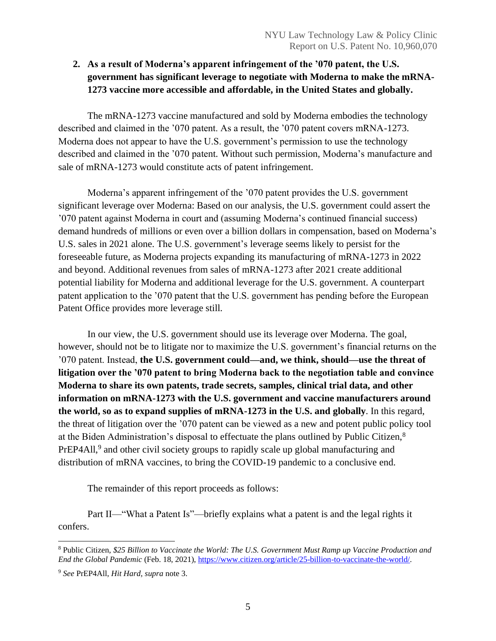# **2. As a result of Moderna's apparent infringement of the '070 patent, the U.S. government has significant leverage to negotiate with Moderna to make the mRNA-1273 vaccine more accessible and affordable, in the United States and globally.**

The mRNA-1273 vaccine manufactured and sold by Moderna embodies the technology described and claimed in the '070 patent. As a result, the '070 patent covers mRNA-1273. Moderna does not appear to have the U.S. government's permission to use the technology described and claimed in the '070 patent. Without such permission, Moderna's manufacture and sale of mRNA-1273 would constitute acts of patent infringement.

Moderna's apparent infringement of the '070 patent provides the U.S. government significant leverage over Moderna: Based on our analysis, the U.S. government could assert the '070 patent against Moderna in court and (assuming Moderna's continued financial success) demand hundreds of millions or even over a billion dollars in compensation, based on Moderna's U.S. sales in 2021 alone. The U.S. government's leverage seems likely to persist for the foreseeable future, as Moderna projects expanding its manufacturing of mRNA-1273 in 2022 and beyond. Additional revenues from sales of mRNA-1273 after 2021 create additional potential liability for Moderna and additional leverage for the U.S. government. A counterpart patent application to the '070 patent that the U.S. government has pending before the European Patent Office provides more leverage still.

In our view, the U.S. government should use its leverage over Moderna. The goal, however, should not be to litigate nor to maximize the U.S. government's financial returns on the '070 patent. Instead, **the U.S. government could—and, we think, should—use the threat of litigation over the '070 patent to bring Moderna back to the negotiation table and convince Moderna to share its own patents, trade secrets, samples, clinical trial data, and other information on mRNA-1273 with the U.S. government and vaccine manufacturers around the world, so as to expand supplies of mRNA-1273 in the U.S. and globally**. In this regard, the threat of litigation over the '070 patent can be viewed as a new and potent public policy tool at the Biden Administration's disposal to effectuate the plans outlined by Public Citizen,<sup>8</sup> PrEP4All,<sup>9</sup> and other civil society groups to rapidly scale up global manufacturing and distribution of mRNA vaccines, to bring the COVID-19 pandemic to a conclusive end.

The remainder of this report proceeds as follows:

Part II—"What a Patent Is"—briefly explains what a patent is and the legal rights it confers.

<sup>8</sup> Public Citizen, *\$25 Billion to Vaccinate the World: The U.S. Government Must Ramp up Vaccine Production and End the Global Pandemic* (Feb. 18, 2021)[, https://www.citizen.org/article/25-billion-to-vaccinate-the-world/.](https://www.citizen.org/article/25-billion-to-vaccinate-the-world/)

<sup>9</sup> *See* PrEP4All, *Hit Hard*, *supra* note 3.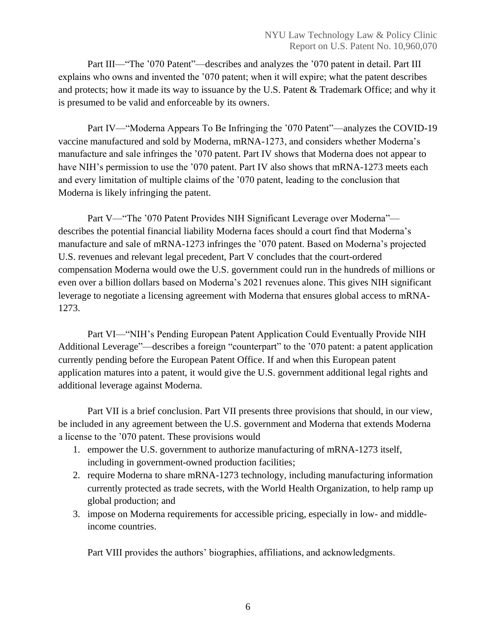Part III—"The '070 Patent"—describes and analyzes the '070 patent in detail. Part III explains who owns and invented the '070 patent; when it will expire; what the patent describes and protects; how it made its way to issuance by the U.S. Patent & Trademark Office; and why it is presumed to be valid and enforceable by its owners.

Part IV—"Moderna Appears To Be Infringing the '070 Patent"—analyzes the COVID-19 vaccine manufactured and sold by Moderna, mRNA-1273, and considers whether Moderna's manufacture and sale infringes the '070 patent. Part IV shows that Moderna does not appear to have NIH's permission to use the '070 patent. Part IV also shows that mRNA-1273 meets each and every limitation of multiple claims of the '070 patent, leading to the conclusion that Moderna is likely infringing the patent.

Part V—"The '070 Patent Provides NIH Significant Leverage over Moderna" describes the potential financial liability Moderna faces should a court find that Moderna's manufacture and sale of mRNA-1273 infringes the '070 patent. Based on Moderna's projected U.S. revenues and relevant legal precedent, Part V concludes that the court-ordered compensation Moderna would owe the U.S. government could run in the hundreds of millions or even over a billion dollars based on Moderna's 2021 revenues alone. This gives NIH significant leverage to negotiate a licensing agreement with Moderna that ensures global access to mRNA-1273.

Part VI—"NIH's Pending European Patent Application Could Eventually Provide NIH Additional Leverage"—describes a foreign "counterpart" to the '070 patent: a patent application currently pending before the European Patent Office. If and when this European patent application matures into a patent, it would give the U.S. government additional legal rights and additional leverage against Moderna.

Part VII is a brief conclusion. Part VII presents three provisions that should, in our view, be included in any agreement between the U.S. government and Moderna that extends Moderna a license to the '070 patent. These provisions would

- 1. empower the U.S. government to authorize manufacturing of mRNA-1273 itself, including in government-owned production facilities;
- 2. require Moderna to share mRNA-1273 technology, including manufacturing information currently protected as trade secrets, with the World Health Organization, to help ramp up global production; and
- 3. impose on Moderna requirements for accessible pricing, especially in low- and middleincome countries.

Part VIII provides the authors' biographies, affiliations, and acknowledgments.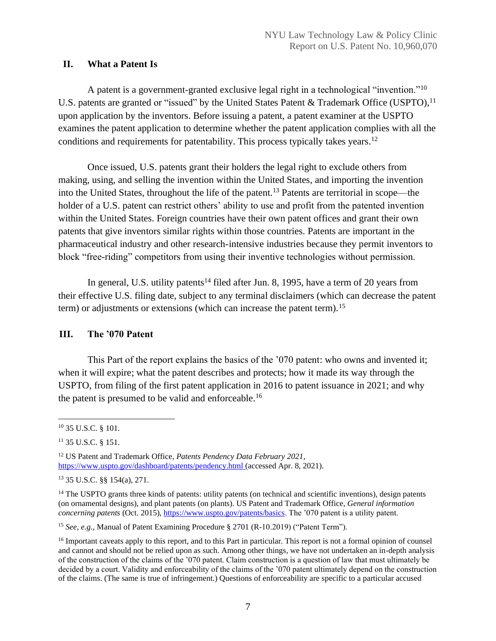# <span id="page-7-0"></span>**II. What a Patent Is**

A patent is a government-granted exclusive legal right in a technological "invention."<sup>10</sup> U.S. patents are granted or "issued" by the United States Patent & Trademark Office (USPTO),<sup>11</sup> upon application by the inventors. Before issuing a patent, a patent examiner at the USPTO examines the patent application to determine whether the patent application complies with all the conditions and requirements for patentability. This process typically takes years. 12

Once issued, U.S. patents grant their holders the legal right to exclude others from making, using, and selling the invention within the United States, and importing the invention into the United States, throughout the life of the patent.<sup>13</sup> Patents are territorial in scope—the holder of a U.S. patent can restrict others' ability to use and profit from the patented invention within the United States. Foreign countries have their own patent offices and grant their own patents that give inventors similar rights within those countries. Patents are important in the pharmaceutical industry and other research-intensive industries because they permit inventors to block "free-riding" competitors from using their inventive technologies without permission.

In general, U.S. utility patents<sup>14</sup> filed after Jun. 8, 1995, have a term of 20 years from their effective U.S. filing date, subject to any terminal disclaimers (which can decrease the patent term) or adjustments or extensions (which can increase the patent term).<sup>15</sup>

# <span id="page-7-1"></span>**III. The '070 Patent**

This Part of the report explains the basics of the '070 patent: who owns and invented it; when it will expire; what the patent describes and protects; how it made its way through the USPTO, from filing of the first patent application in 2016 to patent issuance in 2021; and why the patent is presumed to be valid and enforceable. 16

<sup>10</sup> 35 U.S.C. § 101.

<sup>11</sup> 35 U.S.C. § 151.

<sup>12</sup> US Patent and Trademark Office, *Patents Pendency Data February 2021*, <https://www.uspto.gov/dashboard/patents/pendency.html> (accessed Apr. 8, 2021).

<sup>13</sup> 35 U.S.C. §§ 154(a), 271.

<sup>&</sup>lt;sup>14</sup> The USPTO grants three kinds of patents: utility patents (on technical and scientific inventions), design patents (on ornamental designs), and plant patents (on plants). US Patent and Trademark Office, *General information concerning patents* (Oct. 2015), [https://www.uspto.gov/patents/basics.](https://www.uspto.gov/patents/basics) The '070 patent is a utility patent.

<sup>15</sup> *See, e.g.*, Manual of Patent Examining Procedure § 2701 (R-10.2019) ("Patent Term").

<sup>&</sup>lt;sup>16</sup> Important caveats apply to this report, and to this Part in particular. This report is not a formal opinion of counsel and cannot and should not be relied upon as such. Among other things, we have not undertaken an in-depth analysis of the construction of the claims of the '070 patent. Claim construction is a question of law that must ultimately be decided by a court. Validity and enforceability of the claims of the '070 patent ultimately depend on the construction of the claims. (The same is true of infringement.) Questions of enforceability are specific to a particular accused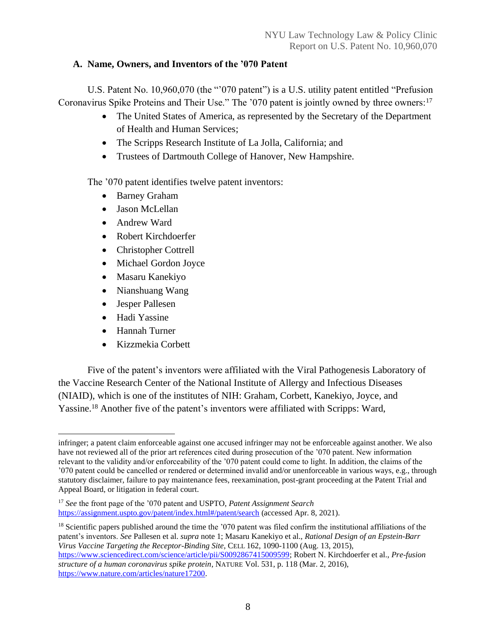# <span id="page-8-0"></span>**A. Name, Owners, and Inventors of the '070 Patent**

U.S. Patent No. 10,960,070 (the "'070 patent") is a U.S. utility patent entitled "Prefusion Coronavirus Spike Proteins and Their Use." The '070 patent is jointly owned by three owners:<sup>17</sup>

- The United States of America, as represented by the Secretary of the Department of Health and Human Services;
- The Scripps Research Institute of La Jolla, California; and
- Trustees of Dartmouth College of Hanover, New Hampshire.

The '070 patent identifies twelve patent inventors:

- Barney Graham
- Jason McLellan
- Andrew Ward
- Robert Kirchdoerfer
- Christopher Cottrell
- Michael Gordon Joyce
- Masaru Kanekiyo
- Nianshuang Wang
- Jesper Pallesen
- Hadi Yassine
- Hannah Turner
- Kizzmekia Corbett

Five of the patent's inventors were affiliated with the Viral Pathogenesis Laboratory of the Vaccine Research Center of the National Institute of Allergy and Infectious Diseases (NIAID), which is one of the institutes of NIH: Graham, Corbett, Kanekiyo, Joyce, and Yassine.<sup>18</sup> Another five of the patent's inventors were affiliated with Scripps: Ward,

infringer; a patent claim enforceable against one accused infringer may not be enforceable against another. We also have not reviewed all of the prior art references cited during prosecution of the '070 patent. New information relevant to the validity and/or enforceability of the '070 patent could come to light. In addition, the claims of the '070 patent could be cancelled or rendered or determined invalid and/or unenforceable in various ways, e.g., through statutory disclaimer, failure to pay maintenance fees, reexamination, post-grant proceeding at the Patent Trial and Appeal Board, or litigation in federal court.

<sup>17</sup> *See* the front page of the '070 patent and USPTO, *Patent Assignment Search* <https://assignment.uspto.gov/patent/index.html#/patent/search> (accessed Apr. 8, 2021).

<sup>&</sup>lt;sup>18</sup> Scientific papers published around the time the '070 patent was filed confirm the institutional affiliations of the patent's inventors. *See* Pallesen et al. *supra* note 1; Masaru Kanekiyo et al., *Rational Design of an Epstein-Barr Virus Vaccine Targeting the Receptor-Binding Site*, CELL 162, 1090-1100 (Aug. 13, 2015), [https://www.sciencedirect.com/science/article/pii/S0092867415009599;](https://www.sciencedirect.com/science/article/pii/S0092867415009599) Robert N. Kirchdoerfer et al., *Pre-fusion structure of a human coronavirus spike protein*, NATURE Vol. 531, p. 118 (Mar. 2, 2016), [https://www.nature.com/articles/nature17200.](https://www.nature.com/articles/nature17200)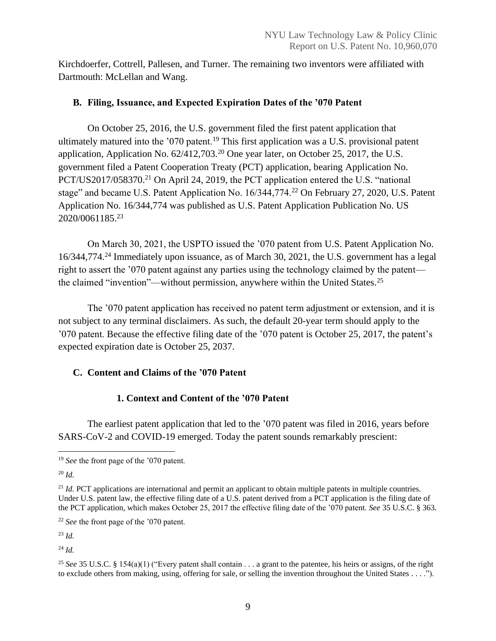Kirchdoerfer, Cottrell, Pallesen, and Turner. The remaining two inventors were affiliated with Dartmouth: McLellan and Wang.

# <span id="page-9-0"></span>**B. Filing, Issuance, and Expected Expiration Dates of the '070 Patent**

On October 25, 2016, the U.S. government filed the first patent application that ultimately matured into the  $1070$  patent.<sup>19</sup> This first application was a U.S. provisional patent application, Application No. 62/412,703.<sup>20</sup> One year later, on October 25, 2017, the U.S. government filed a Patent Cooperation Treaty (PCT) application, bearing Application No. PCT/US2017/058370.<sup>21</sup> On April 24, 2019, the PCT application entered the U.S. "national stage" and became U.S. Patent Application No. 16/344,774.<sup>22</sup> On February 27, 2020, U.S. Patent Application No. 16/344,774 was published as U.S. Patent Application Publication No. US 2020/0061185.<sup>23</sup>

On March 30, 2021, the USPTO issued the '070 patent from U.S. Patent Application No. 16/344,774. <sup>24</sup> Immediately upon issuance, as of March 30, 2021, the U.S. government has a legal right to assert the '070 patent against any parties using the technology claimed by the patent the claimed "invention"—without permission, anywhere within the United States.<sup>25</sup>

The '070 patent application has received no patent term adjustment or extension, and it is not subject to any terminal disclaimers. As such, the default 20-year term should apply to the '070 patent. Because the effective filing date of the '070 patent is October 25, 2017, the patent's expected expiration date is October 25, 2037.

# <span id="page-9-1"></span>**C. Content and Claims of the '070 Patent**

# **1. Context and Content of the '070 Patent**

<span id="page-9-2"></span>The earliest patent application that led to the '070 patent was filed in 2016, years before SARS-CoV-2 and COVID-19 emerged. Today the patent sounds remarkably prescient:

<sup>20</sup> *Id.*

<sup>22</sup> *See* the front page of the '070 patent.

<sup>23</sup> *Id.*

<sup>24</sup> *Id.*

<sup>&</sup>lt;sup>19</sup> *See* the front page of the '070 patent.

<sup>&</sup>lt;sup>21</sup> *Id.* PCT applications are international and permit an applicant to obtain multiple patents in multiple countries. Under U.S. patent law, the effective filing date of a U.S. patent derived from a PCT application is the filing date of the PCT application, which makes October 25, 2017 the effective filing date of the '070 patent. *See* 35 U.S.C. § 363.

<sup>25</sup> *See* 35 U.S.C. § 154(a)(1) ("Every patent shall contain . . . a grant to the patentee, his heirs or assigns, of the right to exclude others from making, using, offering for sale, or selling the invention throughout the United States . . . .").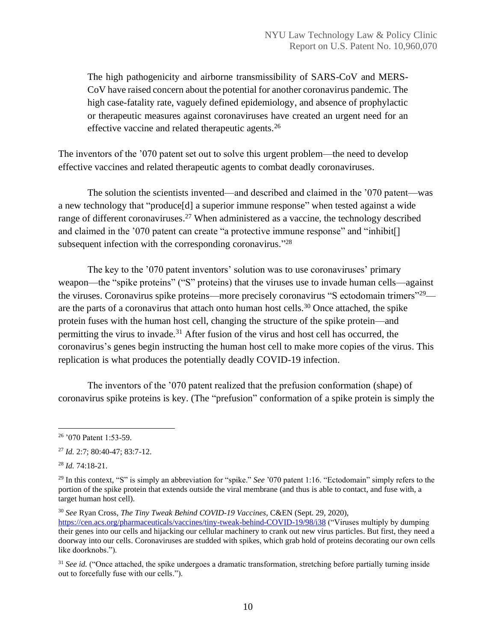The high pathogenicity and airborne transmissibility of SARS-CoV and MERS-CoV have raised concern about the potential for another coronavirus pandemic. The high case-fatality rate, vaguely defined epidemiology, and absence of prophylactic or therapeutic measures against coronaviruses have created an urgent need for an effective vaccine and related therapeutic agents.<sup>26</sup>

The inventors of the '070 patent set out to solve this urgent problem—the need to develop effective vaccines and related therapeutic agents to combat deadly coronaviruses.

The solution the scientists invented—and described and claimed in the '070 patent—was a new technology that "produce[d] a superior immune response" when tested against a wide range of different coronaviruses.<sup>27</sup> When administered as a vaccine, the technology described and claimed in the '070 patent can create "a protective immune response" and "inhibit[] subsequent infection with the corresponding coronavirus."<sup>28</sup>

The key to the '070 patent inventors' solution was to use coronaviruses' primary weapon—the "spike proteins" ("S" proteins) that the viruses use to invade human cells—against the viruses. Coronavirus spike proteins—more precisely coronavirus "S ectodomain trimers"<sup>29</sup> are the parts of a coronavirus that attach onto human host cells.<sup>30</sup> Once attached, the spike protein fuses with the human host cell, changing the structure of the spike protein—and permitting the virus to invade.<sup>31</sup> After fusion of the virus and host cell has occurred, the coronavirus's genes begin instructing the human host cell to make more copies of the virus. This replication is what produces the potentially deadly COVID-19 infection.

The inventors of the '070 patent realized that the prefusion conformation (shape) of coronavirus spike proteins is key. (The "prefusion" conformation of a spike protein is simply the

<sup>28</sup> *Id.* 74:18-21.

<sup>30</sup> *See* Ryan Cross, *The Tiny Tweak Behind COVID-19 Vaccines*, C&EN (Sept. 29, 2020),

<sup>26</sup> '070 Patent 1:53-59.

<sup>27</sup> *Id.* 2:7; 80:40-47; 83:7-12.

<sup>29</sup> In this context, "S" is simply an abbreviation for "spike." *See* '070 patent 1:16. "Ectodomain" simply refers to the portion of the spike protein that extends outside the viral membrane (and thus is able to contact, and fuse with, a target human host cell).

<https://cen.acs.org/pharmaceuticals/vaccines/tiny-tweak-behind-COVID-19/98/i38> ("Viruses multiply by dumping their genes into our cells and hijacking our cellular machinery to crank out new virus particles. But first, they need a doorway into our cells. Coronaviruses are studded with spikes, which grab hold of proteins decorating our own cells like doorknobs.").

<sup>&</sup>lt;sup>31</sup> *See id.* ("Once attached, the spike undergoes a dramatic transformation, stretching before partially turning inside out to forcefully fuse with our cells.").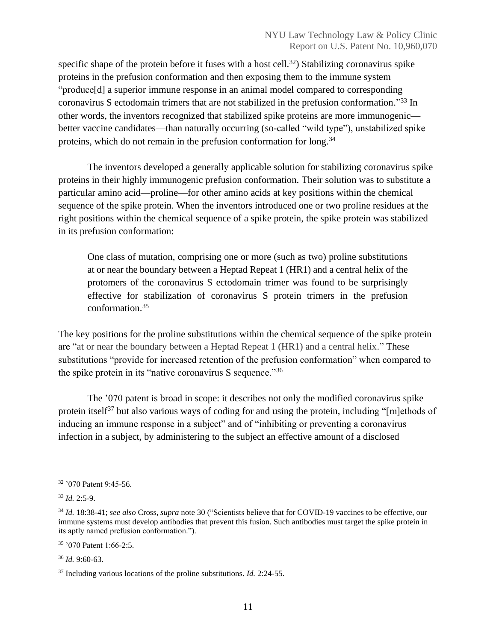specific shape of the protein before it fuses with a host cell.<sup>32</sup>) Stabilizing coronavirus spike proteins in the prefusion conformation and then exposing them to the immune system "produce[d] a superior immune response in an animal model compared to corresponding coronavirus S ectodomain trimers that are not stabilized in the prefusion conformation." <sup>33</sup> In other words, the inventors recognized that stabilized spike proteins are more immunogenic better vaccine candidates—than naturally occurring (so-called "wild type"), unstabilized spike proteins, which do not remain in the prefusion conformation for long.<sup>34</sup>

The inventors developed a generally applicable solution for stabilizing coronavirus spike proteins in their highly immunogenic prefusion conformation. Their solution was to substitute a particular amino acid—proline—for other amino acids at key positions within the chemical sequence of the spike protein. When the inventors introduced one or two proline residues at the right positions within the chemical sequence of a spike protein, the spike protein was stabilized in its prefusion conformation:

One class of mutation, comprising one or more (such as two) proline substitutions at or near the boundary between a Heptad Repeat 1 (HR1) and a central helix of the protomers of the coronavirus S ectodomain trimer was found to be surprisingly effective for stabilization of coronavirus S protein trimers in the prefusion conformation. 35

The key positions for the proline substitutions within the chemical sequence of the spike protein are "at or near the boundary between a Heptad Repeat 1 (HR1) and a central helix." These substitutions "provide for increased retention of the prefusion conformation" when compared to the spike protein in its "native coronavirus S sequence."<sup>36</sup>

The '070 patent is broad in scope: it describes not only the modified coronavirus spike protein itself<sup>37</sup> but also various ways of coding for and using the protein, including "[m]ethods of inducing an immune response in a subject" and of "inhibiting or preventing a coronavirus infection in a subject, by administering to the subject an effective amount of a disclosed

<sup>35</sup> '070 Patent 1:66-2:5.

<sup>36</sup> *Id.* 9:60-63.

<sup>32</sup> '070 Patent 9:45-56.

<sup>33</sup> *Id.* 2:5-9.

<sup>34</sup> *Id.* 18:38-41; *see also* Cross, *supra* note 30 ("Scientists believe that for COVID-19 vaccines to be effective, our immune systems must develop antibodies that prevent this fusion. Such antibodies must target the spike protein in its aptly named prefusion conformation.").

<sup>37</sup> Including various locations of the proline substitutions. *Id.* 2:24-55.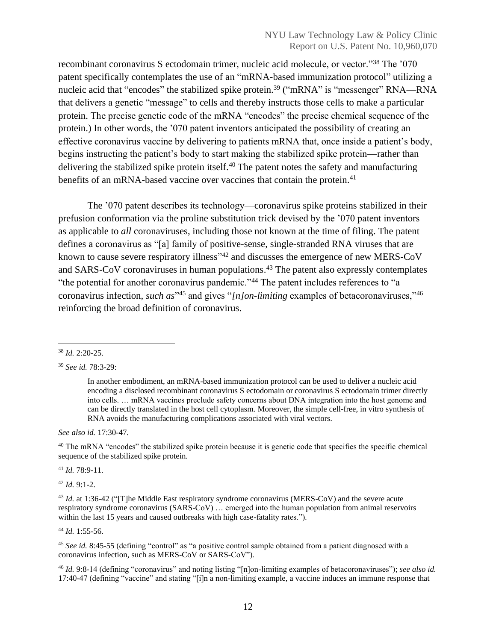recombinant coronavirus S ectodomain trimer, nucleic acid molecule, or vector."<sup>38</sup> The '070 patent specifically contemplates the use of an "mRNA-based immunization protocol" utilizing a nucleic acid that "encodes" the stabilized spike protein.<sup>39</sup> ("mRNA" is "messenger" RNA—RNA that delivers a genetic "message" to cells and thereby instructs those cells to make a particular protein. The precise genetic code of the mRNA "encodes" the precise chemical sequence of the protein.) In other words, the '070 patent inventors anticipated the possibility of creating an effective coronavirus vaccine by delivering to patients mRNA that, once inside a patient's body, begins instructing the patient's body to start making the stabilized spike protein—rather than delivering the stabilized spike protein itself.<sup>40</sup> The patent notes the safety and manufacturing benefits of an mRNA-based vaccine over vaccines that contain the protein.<sup>41</sup>

The '070 patent describes its technology—coronavirus spike proteins stabilized in their prefusion conformation via the proline substitution trick devised by the '070 patent inventors as applicable to *all* coronaviruses, including those not known at the time of filing. The patent defines a coronavirus as "[a] family of positive-sense, single-stranded RNA viruses that are known to cause severe respiratory illness<sup>142</sup> and discusses the emergence of new MERS-CoV and SARS-CoV coronaviruses in human populations.<sup>43</sup> The patent also expressly contemplates "the potential for another coronavirus pandemic."<sup>44</sup> The patent includes references to "a coronavirus infection, *such as*" <sup>45</sup> and gives "*[n]on-limiting* examples of betacoronaviruses,"<sup>46</sup> reinforcing the broad definition of coronavirus.

*See also id.* 17:30-47.

<sup>40</sup> The mRNA "encodes" the stabilized spike protein because it is genetic code that specifies the specific chemical sequence of the stabilized spike protein.

<sup>41</sup> *Id.* 78:9-11.

<sup>42</sup> *Id.* 9:1-2.

<sup>43</sup> *Id.* at 1:36-42 ("[T]he Middle East respiratory syndrome coronavirus (MERS-CoV) and the severe acute respiratory syndrome coronavirus (SARS-CoV) … emerged into the human population from animal reservoirs within the last 15 years and caused outbreaks with high case-fatality rates.").

<sup>44</sup> *Id.* 1:55-56.

<sup>45</sup> See id. 8:45-55 (defining "control" as "a positive control sample obtained from a patient diagnosed with a coronavirus infection, such as MERS-CoV or SARS-CoV").

<sup>46</sup> *Id.* 9:8-14 (defining "coronavirus" and noting listing "[n]on-limiting examples of betacoronaviruses"); *see also id.* 17:40-47 (defining "vaccine" and stating "[i]n a non-limiting example, a vaccine induces an immune response that

<sup>38</sup> *Id.* 2:20-25.

<sup>39</sup> *See id.* 78:3-29:

In another embodiment, an mRNA-based immunization protocol can be used to deliver a nucleic acid encoding a disclosed recombinant coronavirus S ectodomain or coronavirus S ectodomain trimer directly into cells. … mRNA vaccines preclude safety concerns about DNA integration into the host genome and can be directly translated in the host cell cytoplasm. Moreover, the simple cell-free, in vitro synthesis of RNA avoids the manufacturing complications associated with viral vectors.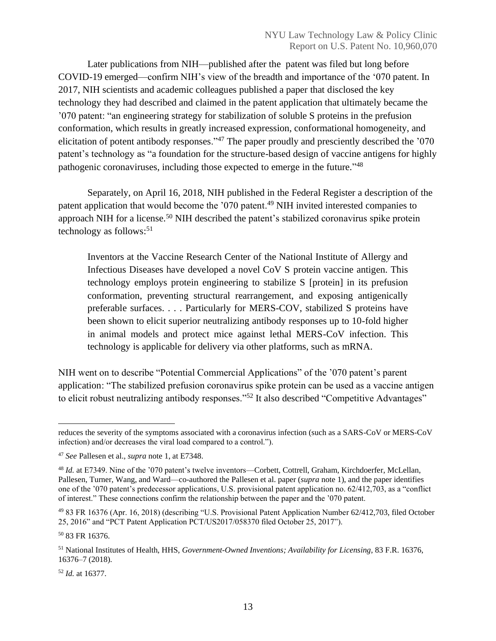Later publications from NIH—published after the patent was filed but long before COVID-19 emerged—confirm NIH's view of the breadth and importance of the '070 patent. In 2017, NIH scientists and academic colleagues published a paper that disclosed the key technology they had described and claimed in the patent application that ultimately became the '070 patent: "an engineering strategy for stabilization of soluble S proteins in the prefusion conformation, which results in greatly increased expression, conformational homogeneity, and elicitation of potent antibody responses."<sup>47</sup> The paper proudly and presciently described the '070 patent's technology as "a foundation for the structure-based design of vaccine antigens for highly pathogenic coronaviruses, including those expected to emerge in the future."<sup>48</sup>

Separately, on April 16, 2018, NIH published in the Federal Register a description of the patent application that would become the '070 patent.<sup>49</sup> NIH invited interested companies to approach NIH for a license.<sup>50</sup> NIH described the patent's stabilized coronavirus spike protein technology as follows: 51

Inventors at the Vaccine Research Center of the National Institute of Allergy and Infectious Diseases have developed a novel CoV S protein vaccine antigen. This technology employs protein engineering to stabilize S [protein] in its prefusion conformation, preventing structural rearrangement, and exposing antigenically preferable surfaces. . . . Particularly for MERS-COV, stabilized S proteins have been shown to elicit superior neutralizing antibody responses up to 10-fold higher in animal models and protect mice against lethal MERS-CoV infection. This technology is applicable for delivery via other platforms, such as mRNA.

NIH went on to describe "Potential Commercial Applications" of the '070 patent's parent application: "The stabilized prefusion coronavirus spike protein can be used as a vaccine antigen to elicit robust neutralizing antibody responses."<sup>52</sup> It also described "Competitive Advantages"

<sup>50</sup> 83 FR 16376.

<sup>52</sup> *Id.* at 16377.

reduces the severity of the symptoms associated with a coronavirus infection (such as a SARS-CoV or MERS-CoV infection) and/or decreases the viral load compared to a control.").

<sup>47</sup> *See* Pallesen et al., *supra* note 1, at E7348.

<sup>48</sup> *Id.* at E7349. Nine of the '070 patent's twelve inventors—Corbett, Cottrell, Graham, Kirchdoerfer, McLellan, Pallesen, Turner, Wang, and Ward—co-authored the Pallesen et al. paper (*supra* note 1), and the paper identifies one of the '070 patent's predecessor applications, U.S. provisional patent application no. 62/412,703, as a "conflict of interest." These connections confirm the relationship between the paper and the '070 patent.

<sup>49</sup> 83 FR 16376 (Apr. 16, 2018) (describing "U.S. Provisional Patent Application Number 62/412,703, filed October 25, 2016" and "PCT Patent Application PCT/US2017/058370 filed October 25, 2017").

<sup>51</sup> National Institutes of Health, HHS, *Government-Owned Inventions; Availability for Licensing*, 83 F.R. 16376, 16376–7 (2018).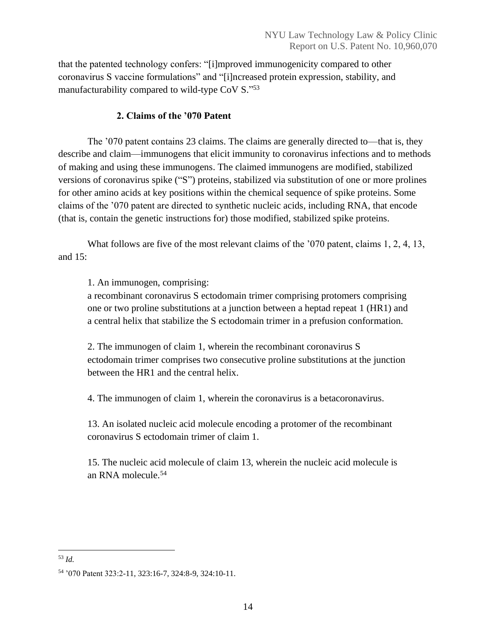that the patented technology confers: "[i]mproved immunogenicity compared to other coronavirus S vaccine formulations" and "[i]ncreased protein expression, stability, and manufacturability compared to wild-type CoV S."53

# **2. Claims of the '070 Patent**

<span id="page-14-0"></span>The '070 patent contains 23 claims. The claims are generally directed to—that is, they describe and claim—immunogens that elicit immunity to coronavirus infections and to methods of making and using these immunogens. The claimed immunogens are modified, stabilized versions of coronavirus spike ("S") proteins, stabilized via substitution of one or more prolines for other amino acids at key positions within the chemical sequence of spike proteins. Some claims of the '070 patent are directed to synthetic nucleic acids, including RNA, that encode (that is, contain the genetic instructions for) those modified, stabilized spike proteins.

What follows are five of the most relevant claims of the '070 patent, claims 1, 2, 4, 13, and  $15$ :

1. An immunogen, comprising:

a recombinant coronavirus S ectodomain trimer comprising protomers comprising one or two proline substitutions at a junction between a heptad repeat 1 (HR1) and a central helix that stabilize the S ectodomain trimer in a prefusion conformation.

2. The immunogen of claim 1, wherein the recombinant coronavirus S ectodomain trimer comprises two consecutive proline substitutions at the junction between the HR1 and the central helix.

4. The immunogen of claim 1, wherein the coronavirus is a betacoronavirus.

13. An isolated nucleic acid molecule encoding a protomer of the recombinant coronavirus S ectodomain trimer of claim 1.

15. The nucleic acid molecule of claim 13, wherein the nucleic acid molecule is an RNA molecule.<sup>54</sup>

<sup>53</sup> *Id.*

<sup>54</sup> '070 Patent 323:2-11, 323:16-7, 324:8-9, 324:10-11.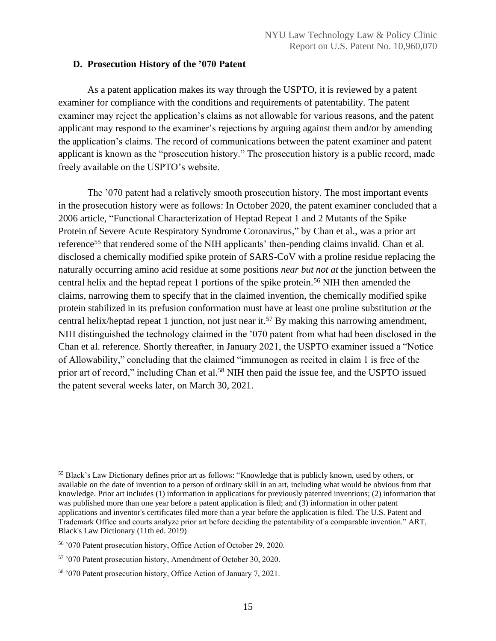#### <span id="page-15-0"></span>**D. Prosecution History of the '070 Patent**

As a patent application makes its way through the USPTO, it is reviewed by a patent examiner for compliance with the conditions and requirements of patentability. The patent examiner may reject the application's claims as not allowable for various reasons, and the patent applicant may respond to the examiner's rejections by arguing against them and/or by amending the application's claims. The record of communications between the patent examiner and patent applicant is known as the "prosecution history." The prosecution history is a public record, made freely available on the USPTO's website.

The '070 patent had a relatively smooth prosecution history. The most important events in the prosecution history were as follows: In October 2020, the patent examiner concluded that a 2006 article, "Functional Characterization of Heptad Repeat 1 and 2 Mutants of the Spike Protein of Severe Acute Respiratory Syndrome Coronavirus," by Chan et al., was a prior art reference<sup>55</sup> that rendered some of the NIH applicants' then-pending claims invalid. Chan et al. disclosed a chemically modified spike protein of SARS-CoV with a proline residue replacing the naturally occurring amino acid residue at some positions *near but not at* the junction between the central helix and the heptad repeat 1 portions of the spike protein.<sup>56</sup> NIH then amended the claims, narrowing them to specify that in the claimed invention, the chemically modified spike protein stabilized in its prefusion conformation must have at least one proline substitution *at* the central helix/heptad repeat 1 junction, not just near it.<sup>57</sup> By making this narrowing amendment, NIH distinguished the technology claimed in the '070 patent from what had been disclosed in the Chan et al. reference. Shortly thereafter, in January 2021, the USPTO examiner issued a "Notice of Allowability," concluding that the claimed "immunogen as recited in claim 1 is free of the prior art of record," including Chan et al.<sup>58</sup> NIH then paid the issue fee, and the USPTO issued the patent several weeks later, on March 30, 2021.

<sup>55</sup> Black's Law Dictionary defines prior art as follows: "Knowledge that is publicly known, used by others, or available on the date of invention to a person of ordinary skill in an art, including what would be obvious from that knowledge. Prior art includes (1) information in applications for previously patented inventions; (2) information that was published more than one year before a patent application is filed; and (3) information in other patent applications and inventor's certificates filed more than a year before the application is filed. The U.S. Patent and Trademark Office and courts analyze prior art before deciding the patentability of a comparable invention." ART, Black's Law Dictionary (11th ed. 2019)

<sup>56</sup> '070 Patent prosecution history, Office Action of October 29, 2020.

<sup>57</sup> '070 Patent prosecution history, Amendment of October 30, 2020.

<sup>58</sup> '070 Patent prosecution history, Office Action of January 7, 2021.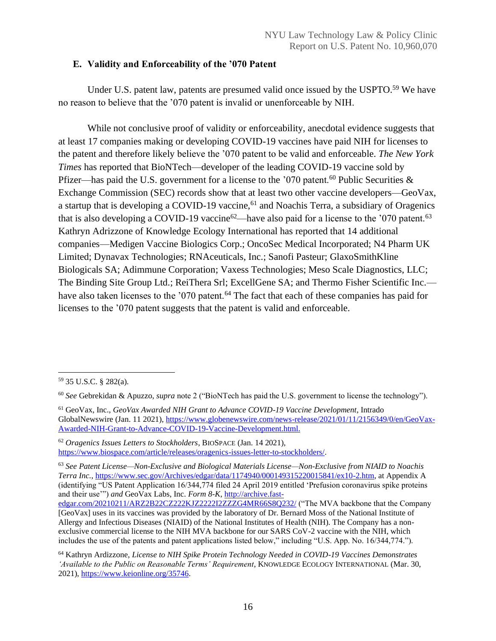## <span id="page-16-0"></span>**E. Validity and Enforceability of the '070 Patent**

Under U.S. patent law, patents are presumed valid once issued by the USPTO.<sup>59</sup> We have no reason to believe that the '070 patent is invalid or unenforceable by NIH.

While not conclusive proof of validity or enforceability, anecdotal evidence suggests that at least 17 companies making or developing COVID-19 vaccines have paid NIH for licenses to the patent and therefore likely believe the '070 patent to be valid and enforceable. *The New York Times* has reported that BioNTech—developer of the leading COVID-19 vaccine sold by Pfizer—has paid the U.S. government for a license to the '070 patent.<sup>60</sup> Public Securities  $\&$ Exchange Commission (SEC) records show that at least two other vaccine developers—GeoVax, a startup that is developing a COVID-19 vaccine,<sup>61</sup> and Noachis Terra, a subsidiary of Oragenics that is also developing a COVID-19 vaccine<sup>62</sup>—have also paid for a license to the '070 patent.<sup>63</sup> Kathryn Adrizzone of Knowledge Ecology International has reported that 14 additional companies—Medigen Vaccine Biologics Corp.; OncoSec Medical Incorporated; N4 Pharm UK Limited; Dynavax Technologies; RNAceuticals, Inc.; Sanofi Pasteur; GlaxoSmithKline Biologicals SA; Adimmune Corporation; Vaxess Technologies; Meso Scale Diagnostics, LLC; The Binding Site Group Ltd.; ReiThera Srl; ExcellGene SA; and Thermo Fisher Scientific Inc. have also taken licenses to the '070 patent.<sup>64</sup> The fact that each of these companies has paid for licenses to the '070 patent suggests that the patent is valid and enforceable.

<sup>63</sup> *See Patent License—Non-Exclusive and Biological Materials License—Non-Exclusive from NIAID to Noachis Terra Inc.*[, https://www.sec.gov/Archives/edgar/data/1174940/000149315220015841/ex10-2.htm,](https://www.sec.gov/Archives/edgar/data/1174940/000149315220015841/ex10-2.htm) at Appendix A (identifying "US Patent Application 16/344,774 filed 24 April 2019 entitled 'Prefusion coronavirus spike proteins and their use'") *and* GeoVax Labs, Inc. *Form 8-K*, [http://archive.fast-](http://archive.fast-edgar.com/20210211/ARZ2B22CZ222KJZ2222I2ZZZG4MR66S8Q232/)

<sup>59</sup> 35 U.S.C. § 282(a).

<sup>60</sup> *See* Gebrekidan & Apuzzo, *supra* note 2 ("BioNTech has paid the U.S. government to license the technology").

<sup>61</sup> GeoVax, Inc., *GeoVax Awarded NIH Grant to Advance COVID-19 Vaccine Development*, Intrado GlobalNewswire (Jan. 11 2021)[, https://www.globenewswire.com/news-release/2021/01/11/2156349/0/en/GeoVax-](https://www.globenewswire.com/news-release/2021/01/11/2156349/0/en/GeoVax-Awarded-NIH-Grant-to-Advance-COVID-19-Vaccine-Development.html)[Awarded-NIH-Grant-to-Advance-COVID-19-Vaccine-Development.html.](https://www.globenewswire.com/news-release/2021/01/11/2156349/0/en/GeoVax-Awarded-NIH-Grant-to-Advance-COVID-19-Vaccine-Development.html)

<sup>62</sup> *Oragenics Issues Letters to Stockholders*, BIOSPACE (Jan. 14 2021), [https://www.biospace.com/article/releases/oragenics-issues-letter-to-stockholders/.](https://www.biospace.com/article/releases/oragenics-issues-letter-to-stockholders/)

[edgar.com/20210211/ARZ2B22CZ222KJZ2222I2ZZZG4MR66S8Q232/](http://archive.fast-edgar.com/20210211/ARZ2B22CZ222KJZ2222I2ZZZG4MR66S8Q232/) ("The MVA backbone that the Company [GeoVax] uses in its vaccines was provided by the laboratory of Dr. Bernard Moss of the National Institute of Allergy and Infectious Diseases (NIAID) of the National Institutes of Health (NIH). The Company has a nonexclusive commercial license to the NIH MVA backbone for our SARS CoV-2 vaccine with the NIH, which includes the use of the patents and patent applications listed below," including "U.S. App. No. 16/344,774.").

<sup>64</sup> Kathryn Ardizzone, *License to NIH Spike Protein Technology Needed in COVID-19 Vaccines Demonstrates 'Available to the Public on Reasonable Terms' Requirement*, KNOWLEDGE ECOLOGY INTERNATIONAL (Mar. 30, 2021), [https://www.keionline.org/35746.](https://www.keionline.org/35746)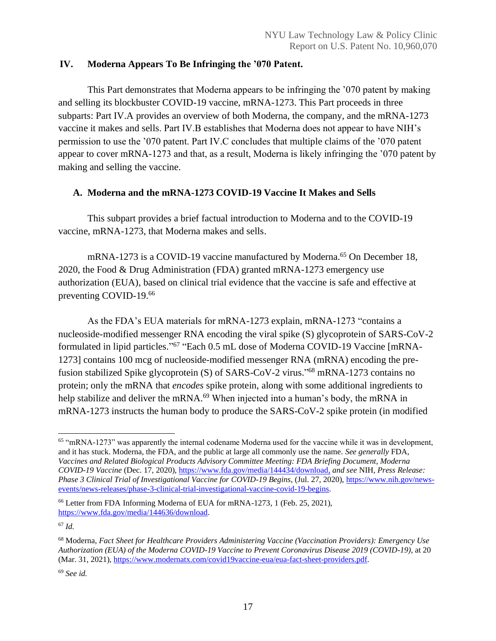# <span id="page-17-0"></span>**IV. Moderna Appears To Be Infringing the '070 Patent.**

This Part demonstrates that Moderna appears to be infringing the '070 patent by making and selling its blockbuster COVID-19 vaccine, mRNA-1273. This Part proceeds in three subparts: Part IV.A provides an overview of both Moderna, the company, and the mRNA-1273 vaccine it makes and sells. Part IV.B establishes that Moderna does not appear to have NIH's permission to use the '070 patent. Part IV.C concludes that multiple claims of the '070 patent appear to cover mRNA-1273 and that, as a result, Moderna is likely infringing the '070 patent by making and selling the vaccine.

# <span id="page-17-1"></span>**A. Moderna and the mRNA-1273 COVID-19 Vaccine It Makes and Sells**

This subpart provides a brief factual introduction to Moderna and to the COVID-19 vaccine, mRNA-1273, that Moderna makes and sells.

mRNA-1273 is a COVID-19 vaccine manufactured by Moderna. <sup>65</sup> On December 18, 2020, the Food & Drug Administration (FDA) granted mRNA-1273 emergency use authorization (EUA), based on clinical trial evidence that the vaccine is safe and effective at preventing COVID-19.<sup>66</sup>

As the FDA's EUA materials for mRNA-1273 explain, mRNA-1273 "contains a nucleoside-modified messenger RNA encoding the viral spike (S) glycoprotein of SARS-CoV-2 formulated in lipid particles."<sup>67</sup> "Each 0.5 mL dose of Moderna COVID-19 Vaccine [mRNA-1273] contains 100 mcg of nucleoside-modified messenger RNA (mRNA) encoding the prefusion stabilized Spike glycoprotein (S) of SARS-CoV-2 virus."<sup>68</sup> mRNA-1273 contains no protein; only the mRNA that *encodes* spike protein, along with some additional ingredients to help stabilize and deliver the mRNA.<sup>69</sup> When injected into a human's body, the mRNA in mRNA-1273 instructs the human body to produce the SARS-CoV-2 spike protein (in modified

<sup>65</sup> "mRNA-1273" was apparently the internal codename Moderna used for the vaccine while it was in development, and it has stuck. Moderna, the FDA, and the public at large all commonly use the name. *See generally* FDA, *Vaccines and Related Biological Products Advisory Committee Meeting: FDA Briefing Document, Moderna COVID-19 Vaccine* (Dec. 17, 2020), [https://www.fda.gov/media/144434/download,](https://www.fda.gov/media/144434/download) *and see* NIH, *Press Release: Phase 3 Clinical Trial of Investigational Vaccine for COVID-19 Begins*, (Jul. 27, 2020), [https://www.nih.gov/news](https://www.nih.gov/news-events/news-releases/phase-3-clinical-trial-investigational-vaccine-covid-19-begins)[events/news-releases/phase-3-clinical-trial-investigational-vaccine-covid-19-begins.](https://www.nih.gov/news-events/news-releases/phase-3-clinical-trial-investigational-vaccine-covid-19-begins) 

<sup>66</sup> Letter from FDA Informing Moderna of EUA for mRNA-1273, 1 (Feb. 25, 2021), [https://www.fda.gov/media/144636/download.](https://www.fda.gov/media/144636/download)

<sup>67</sup> *Id.*

<sup>68</sup> Moderna, *Fact Sheet for Healthcare Providers Administering Vaccine (Vaccination Providers): Emergency Use Authorization (EUA) of the Moderna COVID-19 Vaccine to Prevent Coronavirus Disease 2019 (COVID-19)*, at 20 (Mar. 31, 2021), [https://www.modernatx.com/covid19vaccine-eua/eua-fact-sheet-providers.pdf.](https://www.modernatx.com/covid19vaccine-eua/eua-fact-sheet-providers.pdf)

<sup>69</sup> *See id.*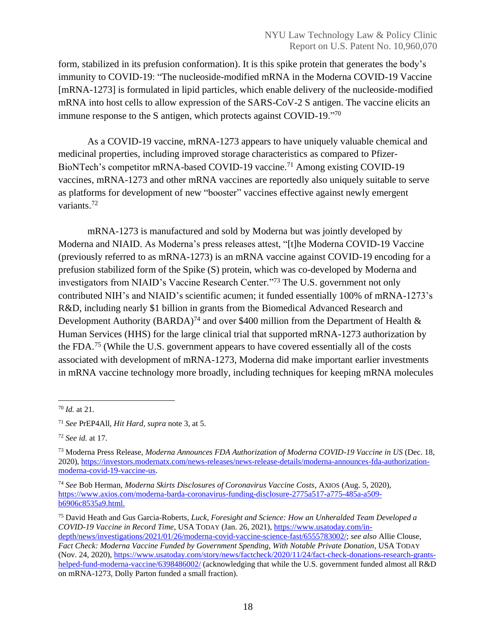form, stabilized in its prefusion conformation). It is this spike protein that generates the body's immunity to COVID-19: "The nucleoside-modified mRNA in the Moderna COVID-19 Vaccine [mRNA-1273] is formulated in lipid particles, which enable delivery of the nucleoside-modified mRNA into host cells to allow expression of the SARS-CoV-2 S antigen. The vaccine elicits an immune response to the S antigen, which protects against COVID-19."<sup>70</sup>

As a COVID-19 vaccine, mRNA-1273 appears to have uniquely valuable chemical and medicinal properties, including improved storage characteristics as compared to Pfizer-BioNTech's competitor mRNA-based COVID-19 vaccine.<sup>71</sup> Among existing COVID-19 vaccines, mRNA-1273 and other mRNA vaccines are reportedly also uniquely suitable to serve as platforms for development of new "booster" vaccines effective against newly emergent variants.<sup>72</sup>

mRNA-1273 is manufactured and sold by Moderna but was jointly developed by Moderna and NIAID. As Moderna's press releases attest, "[t]he Moderna COVID-19 Vaccine (previously referred to as mRNA-1273) is an mRNA vaccine against COVID-19 encoding for a prefusion stabilized form of the Spike (S) protein, which was co-developed by Moderna and investigators from NIAID's Vaccine Research Center." <sup>73</sup> The U.S. government not only contributed NIH's and NIAID's scientific acumen; it funded essentially 100% of mRNA-1273's R&D, including nearly \$1 billion in grants from the Biomedical Advanced Research and Development Authority (BARDA)<sup>74</sup> and over \$400 million from the Department of Health  $\&$ Human Services (HHS) for the large clinical trial that supported mRNA-1273 authorization by the FDA.<sup>75</sup> (While the U.S. government appears to have covered essentially all of the costs associated with development of mRNA-1273, Moderna did make important earlier investments in mRNA vaccine technology more broadly, including techniques for keeping mRNA molecules

<sup>70</sup> *Id.* at 21.

<sup>71</sup> *See* PrEP4All, *Hit Hard*, *supra* note 3, at 5.

<sup>72</sup> *See id.* at 17.

<sup>73</sup> Moderna Press Release, *Moderna Announces FDA Authorization of Moderna COVID-19 Vaccine in US* (Dec. 18, 2020), [https://investors.modernatx.com/news-releases/news-release-details/moderna-announces-fda-authorization](https://investors.modernatx.com/news-releases/news-release-details/moderna-announces-fda-authorization-moderna-covid-19-vaccine-us)[moderna-covid-19-vaccine-us.](https://investors.modernatx.com/news-releases/news-release-details/moderna-announces-fda-authorization-moderna-covid-19-vaccine-us)

<sup>74</sup> *See* Bob Herman, *Moderna Skirts Disclosures of Coronavirus Vaccine Costs*, AXIOS (Aug. 5, 2020), [https://www.axios.com/moderna-barda-coronavirus-funding-disclosure-2775a517-a775-485a-a509](https://www.axios.com/moderna-barda-coronavirus-funding-disclosure-2775a517-a775-485a-a509-b6906c8535a9.html.) [b6906c8535a9.html.](https://www.axios.com/moderna-barda-coronavirus-funding-disclosure-2775a517-a775-485a-a509-b6906c8535a9.html.)

<sup>75</sup> David Heath and Gus Garcia-Roberts, *Luck, Foresight and Science: How an Unheralded Team Developed a COVID-19 Vaccine in Record Time*, USA TODAY (Jan. 26, 2021), [https://www.usatoday.com/in](https://www.usatoday.com/in-depth/news/investigations/2021/01/26/moderna-covid-vaccine-science-fast/6555783002/)[depth/news/investigations/2021/01/26/moderna-covid-vaccine-science-fast/6555783002/;](https://www.usatoday.com/in-depth/news/investigations/2021/01/26/moderna-covid-vaccine-science-fast/6555783002/) *see also* Allie Clouse, *Fact Check: Moderna Vaccine Funded by Government Spending, With Notable Private Donation*, USA TODAY (Nov. 24, 2020), [https://www.usatoday.com/story/news/factcheck/2020/11/24/fact-check-donations-research-grants](https://www.usatoday.com/story/news/factcheck/2020/11/24/fact-check-donations-research-grants-helped-fund-moderna-vaccine/6398486002/)[helped-fund-moderna-vaccine/6398486002/](https://www.usatoday.com/story/news/factcheck/2020/11/24/fact-check-donations-research-grants-helped-fund-moderna-vaccine/6398486002/) (acknowledging that while the U.S. government funded almost all R&D on mRNA-1273, Dolly Parton funded a small fraction).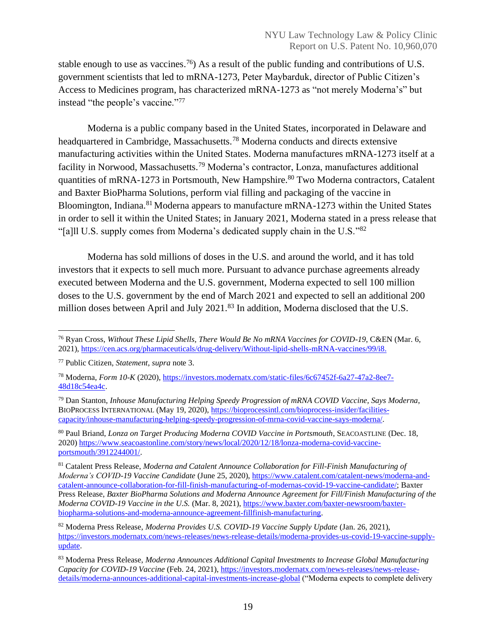stable enough to use as vaccines.<sup>76</sup>) As a result of the public funding and contributions of U.S. government scientists that led to mRNA-1273, Peter Maybarduk, director of Public Citizen's Access to Medicines program, has characterized mRNA-1273 as "not merely Moderna's" but instead "the people's vaccine."<sup>77</sup>

Moderna is a public company based in the United States, incorporated in Delaware and headquartered in Cambridge, Massachusetts.<sup>78</sup> Moderna conducts and directs extensive manufacturing activities within the United States. Moderna manufactures mRNA-1273 itself at a facility in Norwood, Massachusetts.<sup>79</sup> Moderna's contractor, Lonza, manufactures additional quantities of mRNA-1273 in Portsmouth, New Hampshire.<sup>80</sup> Two Moderna contractors, Catalent and Baxter BioPharma Solutions, perform vial filling and packaging of the vaccine in Bloomington, Indiana.<sup>81</sup> Moderna appears to manufacture mRNA-1273 within the United States in order to sell it within the United States; in January 2021, Moderna stated in a press release that "[a]ll U.S. supply comes from Moderna's dedicated supply chain in the U.S."82

Moderna has sold millions of doses in the U.S. and around the world, and it has told investors that it expects to sell much more. Pursuant to advance purchase agreements already executed between Moderna and the U.S. government, Moderna expected to sell 100 million doses to the U.S. government by the end of March 2021 and expected to sell an additional 200 million doses between April and July 2021.<sup>83</sup> In addition, Moderna disclosed that the U.S.

<sup>76</sup> Ryan Cross, *Without These Lipid Shells, There Would Be No mRNA Vaccines for COVID-19*, C&EN (Mar. 6, 2021), [https://cen.acs.org/pharmaceuticals/drug-delivery/Without-lipid-shells-mRNA-vaccines/99/i8.](https://cen.acs.org/pharmaceuticals/drug-delivery/Without-lipid-shells-mRNA-vaccines/99/i8)

<sup>77</sup> Public Citizen, *Statement*, *supra* note 3.

<sup>78</sup> Moderna, *Form 10-K* (2020), [https://investors.modernatx.com/static-files/6c67452f-6a27-47a2-8ee7-](https://investors.modernatx.com/static-files/6c67452f-6a27-47a2-8ee7-48d18c54ea4c) [48d18c54ea4c.](https://investors.modernatx.com/static-files/6c67452f-6a27-47a2-8ee7-48d18c54ea4c)

<sup>79</sup> Dan Stanton, *Inhouse Manufacturing Helping Speedy Progression of mRNA COVID Vaccine, Says Moderna*, BIOPROCESS INTERNATIONAL (May 19, 2020)[, https://bioprocessintl.com/bioprocess-insider/facilities](https://bioprocessintl.com/bioprocess-insider/facilities-capacity/inhouse-manufacturing-helping-speedy-progression-of-mrna-covid-vaccine-says-moderna/)[capacity/inhouse-manufacturing-helping-speedy-progression-of-mrna-covid-vaccine-says-moderna/.](https://bioprocessintl.com/bioprocess-insider/facilities-capacity/inhouse-manufacturing-helping-speedy-progression-of-mrna-covid-vaccine-says-moderna/)

<sup>80</sup> Paul Briand, *Lonza on Target Producing Moderna COVID Vaccine in Portsmouth*, SEACOASTLINE (Dec. 18, 2020) [https://www.seacoastonline.com/story/news/local/2020/12/18/lonza-moderna-covid-vaccine](https://www.seacoastonline.com/story/news/local/2020/12/18/lonza-moderna-covid-vaccine-portsmouth/3912244001/)[portsmouth/3912244001/.](https://www.seacoastonline.com/story/news/local/2020/12/18/lonza-moderna-covid-vaccine-portsmouth/3912244001/)

<sup>81</sup> Catalent Press Release, *Moderna and Catalent Announce Collaboration for Fill-Finish Manufacturing of Moderna's COVID-19 Vaccine Candidate* (June 25, 2020), [https://www.catalent.com/catalent-news/moderna-and](https://www.catalent.com/catalent-news/moderna-and-catalent-announce-collaboration-for-fill-finish-manufacturing-of-modernas-covid-19-vaccine-candidate/)[catalent-announce-collaboration-for-fill-finish-manufacturing-of-modernas-covid-19-vaccine-candidate/;](https://www.catalent.com/catalent-news/moderna-and-catalent-announce-collaboration-for-fill-finish-manufacturing-of-modernas-covid-19-vaccine-candidate/) Baxter Press Release, *Baxter BioPharma Solutions and Moderna Announce Agreement for Fill/Finish Manufacturing of the Moderna COVID-19 Vaccine in the U.S.* (Mar. 8, 2021), [https://www.baxter.com/baxter-newsroom/baxter](https://www.baxter.com/baxter-newsroom/baxter-biopharma-solutions-and-moderna-announce-agreement-fillfinish-manufacturing)[biopharma-solutions-and-moderna-announce-agreement-fillfinish-manufacturing.](https://www.baxter.com/baxter-newsroom/baxter-biopharma-solutions-and-moderna-announce-agreement-fillfinish-manufacturing) 

<sup>82</sup> Moderna Press Release, *Moderna Provides U.S. COVID-19 Vaccine Supply Update* (Jan. 26, 2021), [https://investors.modernatx.com/news-releases/news-release-details/moderna-provides-us-covid-19-vaccine-supply](https://investors.modernatx.com/news-releases/news-release-details/moderna-provides-us-covid-19-vaccine-supply-update)[update.](https://investors.modernatx.com/news-releases/news-release-details/moderna-provides-us-covid-19-vaccine-supply-update)

<sup>83</sup> Moderna Press Release, *Moderna Announces Additional Capital Investments to Increase Global Manufacturing Capacity for COVID-19 Vaccine* (Feb. 24, 2021)[, https://investors.modernatx.com/news-releases/news-release](https://investors.modernatx.com/news-releases/news-release-details/moderna-announces-additional-capital-investments-increase-global)[details/moderna-announces-additional-capital-investments-increase-global](https://investors.modernatx.com/news-releases/news-release-details/moderna-announces-additional-capital-investments-increase-global) ("Moderna expects to complete delivery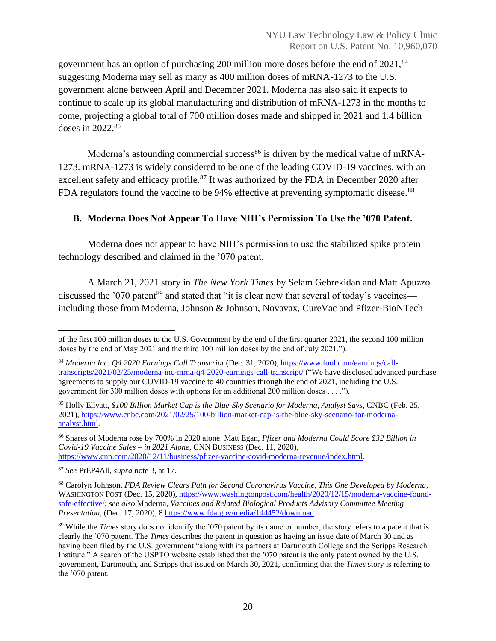government has an option of purchasing 200 million more doses before the end of 2021,<sup>84</sup> suggesting Moderna may sell as many as 400 million doses of mRNA-1273 to the U.S. government alone between April and December 2021. Moderna has also said it expects to continue to scale up its global manufacturing and distribution of mRNA-1273 in the months to come, projecting a global total of 700 million doses made and shipped in 2021 and 1.4 billion doses in 2022.<sup>85</sup>

Moderna's astounding commercial success<sup>86</sup> is driven by the medical value of mRNA-1273. mRNA-1273 is widely considered to be one of the leading COVID-19 vaccines, with an excellent safety and efficacy profile.<sup>87</sup> It was authorized by the FDA in December 2020 after FDA regulators found the vaccine to be 94% effective at preventing symptomatic disease.<sup>88</sup>

# <span id="page-20-0"></span>**B. Moderna Does Not Appear To Have NIH's Permission To Use the '070 Patent.**

Moderna does not appear to have NIH's permission to use the stabilized spike protein technology described and claimed in the '070 patent.

A March 21, 2021 story in *The New York Times* by Selam Gebrekidan and Matt Apuzzo discussed the '070 patent<sup>89</sup> and stated that "it is clear now that several of today's vaccines including those from Moderna, Johnson & Johnson, Novavax, CureVac and Pfizer-BioNTech—

of the first 100 million doses to the U.S. Government by the end of the first quarter 2021, the second 100 million doses by the end of May 2021 and the third 100 million doses by the end of July 2021.").

<sup>84</sup> *Moderna Inc. Q4 2020 Earnings Call Transcript* (Dec. 31, 2020)[, https://www.fool.com/earnings/call](https://www.fool.com/earnings/call-transcripts/2021/02/25/moderna-inc-mrna-q4-2020-earnings-call-transcript/)[transcripts/2021/02/25/moderna-inc-mrna-q4-2020-earnings-call-transcript/](https://www.fool.com/earnings/call-transcripts/2021/02/25/moderna-inc-mrna-q4-2020-earnings-call-transcript/) ("We have disclosed advanced purchase agreements to supply our COVID-19 vaccine to 40 countries through the end of 2021, including the U.S. government for 300 million doses with options for an additional 200 million doses . . . .").

<sup>85</sup> Holly Ellyatt, *\$100 Billion Market Cap is the Blue-Sky Scenario for Moderna, Analyst Says*, CNBC (Feb. 25, 2021), [https://www.cnbc.com/2021/02/25/100-billion-market-cap-is-the-blue-sky-scenario-for-moderna](https://www.cnbc.com/2021/02/25/100-billion-market-cap-is-the-blue-sky-scenario-for-moderna-analyst.html)[analyst.html.](https://www.cnbc.com/2021/02/25/100-billion-market-cap-is-the-blue-sky-scenario-for-moderna-analyst.html)

<sup>86</sup> Shares of Moderna rose by 700% in 2020 alone. Matt Egan, *Pfizer and Moderna Could Score \$32 Billion in Covid-19 Vaccine Sales – in 2021 Alone*, CNN BUSINESS (Dec. 11, 2020), [https://www.cnn.com/2020/12/11/business/pfizer-vaccine-covid-moderna-revenue/index.html.](https://www.cnn.com/2020/12/11/business/pfizer-vaccine-covid-moderna-revenue/index.html)

<sup>87</sup> *See* PrEP4All, *supra* note 3, at 17.

<sup>88</sup> Carolyn Johnson, *FDA Review Clears Path for Second Coronavirus Vaccine, This One Developed by Moderna*, WASHINGTON POST (Dec. 15, 2020), [https://www.washingtonpost.com/health/2020/12/15/moderna-vaccine-found](https://www.washingtonpost.com/health/2020/12/15/moderna-vaccine-found-safe-effective/)[safe-effective/;](https://www.washingtonpost.com/health/2020/12/15/moderna-vaccine-found-safe-effective/) *see also* Moderna, *Vaccines and Related Biological Products Advisory Committee Meeting Presentation*, (Dec. 17, 2020), [8 https://www.fda.gov/media/144452/download.](https://www.fda.gov/media/144452/download)

<sup>89</sup> While the *Times* story does not identify the '070 patent by its name or number, the story refers to a patent that is clearly the '070 patent. The *Times* describes the patent in question as having an issue date of March 30 and as having been filed by the U.S. government "along with its partners at Dartmouth College and the Scripps Research Institute." A search of the USPTO website established that the '070 patent is the only patent owned by the U.S. government, Dartmouth, and Scripps that issued on March 30, 2021, confirming that the *Times* story is referring to the '070 patent.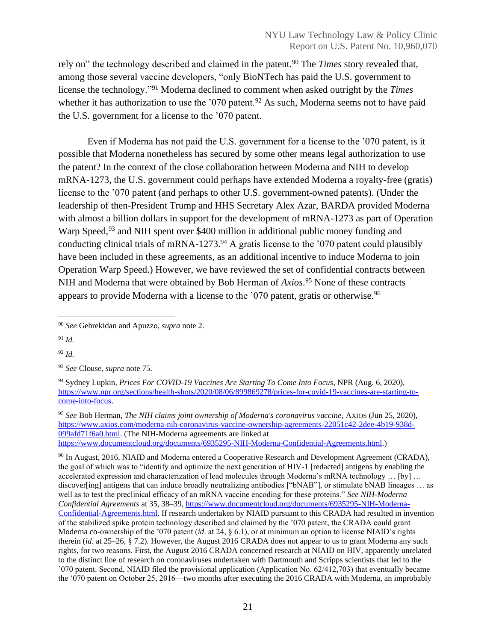rely on" the technology described and claimed in the patent.<sup>90</sup> The *Times* story revealed that, among those several vaccine developers, "only BioNTech has paid the U.S. government to license the technology."<sup>91</sup> Moderna declined to comment when asked outright by the *Times* whether it has authorization to use the '070 patent.<sup>92</sup> As such, Moderna seems not to have paid the U.S. government for a license to the '070 patent.

Even if Moderna has not paid the U.S. government for a license to the '070 patent, is it possible that Moderna nonetheless has secured by some other means legal authorization to use the patent? In the context of the close collaboration between Moderna and NIH to develop mRNA-1273, the U.S. government could perhaps have extended Moderna a royalty-free (gratis) license to the '070 patent (and perhaps to other U.S. government-owned patents). (Under the leadership of then-President Trump and HHS Secretary Alex Azar, BARDA provided Moderna with almost a billion dollars in support for the development of mRNA-1273 as part of Operation Warp Speed,<sup>93</sup> and NIH spent over \$400 million in additional public money funding and conducting clinical trials of mRNA-1273. $94$  A gratis license to the '070 patent could plausibly have been included in these agreements, as an additional incentive to induce Moderna to join Operation Warp Speed.) However, we have reviewed the set of confidential contracts between NIH and Moderna that were obtained by Bob Herman of *Axios*. <sup>95</sup> None of these contracts appears to provide Moderna with a license to the '070 patent, gratis or otherwise.<sup>96</sup>

<sup>91</sup> *Id.*

<sup>92</sup> *Id.*

<sup>95</sup> *See* Bob Herman, *The NIH claims joint ownership of Moderna's coronavirus vaccine*, AXIOS (Jun 25, 2020), [https://www.axios.com/moderna-nih-coronavirus-vaccine-ownership-agreements-22051c42-2dee-4b19-938d-](https://www.axios.com/moderna-nih-coronavirus-vaccine-ownership-agreements-22051c42-2dee-4b19-938d-099afd71f6a0.html)[099afd71f6a0.html.](https://www.axios.com/moderna-nih-coronavirus-vaccine-ownership-agreements-22051c42-2dee-4b19-938d-099afd71f6a0.html) (The NIH-Moderna agreements are linked at [https://www.documentcloud.org/documents/6935295-NIH-Moderna-Confidential-Agreements.html.](https://www.documentcloud.org/documents/6935295-NIH-Moderna-Confidential-Agreements.html))

<sup>96</sup> In August, 2016, NIAID and Moderna entered a Cooperative Research and Development Agreement (CRADA), the goal of which was to "identify and optimize the next generation of HIV-1 [redacted] antigens by enabling the accelerated expression and characterization of lead molecules through Moderna's mRNA technology … [by] … discover[ing] antigens that can induce broadly neutralizing antibodies ["bNAB"], or stimulate bNAB lineages ... as well as to test the preclinical efficacy of an mRNA vaccine encoding for these proteins." *See NIH-Moderna Confidential Agreements* at 35, 38–39, [https://www.documentcloud.org/documents/6935295-NIH-Moderna-](https://www.documentcloud.org/documents/6935295-NIH-Moderna-Confidential-Agreements.html)[Confidential-Agreements.html.](https://www.documentcloud.org/documents/6935295-NIH-Moderna-Confidential-Agreements.html) If research undertaken by NIAID pursuant to this CRADA had resulted in invention of the stabilized spike protein technology described and claimed by the '070 patent, the CRADA could grant Moderna co-ownership of the '070 patent (*id*. at 24, § 6.1), or at minimum an option to license NIAID's rights therein (*id*. at 25–26, § 7.2). However, the August 2016 CRADA does not appear to us to grant Moderna any such rights, for two reasons. First, the August 2016 CRADA concerned research at NIAID on HIV, apparently unrelated to the distinct line of research on coronaviruses undertaken with Dartmouth and Scripps scientists that led to the '070 patent. Second, NIAID filed the provisional application (Application No. 62/412,703) that eventually became the '070 patent on October 25, 2016—two months after executing the 2016 CRADA with Moderna, an improbably

<sup>90</sup> *See* Gebrekidan and Apuzzo, *supra* note 2.

<sup>93</sup> *See* Clouse*, supra* note 75.

<sup>94</sup> Sydney Lupkin, *Prices For COVID-19 Vaccines Are Starting To Come Into Focus*, NPR (Aug. 6, 2020), [https://www.npr.org/sections/health-shots/2020/08/06/899869278/prices-for-covid-19-vaccines-are-starting-to](https://www.npr.org/sections/health-shots/2020/08/06/899869278/prices-for-covid-19-vaccines-are-starting-to-come-into-focus)[come-into-focus.](https://www.npr.org/sections/health-shots/2020/08/06/899869278/prices-for-covid-19-vaccines-are-starting-to-come-into-focus)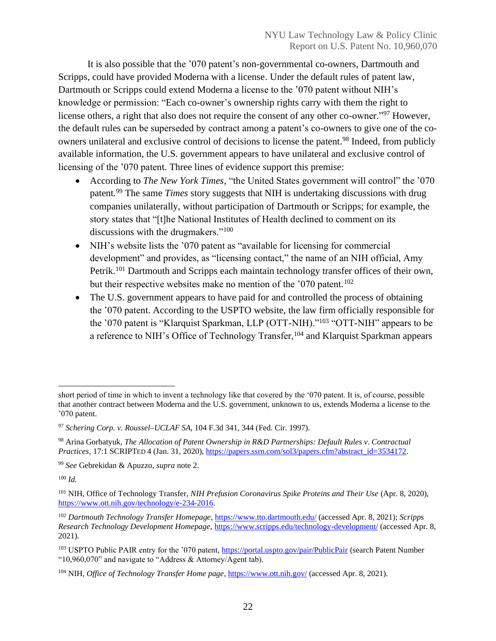It is also possible that the '070 patent's non-governmental co-owners, Dartmouth and Scripps, could have provided Moderna with a license. Under the default rules of patent law, Dartmouth or Scripps could extend Moderna a license to the '070 patent without NIH's knowledge or permission: "Each co-owner's ownership rights carry with them the right to license others, a right that also does not require the consent of any other co-owner."<sup>97</sup> However, the default rules can be superseded by contract among a patent's co-owners to give one of the coowners unilateral and exclusive control of decisions to license the patent. <sup>98</sup> Indeed, from publicly available information, the U.S. government appears to have unilateral and exclusive control of licensing of the '070 patent. Three lines of evidence support this premise:

- According to *The New York Times*, "the United States government will control" the '070 patent.<sup>99</sup> The same *Times* story suggests that NIH is undertaking discussions with drug companies unilaterally, without participation of Dartmouth or Scripps; for example, the story states that "[t]he National Institutes of Health declined to comment on its discussions with the drugmakers."<sup>100</sup>
- NIH's website lists the '070 patent as "available for licensing for commercial development" and provides, as "licensing contact," the name of an NIH official, Amy Petrik.<sup>101</sup> Dartmouth and Scripps each maintain technology transfer offices of their own, but their respective websites make no mention of the '070 patent.<sup>102</sup>
- The U.S. government appears to have paid for and controlled the process of obtaining the '070 patent. According to the USPTO website, the law firm officially responsible for the '070 patent is "Klarquist Sparkman, LLP (OTT-NIH)."<sup>103</sup> "OTT-NIH" appears to be a reference to NIH's Office of Technology Transfer,<sup>104</sup> and Klarquist Sparkman appears

<sup>100</sup> *Id.*

short period of time in which to invent a technology like that covered by the '070 patent. It is, of course, possible that another contract between Moderna and the U.S. government, unknown to us, extends Moderna a license to the '070 patent.

<sup>97</sup> *Schering Corp. v. Roussel–UCLAF SA*, 104 F.3d 341, 344 (Fed. Cir. 1997).

<sup>98</sup> Arina Gorbatyuk, *The Allocation of Patent Ownership in R&D Partnerships: Default Rules v. Contractual Practices,* 17:1 SCRIPTED 4 (Jan. 31, 2020), [https://papers.ssrn.com/sol3/papers.cfm?abstract\\_id=3534172.](https://papers.ssrn.com/sol3/papers.cfm?abstract_id=3534172)

<sup>99</sup> *See* Gebrekidan & Apuzzo, *supra* note 2.

<sup>101</sup> NIH, Office of Technology Transfer, *NIH Prefusion Coronavirus Spike Proteins and Their Use* (Apr. 8, 2020), [https://www.ott.nih.gov/technology/e-234-2016.](https://www.ott.nih.gov/technology/e-234-2016)

<sup>102</sup> *Dartmouth Technology Transfer Homepage*,<https://www.tto.dartmouth.edu/> (accessed Apr. 8, 2021); *Scripps Research Technology Development Homepage,* <https://www.scripps.edu/technology-development/> (accessed Apr. 8, 2021).

<sup>&</sup>lt;sup>103</sup> USPTO Public PAIR entry for the '070 patent,<https://portal.uspto.gov/pair/PublicPair> (search Patent Number "10,960,070" and navigate to "Address & Attorney/Agent tab).

<sup>104</sup> NIH, *Office of Technology Transfer Home page*[, https://www.ott.nih.gov/](https://www.ott.nih.gov/) (accessed Apr. 8, 2021).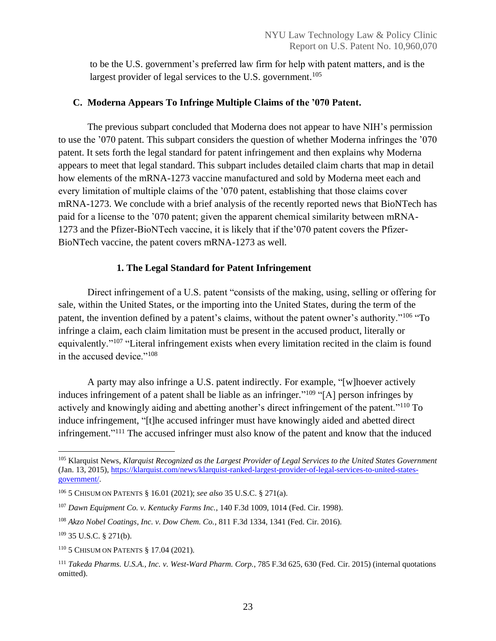to be the U.S. government's preferred law firm for help with patent matters, and is the largest provider of legal services to the U.S. government.<sup>105</sup>

# <span id="page-23-0"></span>**C. Moderna Appears To Infringe Multiple Claims of the '070 Patent.**

The previous subpart concluded that Moderna does not appear to have NIH's permission to use the '070 patent. This subpart considers the question of whether Moderna infringes the '070 patent. It sets forth the legal standard for patent infringement and then explains why Moderna appears to meet that legal standard. This subpart includes detailed claim charts that map in detail how elements of the mRNA-1273 vaccine manufactured and sold by Moderna meet each and every limitation of multiple claims of the '070 patent, establishing that those claims cover mRNA-1273. We conclude with a brief analysis of the recently reported news that BioNTech has paid for a license to the '070 patent; given the apparent chemical similarity between mRNA-1273 and the Pfizer-BioNTech vaccine, it is likely that if the'070 patent covers the Pfizer-BioNTech vaccine, the patent covers mRNA-1273 as well.

# **1. The Legal Standard for Patent Infringement**

<span id="page-23-1"></span>Direct infringement of a U.S. patent "consists of the making, using, selling or offering for sale, within the United States, or the importing into the United States, during the term of the patent, the invention defined by a patent's claims, without the patent owner's authority."<sup>106</sup> "To infringe a claim, each claim limitation must be present in the accused product, literally or equivalently."<sup>107</sup> "Literal infringement exists when every limitation recited in the claim is found in the accused device."<sup>108</sup>

A party may also infringe a U.S. patent indirectly. For example, "[w]hoever actively induces infringement of a patent shall be liable as an infringer."<sup>109</sup> "[A] person infringes by actively and knowingly aiding and abetting another's direct infringement of the patent."<sup>110</sup> To induce infringement, "[t]he accused infringer must have knowingly aided and abetted direct infringement."<sup>111</sup> The accused infringer must also know of the patent and know that the induced

<sup>105</sup> Klarquist News, *Klarquist Recognized as the Largest Provider of Legal Services to the United States Government* (Jan. 13, 2015), [https://klarquist.com/news/klarquist-ranked-largest-provider-of-legal-services-to-united-states](https://klarquist.com/news/klarquist-ranked-largest-provider-of-legal-services-to-united-states-government/)[government/.](https://klarquist.com/news/klarquist-ranked-largest-provider-of-legal-services-to-united-states-government/)

<sup>106</sup> 5 CHISUM ON PATENTS § 16.01 (2021); *see also* 35 U.S.C. § 271(a).

<sup>107</sup> *Dawn Equipment Co. v. Kentucky Farms Inc.*, 140 F.3d 1009, 1014 (Fed. Cir. 1998).

<sup>108</sup> *Akzo Nobel Coatings, Inc. v. Dow Chem. Co.*, 811 F.3d 1334, 1341 (Fed. Cir. 2016).

<sup>109</sup> 35 U.S.C. § 271(b).

<sup>110</sup> 5 CHISUM ON PATENTS § 17.04 (2021).

<sup>111</sup> *Takeda Pharms. U.S.A., Inc. v. West-Ward Pharm. Corp.*, 785 F.3d 625, 630 (Fed. Cir. 2015) (internal quotations omitted).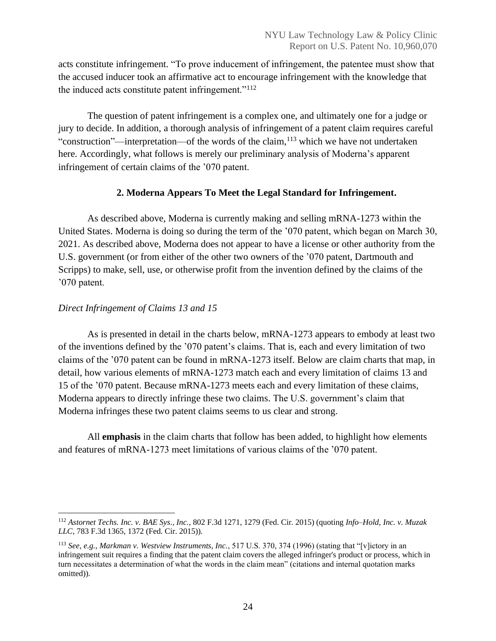acts constitute infringement. "To prove inducement of infringement, the patentee must show that the accused inducer took an affirmative act to encourage infringement with the knowledge that the induced acts constitute patent infringement."<sup>112</sup>

The question of patent infringement is a complex one, and ultimately one for a judge or jury to decide. In addition, a thorough analysis of infringement of a patent claim requires careful "construction"—interpretation—of the words of the claim,<sup>113</sup> which we have not undertaken here. Accordingly, what follows is merely our preliminary analysis of Moderna's apparent infringement of certain claims of the '070 patent.

## **2. Moderna Appears To Meet the Legal Standard for Infringement.**

<span id="page-24-0"></span>As described above, Moderna is currently making and selling mRNA-1273 within the United States. Moderna is doing so during the term of the '070 patent, which began on March 30, 2021. As described above, Moderna does not appear to have a license or other authority from the U.S. government (or from either of the other two owners of the '070 patent, Dartmouth and Scripps) to make, sell, use, or otherwise profit from the invention defined by the claims of the '070 patent.

# *Direct Infringement of Claims 13 and 15*

As is presented in detail in the charts below, mRNA-1273 appears to embody at least two of the inventions defined by the '070 patent's claims. That is, each and every limitation of two claims of the '070 patent can be found in mRNA-1273 itself. Below are claim charts that map, in detail, how various elements of mRNA-1273 match each and every limitation of claims 13 and 15 of the '070 patent. Because mRNA-1273 meets each and every limitation of these claims, Moderna appears to directly infringe these two claims. The U.S. government's claim that Moderna infringes these two patent claims seems to us clear and strong.

All **emphasis** in the claim charts that follow has been added, to highlight how elements and features of mRNA-1273 meet limitations of various claims of the '070 patent.

<sup>112</sup> *Astornet Techs. Inc. v. BAE Sys., Inc.*, 802 F.3d 1271, 1279 (Fed. Cir. 2015) (quoting *Info–Hold, Inc. v. Muzak LLC*, 783 F.3d 1365, 1372 (Fed. Cir. 2015)).

<sup>113</sup> *See, e.g.*, *Markman v. Westview Instruments, Inc.*, 517 U.S. 370, 374 (1996) (stating that "[v]ictory in an infringement suit requires a finding that the patent claim covers the alleged infringer's product or process, which in turn necessitates a determination of what the words in the claim mean" (citations and internal quotation marks omitted)).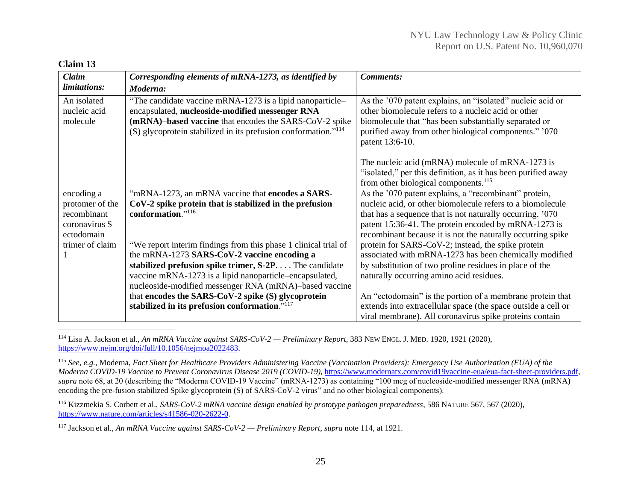#### **Claim 13**

| <b>Claim</b>                            | Corresponding elements of mRNA-1273, as identified by                                                                                                                                                                                                  | <b>Comments:</b>                                                                                                                                                                                                                                       |
|-----------------------------------------|--------------------------------------------------------------------------------------------------------------------------------------------------------------------------------------------------------------------------------------------------------|--------------------------------------------------------------------------------------------------------------------------------------------------------------------------------------------------------------------------------------------------------|
| limitations:                            | Moderna:                                                                                                                                                                                                                                               |                                                                                                                                                                                                                                                        |
| An isolated<br>nucleic acid<br>molecule | "The candidate vaccine mRNA-1273 is a lipid nanoparticle-<br>encapsulated, nucleoside-modified messenger RNA<br>(mRNA)-based vaccine that encodes the SARS-CoV-2 spike<br>$(S)$ glycoprotein stabilized in its prefusion conformation." <sup>114</sup> | As the '070 patent explains, an "isolated" nucleic acid or<br>other biomolecule refers to a nucleic acid or other<br>biomolecule that "has been substantially separated or<br>purified away from other biological components." '070<br>patent 13:6-10. |
|                                         |                                                                                                                                                                                                                                                        | The nucleic acid (mRNA) molecule of mRNA-1273 is<br>"isolated," per this definition, as it has been purified away<br>from other biological components. <sup>115</sup>                                                                                  |
| encoding a                              | "mRNA-1273, an mRNA vaccine that encodes a SARS-                                                                                                                                                                                                       | As the '070 patent explains, a "recombinant" protein,                                                                                                                                                                                                  |
| protomer of the                         | $CoV-2$ spike protein that is stabilized in the prefusion                                                                                                                                                                                              | nucleic acid, or other biomolecule refers to a biomolecule                                                                                                                                                                                             |
| recombinant                             | conformation."116                                                                                                                                                                                                                                      | that has a sequence that is not naturally occurring. '070                                                                                                                                                                                              |
| coronavirus S                           |                                                                                                                                                                                                                                                        | patent 15:36-41. The protein encoded by mRNA-1273 is                                                                                                                                                                                                   |
| ectodomain                              |                                                                                                                                                                                                                                                        | recombinant because it is not the naturally occurring spike                                                                                                                                                                                            |
| trimer of claim                         | "We report interim findings from this phase 1 clinical trial of                                                                                                                                                                                        | protein for SARS-CoV-2; instead, the spike protein                                                                                                                                                                                                     |
|                                         | the mRNA-1273 SARS-CoV-2 vaccine encoding a                                                                                                                                                                                                            | associated with mRNA-1273 has been chemically modified                                                                                                                                                                                                 |
|                                         | stabilized prefusion spike trimer, S-2P The candidate                                                                                                                                                                                                  | by substitution of two proline residues in place of the                                                                                                                                                                                                |
|                                         | vaccine mRNA-1273 is a lipid nanoparticle-encapsulated,                                                                                                                                                                                                | naturally occurring amino acid residues.                                                                                                                                                                                                               |
|                                         | nucleoside-modified messenger RNA (mRNA)-based vaccine<br>that encodes the SARS-CoV-2 spike (S) glycoprotein                                                                                                                                           | An "ectodomain" is the portion of a membrane protein that                                                                                                                                                                                              |
|                                         | stabilized in its prefusion conformation." <sup>117</sup>                                                                                                                                                                                              | extends into extracellular space (the space outside a cell or                                                                                                                                                                                          |
|                                         |                                                                                                                                                                                                                                                        |                                                                                                                                                                                                                                                        |

<sup>114</sup> Lisa A. Jackson et al., *An mRNA Vaccine against SARS-CoV-2 — Preliminary Report*, 383 NEW ENGL. J. MED. 1920, 1921 (2020), [https://www.nejm.org/doi/full/10.1056/nejmoa2022483.](https://www.nejm.org/doi/full/10.1056/nejmoa2022483) 

<sup>115</sup> *See, e.g.*, Moderna, *Fact Sheet for Healthcare Providers Administering Vaccine (Vaccination Providers): Emergency Use Authorization (EUA) of the Moderna COVID-19 Vaccine to Prevent Coronavirus Disease 2019 (COVID-19)*, [https://www.modernatx.com/covid19vaccine-eua/eua-fact-sheet-providers.pdf,](https://www.modernatx.com/covid19vaccine-eua/eua-fact-sheet-providers.pdf)  *supra* note 68, at 20 (describing the "Moderna COVID-19 Vaccine" (mRNA-1273) as containing "100 mcg of nucleoside-modified messenger RNA (mRNA) encoding the pre-fusion stabilized Spike glycoprotein (S) of SARS-CoV-2 virus" and no other biological components).

<sup>116</sup> Kizzmekia S. Corbett et al., *SARS-CoV-2 mRNA vaccine design enabled by prototype pathogen preparedness*, 586 NATURE 567, 567 (2020), [https://www.nature.com/articles/s41586-020-2622-0.](https://www.nature.com/articles/s41586-020-2622-0)

<sup>117</sup> Jackson et al., *An mRNA Vaccine against SARS-CoV-2 — Preliminary Report*, *supra* note 114, at 1921.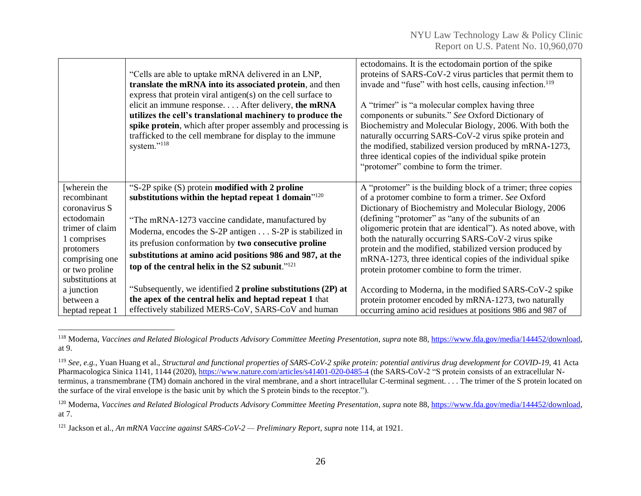|                                                                                                                                    | "Cells are able to uptake mRNA delivered in an LNP,<br>translate the mRNA into its associated protein, and then<br>express that protein viral antigen( $s$ ) on the cell surface to<br>elicit an immune response After delivery, the mRNA<br>utilizes the cell's translational machinery to produce the<br>spike protein, which after proper assembly and processing is<br>trafficked to the cell membrane for display to the immune<br>system." <sup>118</sup> | ectodomains. It is the ectodomain portion of the spike<br>proteins of SARS-CoV-2 virus particles that permit them to<br>invade and "fuse" with host cells, causing infection. <sup>119</sup><br>A "trimer" is "a molecular complex having three<br>components or subunits." See Oxford Dictionary of<br>Biochemistry and Molecular Biology, 2006. With both the<br>naturally occurring SARS-CoV-2 virus spike protein and<br>the modified, stabilized version produced by mRNA-1273,<br>three identical copies of the individual spike protein<br>"protomer" combine to form the trimer. |
|------------------------------------------------------------------------------------------------------------------------------------|-----------------------------------------------------------------------------------------------------------------------------------------------------------------------------------------------------------------------------------------------------------------------------------------------------------------------------------------------------------------------------------------------------------------------------------------------------------------|------------------------------------------------------------------------------------------------------------------------------------------------------------------------------------------------------------------------------------------------------------------------------------------------------------------------------------------------------------------------------------------------------------------------------------------------------------------------------------------------------------------------------------------------------------------------------------------|
| [wherein the<br>recombinant                                                                                                        | "S-2P spike (S) protein <b>modified with 2 proline</b><br>substitutions within the heptad repeat 1 domain $^{\prime\prime\prime\prime}$                                                                                                                                                                                                                                                                                                                         | A "protomer" is the building block of a trimer; three copies<br>of a protomer combine to form a trimer. See Oxford                                                                                                                                                                                                                                                                                                                                                                                                                                                                       |
| coronavirus S<br>ectodomain<br>trimer of claim<br>1 comprises<br>protomers<br>comprising one<br>or two proline<br>substitutions at | "The mRNA-1273 vaccine candidate, manufactured by<br>Moderna, encodes the S-2P antigen S-2P is stabilized in<br>its prefusion conformation by two consecutive proline<br>substitutions at amino acid positions 986 and 987, at the<br>top of the central helix in the S2 subunit." <sup>121</sup>                                                                                                                                                               | Dictionary of Biochemistry and Molecular Biology, 2006<br>(defining "protomer" as "any of the subunits of an<br>oligomeric protein that are identical"). As noted above, with<br>both the naturally occurring SARS-CoV-2 virus spike<br>protein and the modified, stabilized version produced by<br>mRNA-1273, three identical copies of the individual spike<br>protein protomer combine to form the trimer.                                                                                                                                                                            |
| a junction                                                                                                                         | "Subsequently, we identified 2 proline substitutions (2P) at                                                                                                                                                                                                                                                                                                                                                                                                    | According to Moderna, in the modified SARS-CoV-2 spike                                                                                                                                                                                                                                                                                                                                                                                                                                                                                                                                   |
| between a<br>heptad repeat 1                                                                                                       | the apex of the central helix and heptad repeat 1 that<br>effectively stabilized MERS-CoV, SARS-CoV and human                                                                                                                                                                                                                                                                                                                                                   | protein protomer encoded by mRNA-1273, two naturally<br>occurring amino acid residues at positions 986 and 987 of                                                                                                                                                                                                                                                                                                                                                                                                                                                                        |

<sup>118</sup> Moderna, *Vaccines and Related Biological Products Advisory Committee Meeting Presentation*, *supra* note 88[, https://www.fda.gov/media/144452/download,](https://www.fda.gov/media/144452/download) at 9.

<sup>119</sup> *See, e.g.*, Yuan Huang et al., *Structural and functional properties of SARS-CoV-2 spike protein: potential antivirus drug development for COVID-19*, 41 Acta Pharmacologica Sinica 1141, 1144 (2020), <https://www.nature.com/articles/s41401-020-0485-4> (the SARS-CoV-2 "S protein consists of an extracellular Nterminus, a transmembrane (TM) domain anchored in the viral membrane, and a short intracellular C-terminal segment. . . . The trimer of the S protein located on the surface of the viral envelope is the basic unit by which the S protein binds to the receptor.").

<sup>120</sup> Moderna, *Vaccines and Related Biological Products Advisory Committee Meeting Presentation*, *supra* note 88[, https://www.fda.gov/media/144452/download,](https://www.fda.gov/media/144452/download) at 7.

<sup>121</sup> Jackson et al., *An mRNA Vaccine against SARS-CoV-2 — Preliminary Report*, *supra* note 114, at 1921.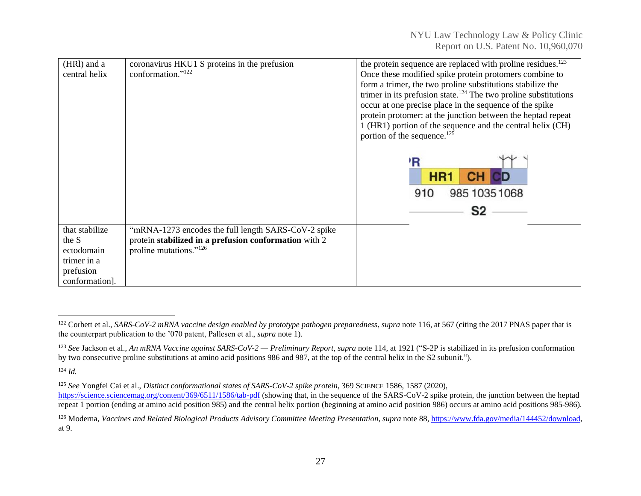| (HRI) and a<br>central helix | coronavirus HKU1 S proteins in the prefusion<br>conformation." <sup>122</sup> | the protein sequence are replaced with proline residues. <sup>123</sup><br>Once these modified spike protein protomers combine to |
|------------------------------|-------------------------------------------------------------------------------|-----------------------------------------------------------------------------------------------------------------------------------|
|                              |                                                                               | form a trimer, the two proline substitutions stabilize the                                                                        |
|                              |                                                                               | trimer in its prefusion state. <sup>124</sup> The two proline substitutions                                                       |
|                              |                                                                               | occur at one precise place in the sequence of the spike                                                                           |
|                              |                                                                               | protein protomer: at the junction between the heptad repeat                                                                       |
|                              |                                                                               | 1 (HR1) portion of the sequence and the central helix (CH)                                                                        |
|                              |                                                                               | portion of the sequence. <sup>125</sup>                                                                                           |
|                              |                                                                               |                                                                                                                                   |
|                              |                                                                               | ΊR                                                                                                                                |
|                              |                                                                               |                                                                                                                                   |
|                              |                                                                               | HR <sup>-</sup>                                                                                                                   |
|                              |                                                                               | 910<br>985 1035 1068                                                                                                              |
|                              |                                                                               | S2                                                                                                                                |
|                              |                                                                               |                                                                                                                                   |
| that stabilize               | "mRNA-1273 encodes the full length SARS-CoV-2 spike                           |                                                                                                                                   |
| the S                        | protein stabilized in a prefusion conformation with 2                         |                                                                                                                                   |
| ectodomain                   | proline mutations."126                                                        |                                                                                                                                   |
| trimer in a                  |                                                                               |                                                                                                                                   |
| prefusion                    |                                                                               |                                                                                                                                   |
| conformation].               |                                                                               |                                                                                                                                   |

<sup>124</sup> *Id.*

<sup>&</sup>lt;sup>122</sup> Corbett et al., *SARS-CoV-2 mRNA vaccine design enabled by prototype pathogen preparedness*, *supra* note 116, at 567 (citing the 2017 PNAS paper that is the counterpart publication to the '070 patent, Pallesen et al., *supra* note 1).

<sup>&</sup>lt;sup>123</sup> See Jackson et al., *An mRNA Vaccine against SARS-CoV-2 — Preliminary Report*, *supra* note 114, at 1921 ("S-2P is stabilized in its prefusion conformation by two consecutive proline substitutions at amino acid positions 986 and 987, at the top of the central helix in the S2 subunit.").

<sup>125</sup> *See* Yongfei Cai et al., *Distinct conformational states of SARS-CoV-2 spike protein*, 369 SCIENCE 1586, 1587 (2020), <https://science.sciencemag.org/content/369/6511/1586/tab-pdf> (showing that, in the sequence of the SARS-CoV-2 spike protein, the junction between the heptad

repeat 1 portion (ending at amino acid position 985) and the central helix portion (beginning at amino acid position 986) occurs at amino acid positions 985-986).

<sup>&</sup>lt;sup>126</sup> Moderna, *Vaccines and Related Biological Products Advisory Committee Meeting Presentation*, *supra* note 88[, https://www.fda.gov/media/144452/download,](https://www.fda.gov/media/144452/download) at 9.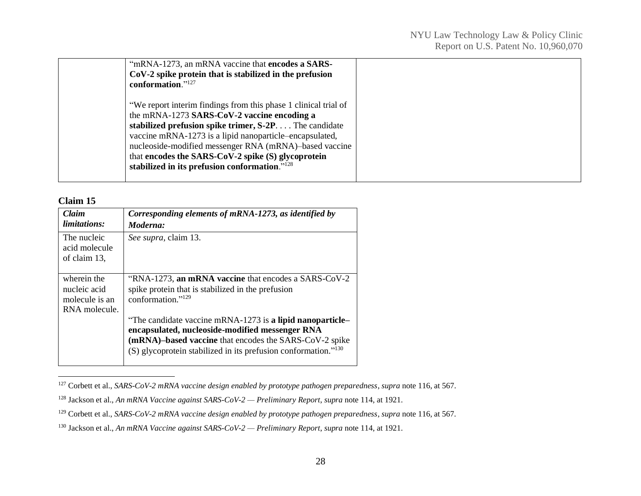| "mRNA-1273, an mRNA vaccine that <b>encodes a SARS-</b><br>$CoV-2$ spike protein that is stabilized in the prefusion<br>conformation."127                                                                                                                                                                                                                                                                       |  |
|-----------------------------------------------------------------------------------------------------------------------------------------------------------------------------------------------------------------------------------------------------------------------------------------------------------------------------------------------------------------------------------------------------------------|--|
| "We report interim findings from this phase 1 clinical trial of<br>the mRNA-1273 SARS-CoV-2 vaccine encoding a<br>stabilized prefusion spike trimer, S-2P The candidate<br>vaccine mRNA-1273 is a lipid nanoparticle-encapsulated,<br>nucleoside-modified messenger RNA (mRNA)-based vaccine<br>that encodes the SARS-CoV-2 spike (S) glycoprotein<br>stabilized in its prefusion conformation." <sup>128</sup> |  |

#### **Claim 15**

| Claim<br><i>limitations:</i>                                   | Corresponding elements of mRNA-1273, as identified by<br>Moderna:                                                                                                                                                                                    |
|----------------------------------------------------------------|------------------------------------------------------------------------------------------------------------------------------------------------------------------------------------------------------------------------------------------------------|
| The nucleic<br>acid molecule<br>of claim 13,                   | See supra, claim 13.                                                                                                                                                                                                                                 |
| wherein the<br>nucleic acid<br>molecule is an<br>RNA molecule. | "RNA-1273, an mRNA vaccine that encodes a SARS-CoV-2<br>spike protein that is stabilized in the prefusion<br>conformation."129                                                                                                                       |
|                                                                | "The candidate vaccine mRNA-1273 is a lipid nanoparticle-<br>encapsulated, nucleoside-modified messenger RNA<br>(mRNA)-based vaccine that encodes the SARS-CoV-2 spike<br>(S) glycoprotein stabilized in its prefusion conformation." <sup>130</sup> |

<sup>127</sup> Corbett et al., *SARS-CoV-2 mRNA vaccine design enabled by prototype pathogen preparedness*, *supra* note 116, at 567.

<sup>128</sup> Jackson et al., *An mRNA Vaccine against SARS-CoV-2 — Preliminary Report*, *supra* note 114, at 1921.

<sup>129</sup> Corbett et al., *SARS-CoV-2 mRNA vaccine design enabled by prototype pathogen preparedness*, *supra* note 116, at 567.

<sup>130</sup> Jackson et al., *An mRNA Vaccine against SARS-CoV-2 — Preliminary Report*, *supra* note 114, at 1921.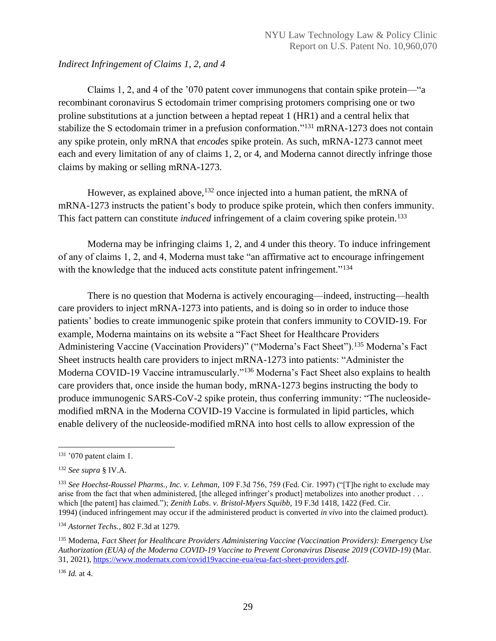## *Indirect Infringement of Claims 1, 2, and 4*

Claims 1, 2, and 4 of the '070 patent cover immunogens that contain spike protein—"a recombinant coronavirus S ectodomain trimer comprising protomers comprising one or two proline substitutions at a junction between a heptad repeat 1 (HR1) and a central helix that stabilize the S ectodomain trimer in a prefusion conformation."<sup>131</sup> mRNA-1273 does not contain any spike protein, only mRNA that *encodes* spike protein. As such, mRNA-1273 cannot meet each and every limitation of any of claims 1, 2, or 4, and Moderna cannot directly infringe those claims by making or selling mRNA-1273.

However, as explained above,  $132$  once injected into a human patient, the mRNA of mRNA-1273 instructs the patient's body to produce spike protein, which then confers immunity. This fact pattern can constitute *induced* infringement of a claim covering spike protein. 133

Moderna may be infringing claims 1, 2, and 4 under this theory. To induce infringement of any of claims 1, 2, and 4, Moderna must take "an affirmative act to encourage infringement with the knowledge that the induced acts constitute patent infringement."<sup>134</sup>

There is no question that Moderna is actively encouraging—indeed, instructing—health care providers to inject mRNA-1273 into patients, and is doing so in order to induce those patients' bodies to create immunogenic spike protein that confers immunity to COVID-19. For example, Moderna maintains on its website a "Fact Sheet for Healthcare Providers Administering Vaccine (Vaccination Providers)" ("Moderna's Fact Sheet").<sup>135</sup> Moderna's Fact Sheet instructs health care providers to inject mRNA-1273 into patients: "Administer the Moderna COVID-19 Vaccine intramuscularly."<sup>136</sup> Moderna's Fact Sheet also explains to health care providers that, once inside the human body, mRNA-1273 begins instructing the body to produce immunogenic SARS-CoV-2 spike protein, thus conferring immunity: "The nucleosidemodified mRNA in the Moderna COVID-19 Vaccine is formulated in lipid particles, which enable delivery of the nucleoside-modified mRNA into host cells to allow expression of the

 $131$  '070 patent claim 1.

<sup>132</sup> *See supra* § IV.A.

<sup>133</sup> *See Hoechst-Roussel Pharms., Inc. v. Lehman,* 109 F.3d 756, 759 (Fed. Cir. 1997) ("[T]he right to exclude may arise from the fact that when administered, [the alleged infringer's product] metabolizes into another product . . . which [the patent] has claimed."); *Zenith Labs. v. Bristol-Myers Squibb,* 19 F.3d 1418, 1422 (Fed. Cir. 1994) (induced infringement may occur if the administered product is converted *in vivo* into the claimed product).

<sup>134</sup> *Astornet Techs.*, 802 F.3d at 1279.

<sup>135</sup> Moderna, *Fact Sheet for Healthcare Providers Administering Vaccine (Vaccination Providers): Emergency Use Authorization (EUA) of the Moderna COVID-19 Vaccine to Prevent Coronavirus Disease 2019 (COVID-19)* (Mar. 31, 2021), [https://www.modernatx.com/covid19vaccine-eua/eua-fact-sheet-providers.pdf.](https://www.modernatx.com/covid19vaccine-eua/eua-fact-sheet-providers.pdf)

<sup>136</sup> *Id.* at 4.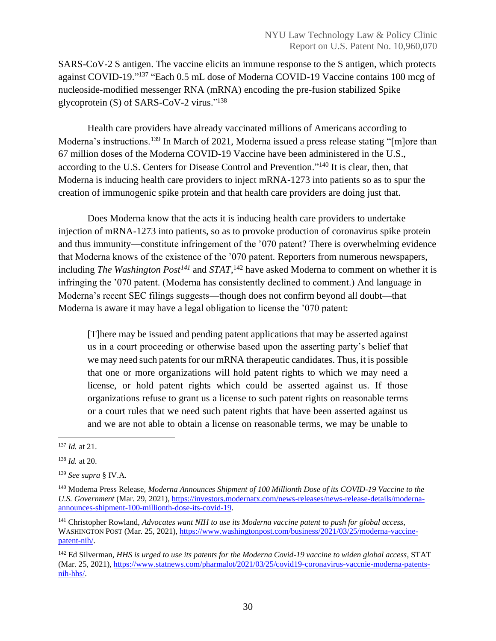SARS-CoV-2 S antigen. The vaccine elicits an immune response to the S antigen, which protects against COVID-19."<sup>137</sup> "Each 0.5 mL dose of Moderna COVID-19 Vaccine contains 100 mcg of nucleoside-modified messenger RNA (mRNA) encoding the pre-fusion stabilized Spike glycoprotein (S) of SARS-CoV-2 virus."<sup>138</sup>

Health care providers have already vaccinated millions of Americans according to Moderna's instructions.<sup>139</sup> In March of 2021, Moderna issued a press release stating "[m]ore than 67 million doses of the Moderna COVID-19 Vaccine have been administered in the U.S., according to the U.S. Centers for Disease Control and Prevention."<sup>140</sup> It is clear, then, that Moderna is inducing health care providers to inject mRNA-1273 into patients so as to spur the creation of immunogenic spike protein and that health care providers are doing just that.

Does Moderna know that the acts it is inducing health care providers to undertake injection of mRNA-1273 into patients, so as to provoke production of coronavirus spike protein and thus immunity—constitute infringement of the '070 patent? There is overwhelming evidence that Moderna knows of the existence of the '070 patent. Reporters from numerous newspapers, including *The Washington Post<sup>141</sup>* and *STAT*, <sup>142</sup> have asked Moderna to comment on whether it is infringing the '070 patent. (Moderna has consistently declined to comment.) And language in Moderna's recent SEC filings suggests—though does not confirm beyond all doubt—that Moderna is aware it may have a legal obligation to license the '070 patent:

[T]here may be issued and pending patent applications that may be asserted against us in a court proceeding or otherwise based upon the asserting party's belief that we may need such patents for our mRNA therapeutic candidates. Thus, it is possible that one or more organizations will hold patent rights to which we may need a license, or hold patent rights which could be asserted against us. If those organizations refuse to grant us a license to such patent rights on reasonable terms or a court rules that we need such patent rights that have been asserted against us and we are not able to obtain a license on reasonable terms, we may be unable to

<sup>137</sup> *Id.* at 21.

<sup>138</sup> *Id.* at 20.

<sup>139</sup> *See supra* § IV.A.

<sup>140</sup> Moderna Press Release, *Moderna Announces Shipment of 100 Millionth Dose of its COVID-19 Vaccine to the U.S. Government* (Mar. 29, 2021), [https://investors.modernatx.com/news-releases/news-release-details/moderna](https://investors.modernatx.com/news-releases/news-release-details/moderna-announces-shipment-100-millionth-dose-its-covid-19)[announces-shipment-100-millionth-dose-its-covid-19.](https://investors.modernatx.com/news-releases/news-release-details/moderna-announces-shipment-100-millionth-dose-its-covid-19)

<sup>141</sup> Christopher Rowland, *Advocates want NIH to use its Moderna vaccine patent to push for global access,*  WASHINGTON POST (Mar. 25, 2021)[, https://www.washingtonpost.com/business/2021/03/25/moderna-vaccine](https://www.washingtonpost.com/business/2021/03/25/moderna-vaccine-patent-nih/)[patent-nih/.](https://www.washingtonpost.com/business/2021/03/25/moderna-vaccine-patent-nih/)

<sup>142</sup> Ed Silverman, *HHS is urged to use its patents for the Moderna Covid-19 vaccine to widen global access*, STAT (Mar. 25, 2021), [https://www.statnews.com/pharmalot/2021/03/25/covid19-coronavirus-vaccnie-moderna-patents](https://www.statnews.com/pharmalot/2021/03/25/covid19-coronavirus-vaccnie-moderna-patents-nih-hhs/)[nih-hhs/.](https://www.statnews.com/pharmalot/2021/03/25/covid19-coronavirus-vaccnie-moderna-patents-nih-hhs/)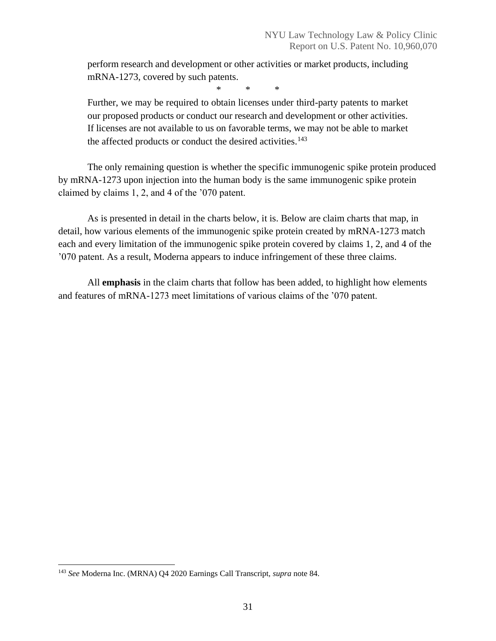perform research and development or other activities or market products, including mRNA-1273, covered by such patents.

\* \* \*

Further, we may be required to obtain licenses under third-party patents to market our proposed products or conduct our research and development or other activities. If licenses are not available to us on favorable terms, we may not be able to market the affected products or conduct the desired activities.<sup>143</sup>

The only remaining question is whether the specific immunogenic spike protein produced by mRNA-1273 upon injection into the human body is the same immunogenic spike protein claimed by claims 1, 2, and 4 of the '070 patent.

As is presented in detail in the charts below, it is. Below are claim charts that map, in detail, how various elements of the immunogenic spike protein created by mRNA-1273 match each and every limitation of the immunogenic spike protein covered by claims 1, 2, and 4 of the '070 patent. As a result, Moderna appears to induce infringement of these three claims.

All **emphasis** in the claim charts that follow has been added, to highlight how elements and features of mRNA-1273 meet limitations of various claims of the '070 patent.

<sup>143</sup> *See* Moderna Inc. (MRNA) Q4 2020 Earnings Call Transcript, *supra* note 84.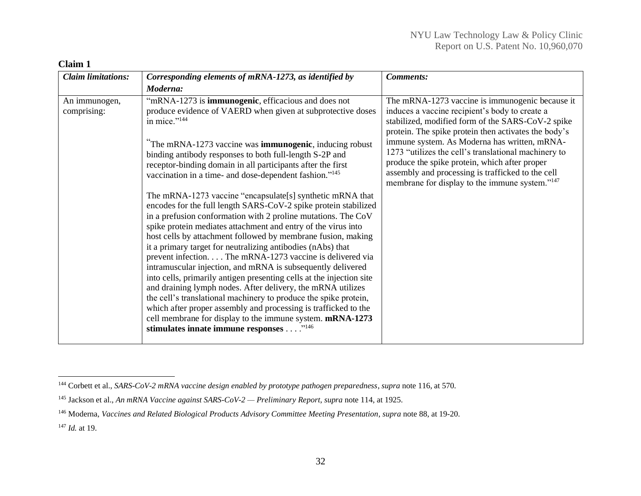| <b>Claim limitations:</b>    | Corresponding elements of mRNA-1273, as identified by                                                                                                                                                                                                                                                                                                                              | <b>Comments:</b>                                                                                                                                                                                                                                               |
|------------------------------|------------------------------------------------------------------------------------------------------------------------------------------------------------------------------------------------------------------------------------------------------------------------------------------------------------------------------------------------------------------------------------|----------------------------------------------------------------------------------------------------------------------------------------------------------------------------------------------------------------------------------------------------------------|
|                              | Moderna:                                                                                                                                                                                                                                                                                                                                                                           |                                                                                                                                                                                                                                                                |
| An immunogen,<br>comprising: | "mRNA-1273 is <b>immunogenic</b> , efficacious and does not<br>produce evidence of VAERD when given at subprotective doses<br>in mice." <sup>144</sup><br>The mRNA-1273 vaccine was <b>immunogenic</b> , inducing robust                                                                                                                                                           | The mRNA-1273 vaccine is immunogenic because it<br>induces a vaccine recipient's body to create a<br>stabilized, modified form of the SARS-CoV-2 spike<br>protein. The spike protein then activates the body's<br>immune system. As Moderna has written, mRNA- |
|                              | binding antibody responses to both full-length S-2P and<br>receptor-binding domain in all participants after the first<br>vaccination in a time- and dose-dependent fashion." <sup>145</sup>                                                                                                                                                                                       | 1273 "utilizes the cell's translational machinery to<br>produce the spike protein, which after proper<br>assembly and processing is trafficked to the cell<br>membrane for display to the immune system." <sup>147</sup>                                       |
|                              | The mRNA-1273 vaccine "encapsulate[s] synthetic mRNA that<br>encodes for the full length SARS-CoV-2 spike protein stabilized<br>in a prefusion conformation with 2 proline mutations. The CoV<br>spike protein mediates attachment and entry of the virus into                                                                                                                     |                                                                                                                                                                                                                                                                |
|                              | host cells by attachment followed by membrane fusion, making<br>it a primary target for neutralizing antibodies (nAbs) that<br>prevent infection. The mRNA-1273 vaccine is delivered via<br>intramuscular injection, and mRNA is subsequently delivered                                                                                                                            |                                                                                                                                                                                                                                                                |
|                              | into cells, primarily antigen presenting cells at the injection site<br>and draining lymph nodes. After delivery, the mRNA utilizes<br>the cell's translational machinery to produce the spike protein,<br>which after proper assembly and processing is trafficked to the<br>cell membrane for display to the immune system. mRNA-1273<br>stimulates innate immune responses "146 |                                                                                                                                                                                                                                                                |

# **Claim 1**

<sup>144</sup> Corbett et al., *SARS-CoV-2 mRNA vaccine design enabled by prototype pathogen preparedness*, *supra* note 116, at 570.

<sup>145</sup> Jackson et al., *An mRNA Vaccine against SARS-CoV-2 — Preliminary Report*, *supra* note 114, at 1925.

<sup>146</sup> Moderna, *Vaccines and Related Biological Products Advisory Committee Meeting Presentation*, *supra* note 88, at 19-20.

<sup>147</sup> *Id.* at 19.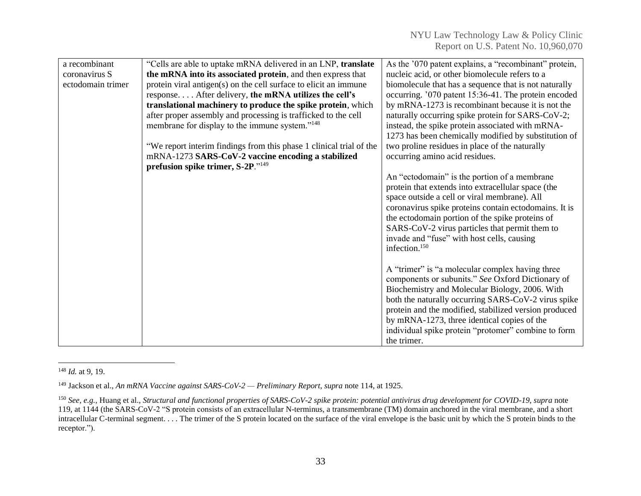| a recombinant     | "Cells are able to uptake mRNA delivered in an LNP, translate       | As the '070 patent explains, a "recombinant" protein, |
|-------------------|---------------------------------------------------------------------|-------------------------------------------------------|
| coronavirus S     | the mRNA into its associated protein, and then express that         | nucleic acid, or other biomolecule refers to a        |
| ectodomain trimer | protein viral antigen(s) on the cell surface to elicit an immune    | biomolecule that has a sequence that is not naturally |
|                   | response After delivery, the mRNA utilizes the cell's               | occurring. '070 patent 15:36-41. The protein encoded  |
|                   | translational machinery to produce the spike protein, which         | by mRNA-1273 is recombinant because it is not the     |
|                   | after proper assembly and processing is trafficked to the cell      | naturally occurring spike protein for SARS-CoV-2;     |
|                   | membrane for display to the immune system." <sup>148</sup>          | instead, the spike protein associated with mRNA-      |
|                   |                                                                     | 1273 has been chemically modified by substitution of  |
|                   | "We report interim findings from this phase 1 clinical trial of the | two proline residues in place of the naturally        |
|                   | mRNA-1273 SARS-CoV-2 vaccine encoding a stabilized                  | occurring amino acid residues.                        |
|                   | prefusion spike trimer, S-2P."149                                   |                                                       |
|                   |                                                                     | An "ectodomain" is the portion of a membrane          |
|                   |                                                                     | protein that extends into extracellular space (the    |
|                   |                                                                     | space outside a cell or viral membrane). All          |
|                   |                                                                     | coronavirus spike proteins contain ectodomains. It is |
|                   |                                                                     | the ectodomain portion of the spike proteins of       |
|                   |                                                                     | SARS-CoV-2 virus particles that permit them to        |
|                   |                                                                     | invade and "fuse" with host cells, causing            |
|                   |                                                                     | infection. <sup>150</sup>                             |
|                   |                                                                     |                                                       |
|                   |                                                                     | A "trimer" is "a molecular complex having three       |
|                   |                                                                     | components or subunits." See Oxford Dictionary of     |
|                   |                                                                     | Biochemistry and Molecular Biology, 2006. With        |
|                   |                                                                     | both the naturally occurring SARS-CoV-2 virus spike   |
|                   |                                                                     | protein and the modified, stabilized version produced |
|                   |                                                                     | by mRNA-1273, three identical copies of the           |
|                   |                                                                     | individual spike protein "protomer" combine to form   |
|                   |                                                                     | the trimer.                                           |

<sup>148</sup> *Id.* at 9, 19.

<sup>149</sup> Jackson et al., *An mRNA Vaccine against SARS-CoV-2 — Preliminary Report*, *supra* note 114, at 1925.

<sup>150</sup> *See, e.g.*, Huang et al., *Structural and functional properties of SARS-CoV-2 spike protein: potential antivirus drug development for COVID-19*, *supra* note 119, at 1144 (the SARS-CoV-2 "S protein consists of an extracellular N-terminus, a transmembrane (TM) domain anchored in the viral membrane, and a short intracellular C-terminal segment. . . . The trimer of the S protein located on the surface of the viral envelope is the basic unit by which the S protein binds to the receptor.").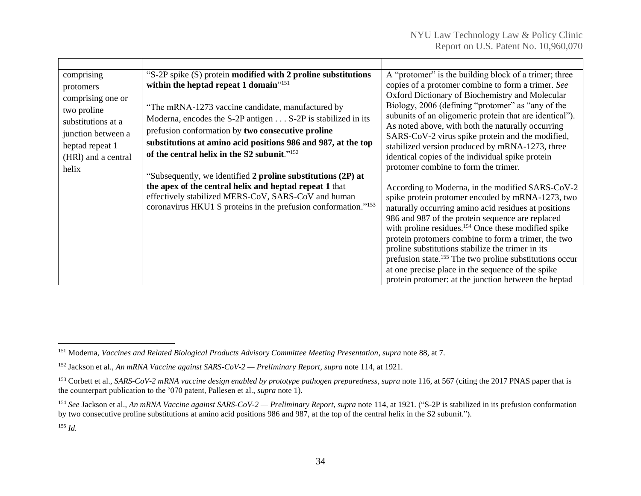| comprising<br>protomers<br>comprising one or<br>two proline<br>substitutions at a<br>junction between a<br>heptad repeat 1<br>(HRI) and a central<br>helix | "S-2P spike (S) protein modified with 2 proline substitutions<br>within the heptad repeat 1 domain" <sup>151</sup><br>"The mRNA-1273 vaccine candidate, manufactured by<br>Moderna, encodes the S-2P antigen S-2P is stabilized in its<br>prefusion conformation by two consecutive proline<br>substitutions at amino acid positions 986 and 987, at the top<br>of the central helix in the S2 subunit." <sup>152</sup> | A "protomer" is the building block of a trimer; three<br>copies of a protomer combine to form a trimer. See<br>Oxford Dictionary of Biochemistry and Molecular<br>Biology, 2006 (defining "protomer" as "any of the<br>subunits of an oligomeric protein that are identical").<br>As noted above, with both the naturally occurring<br>SARS-CoV-2 virus spike protein and the modified,<br>stabilized version produced by mRNA-1273, three<br>identical copies of the individual spike protein<br>protomer combine to form the trimer. |
|------------------------------------------------------------------------------------------------------------------------------------------------------------|-------------------------------------------------------------------------------------------------------------------------------------------------------------------------------------------------------------------------------------------------------------------------------------------------------------------------------------------------------------------------------------------------------------------------|----------------------------------------------------------------------------------------------------------------------------------------------------------------------------------------------------------------------------------------------------------------------------------------------------------------------------------------------------------------------------------------------------------------------------------------------------------------------------------------------------------------------------------------|
|                                                                                                                                                            | "Subsequently, we identified 2 proline substitutions (2P) at<br>the apex of the central helix and heptad repeat 1 that<br>effectively stabilized MERS-CoV, SARS-CoV and human<br>coronavirus HKU1 S proteins in the prefusion conformation." <sup>153</sup>                                                                                                                                                             | According to Moderna, in the modified SARS-CoV-2<br>spike protein protomer encoded by mRNA-1273, two<br>naturally occurring amino acid residues at positions<br>986 and 987 of the protein sequence are replaced<br>with proline residues. <sup>154</sup> Once these modified spike<br>protein protomers combine to form a trimer, the two                                                                                                                                                                                             |
|                                                                                                                                                            |                                                                                                                                                                                                                                                                                                                                                                                                                         | proline substitutions stabilize the trimer in its<br>prefusion state. <sup>155</sup> The two proline substitutions occur<br>at one precise place in the sequence of the spike<br>protein protomer: at the junction between the heptad                                                                                                                                                                                                                                                                                                  |

<sup>151</sup> Moderna, *Vaccines and Related Biological Products Advisory Committee Meeting Presentation*, *supra* note 88, at 7.

<sup>152</sup> Jackson et al., *An mRNA Vaccine against SARS-CoV-2 — Preliminary Report*, *supra* note 114, at 1921.

<sup>&</sup>lt;sup>153</sup> Corbett et al., *SARS-CoV-2 mRNA vaccine design enabled by prototype pathogen preparedness*, *supra* note 116, at 567 (citing the 2017 PNAS paper that is the counterpart publication to the '070 patent, Pallesen et al., *supra* note 1).

<sup>154</sup> *See* Jackson et al., *An mRNA Vaccine against SARS-CoV-2 — Preliminary Report*, *supra* note 114, at 1921. ("S-2P is stabilized in its prefusion conformation by two consecutive proline substitutions at amino acid positions 986 and 987, at the top of the central helix in the S2 subunit.").

<sup>155</sup> *Id.*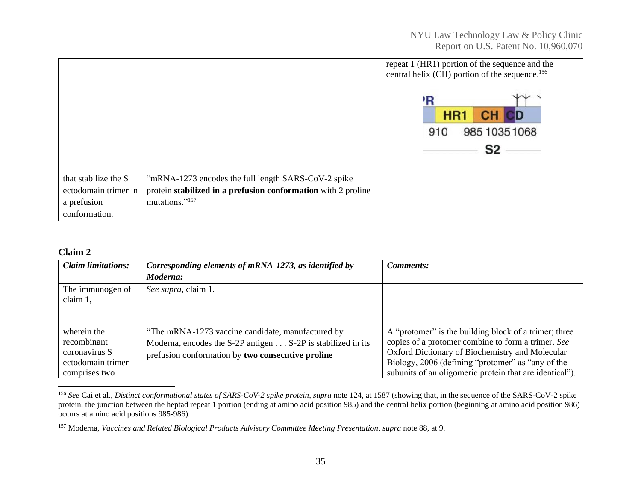|                      |                                                               | repeat 1 (HR1) portion of the sequence and the<br>central helix (CH) portion of the sequence. <sup>156</sup> |
|----------------------|---------------------------------------------------------------|--------------------------------------------------------------------------------------------------------------|
|                      |                                                               | ١R<br>HR1<br>985 1035 1068<br>910<br>S2                                                                      |
| that stabilize the S | "mRNA-1273 encodes the full length SARS-CoV-2 spike           |                                                                                                              |
| ectodomain trimer in | protein stabilized in a prefusion conformation with 2 proline |                                                                                                              |
| a prefusion          | mutations."157                                                |                                                                                                              |
| conformation.        |                                                               |                                                                                                              |

#### **Claim 2**

| <b>Claim limitations:</b>                                                         | Corresponding elements of mRNA-1273, as identified by                                                                                                                 | Comments:                                                                                                                                                                                                                                                                      |
|-----------------------------------------------------------------------------------|-----------------------------------------------------------------------------------------------------------------------------------------------------------------------|--------------------------------------------------------------------------------------------------------------------------------------------------------------------------------------------------------------------------------------------------------------------------------|
|                                                                                   | Moderna:                                                                                                                                                              |                                                                                                                                                                                                                                                                                |
| The immunogen of<br>claim 1,                                                      | See supra, claim 1.                                                                                                                                                   |                                                                                                                                                                                                                                                                                |
| wherein the<br>recombinant<br>coronavirus S<br>ectodomain trimer<br>comprises two | "The mRNA-1273 vaccine candidate, manufactured by<br>Moderna, encodes the S-2P antigen S-2P is stabilized in its<br>prefusion conformation by two consecutive proline | A "protomer" is the building block of a trimer; three<br>copies of a protomer combine to form a trimer. See<br>Oxford Dictionary of Biochemistry and Molecular<br>Biology, 2006 (defining "protomer" as "any of the<br>subunits of an oligomeric protein that are identical"). |

<sup>&</sup>lt;sup>156</sup> See Cai et al., *Distinct conformational states of SARS-CoV-2 spike protein*, *supra* note 124, at 1587 (showing that, in the sequence of the SARS-CoV-2 spike protein, the junction between the heptad repeat 1 portion (ending at amino acid position 985) and the central helix portion (beginning at amino acid position 986) occurs at amino acid positions 985-986).

<sup>157</sup> Moderna, *Vaccines and Related Biological Products Advisory Committee Meeting Presentation*, *supra* note 88, at 9.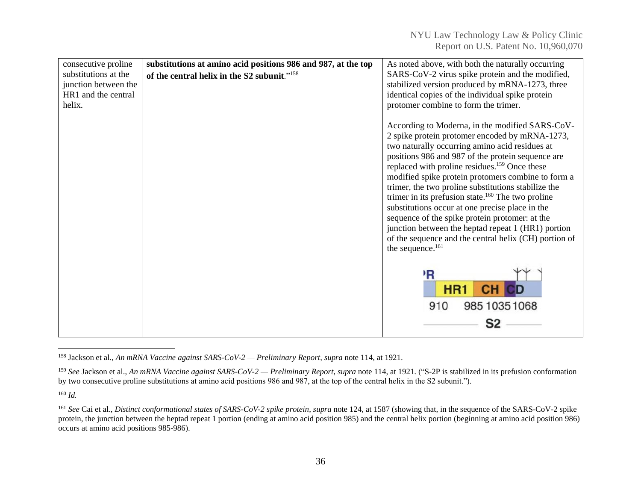| consecutive proline<br>substitutions at the<br>junction between the<br>HR1 and the central<br>helix. | substitutions at amino acid positions 986 and 987, at the top<br>of the central helix in the S2 subunit." <sup>158</sup> | As noted above, with both the naturally occurring<br>SARS-CoV-2 virus spike protein and the modified,<br>stabilized version produced by mRNA-1273, three<br>identical copies of the individual spike protein<br>protomer combine to form the trimer.                                                                                                                                                                                                                                                                                                                                                                                                                                           |
|------------------------------------------------------------------------------------------------------|--------------------------------------------------------------------------------------------------------------------------|------------------------------------------------------------------------------------------------------------------------------------------------------------------------------------------------------------------------------------------------------------------------------------------------------------------------------------------------------------------------------------------------------------------------------------------------------------------------------------------------------------------------------------------------------------------------------------------------------------------------------------------------------------------------------------------------|
|                                                                                                      |                                                                                                                          | According to Moderna, in the modified SARS-CoV-<br>2 spike protein protomer encoded by mRNA-1273,<br>two naturally occurring amino acid residues at<br>positions 986 and 987 of the protein sequence are<br>replaced with proline residues. <sup>159</sup> Once these<br>modified spike protein protomers combine to form a<br>trimer, the two proline substitutions stabilize the<br>trimer in its prefusion state. $160$ The two proline<br>substitutions occur at one precise place in the<br>sequence of the spike protein protomer: at the<br>junction between the heptad repeat 1 (HR1) portion<br>of the sequence and the central helix (CH) portion of<br>the sequence. <sup>161</sup> |
|                                                                                                      |                                                                                                                          | R<br>HR <sub>1</sub><br>910<br>985 1035 1068                                                                                                                                                                                                                                                                                                                                                                                                                                                                                                                                                                                                                                                   |

<sup>158</sup> Jackson et al., *An mRNA Vaccine against SARS-CoV-2 — Preliminary Report*, *supra* note 114, at 1921.

<sup>160</sup> *Id.*

<sup>159</sup> *See* Jackson et al., *An mRNA Vaccine against SARS-CoV-2 — Preliminary Report*, *supra* note 114, at 1921. ("S-2P is stabilized in its prefusion conformation by two consecutive proline substitutions at amino acid positions 986 and 987, at the top of the central helix in the S2 subunit.").

<sup>&</sup>lt;sup>161</sup> See Cai et al., *Distinct conformational states of SARS-CoV-2 spike protein*, *supra* note 124, at 1587 (showing that, in the sequence of the SARS-CoV-2 spike protein, the junction between the heptad repeat 1 portion (ending at amino acid position 985) and the central helix portion (beginning at amino acid position 986) occurs at amino acid positions 985-986).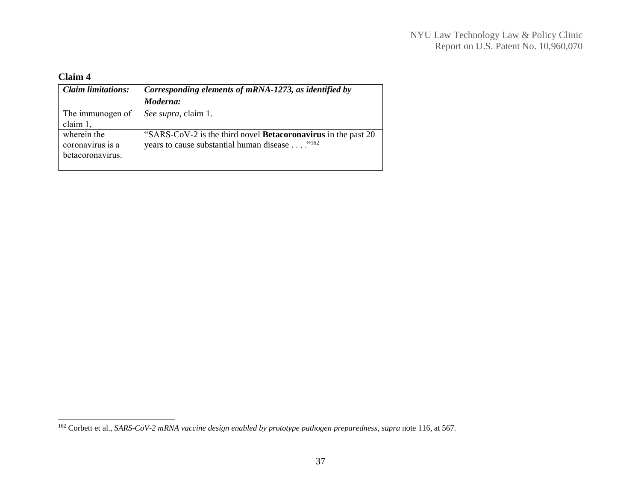# **Claim 4**

| <b>Claim limitations:</b> | Corresponding elements of mRNA-1273, as identified by                |
|---------------------------|----------------------------------------------------------------------|
|                           | Moderna:                                                             |
| The immunogen of          | See supra, claim 1.                                                  |
| claim 1,                  |                                                                      |
| wherein the               | "SARS-CoV-2 is the third novel <b>Betacoronavirus</b> in the past 20 |
| coronavirus is a          | years to cause substantial human disease " <sup>162</sup>            |
| betacoronavirus.          |                                                                      |
|                           |                                                                      |

<sup>162</sup> Corbett et al., *SARS-CoV-2 mRNA vaccine design enabled by prototype pathogen preparedness*, *supra* note 116, at 567.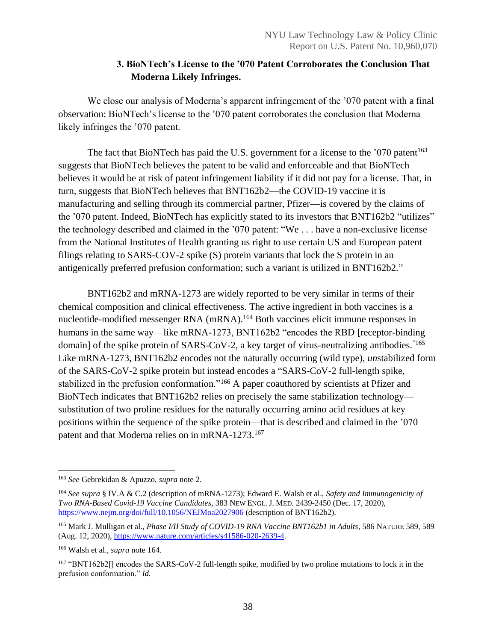# **3. BioNTech's License to the '070 Patent Corroborates the Conclusion That Moderna Likely Infringes.**

<span id="page-38-0"></span>We close our analysis of Moderna's apparent infringement of the '070 patent with a final observation: BioNTech's license to the '070 patent corroborates the conclusion that Moderna likely infringes the '070 patent.

The fact that BioNTech has paid the U.S. government for a license to the  $'070$  patent<sup>163</sup> suggests that BioNTech believes the patent to be valid and enforceable and that BioNTech believes it would be at risk of patent infringement liability if it did not pay for a license. That, in turn, suggests that BioNTech believes that BNT162b2—the COVID-19 vaccine it is manufacturing and selling through its commercial partner, Pfizer—is covered by the claims of the '070 patent. Indeed, BioNTech has explicitly stated to its investors that BNT162b2 "utilizes" the technology described and claimed in the '070 patent: "We . . . have a non-exclusive license from the National Institutes of Health granting us right to use certain US and European patent filings relating to SARS-COV-2 spike (S) protein variants that lock the S protein in an antigenically preferred prefusion conformation; such a variant is utilized in BNT162b2."

BNT162b2 and mRNA-1273 are widely reported to be very similar in terms of their chemical composition and clinical effectiveness. The active ingredient in both vaccines is a nucleotide-modified messenger RNA (mRNA).<sup>164</sup> Both vaccines elicit immune responses in humans in the same way—like mRNA-1273, BNT162b2 "encodes the RBD [receptor-binding domain] of the spike protein of SARS-CoV-2, a key target of virus-neutralizing antibodies.<sup>"165</sup> Like mRNA-1273, BNT162b2 encodes not the naturally occurring (wild type), *un*stabilized form of the SARS-CoV-2 spike protein but instead encodes a "SARS-CoV-2 full-length spike, stabilized in the prefusion conformation."<sup>166</sup> A paper coauthored by scientists at Pfizer and BioNTech indicates that BNT162b2 relies on precisely the same stabilization technology substitution of two proline residues for the naturally occurring amino acid residues at key positions within the sequence of the spike protein—that is described and claimed in the '070 patent and that Moderna relies on in mRNA-1273.<sup>167</sup>

<sup>163</sup> *See* Gebrekidan & Apuzzo, *supra* note 2.

<sup>164</sup> *See supra* § IV.A & C.2 (description of mRNA-1273); Edward E. Walsh et al., *Safety and Immunogenicity of Two RNA-Based Covid-19 Vaccine Candidates,* 383 NEW ENGL. J. MED. 2439-2450 (Dec. 17, 2020), <https://www.nejm.org/doi/full/10.1056/NEJMoa2027906> (description of BNT162b2).

<sup>&</sup>lt;sup>165</sup> Mark J. Mulligan et al., *Phase VII Study of COVID-19 RNA Vaccine BNT162b1 in Adults*, 586 NATURE 589, 589 (Aug. 12, 2020), [https://www.nature.com/articles/s41586-020-2639-4.](https://www.nature.com/articles/s41586-020-2639-4)

<sup>166</sup> Walsh et al., *supra* note 164.

<sup>167</sup> "BNT162b2[] encodes the SARS-CoV-2 full-length spike, modified by two proline mutations to lock it in the prefusion conformation." *Id.*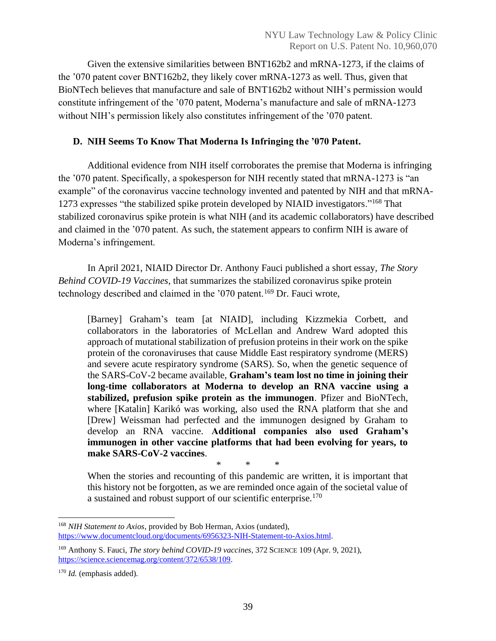Given the extensive similarities between BNT162b2 and mRNA-1273, if the claims of the '070 patent cover BNT162b2, they likely cover mRNA-1273 as well. Thus, given that BioNTech believes that manufacture and sale of BNT162b2 without NIH's permission would constitute infringement of the '070 patent, Moderna's manufacture and sale of mRNA-1273 without NIH's permission likely also constitutes infringement of the '070 patent.

## <span id="page-39-0"></span>**D. NIH Seems To Know That Moderna Is Infringing the '070 Patent.**

Additional evidence from NIH itself corroborates the premise that Moderna is infringing the '070 patent. Specifically, a spokesperson for NIH recently stated that mRNA-1273 is "an example" of the coronavirus vaccine technology invented and patented by NIH and that mRNA-1273 expresses "the stabilized spike protein developed by NIAID investigators."<sup>168</sup> That stabilized coronavirus spike protein is what NIH (and its academic collaborators) have described and claimed in the '070 patent. As such, the statement appears to confirm NIH is aware of Moderna's infringement.

In April 2021, NIAID Director Dr. Anthony Fauci published a short essay, *The Story Behind COVID-19 Vaccines*, that summarizes the stabilized coronavirus spike protein technology described and claimed in the '070 patent.<sup>169</sup> Dr. Fauci wrote,

[Barney] Graham's team [at NIAID], including Kizzmekia Corbett, and collaborators in the laboratories of McLellan and Andrew Ward adopted this approach of mutational stabilization of prefusion proteins in their work on the spike protein of the coronaviruses that cause Middle East respiratory syndrome (MERS) and severe acute respiratory syndrome (SARS). So, when the genetic sequence of the SARS-CoV-2 became available, **Graham's team lost no time in joining their long-time collaborators at Moderna to develop an RNA vaccine using a stabilized, prefusion spike protein as the immunogen**. Pfizer and BioNTech, where [Katalin] Karikó was working, also used the RNA platform that she and [Drew] Weissman had perfected and the immunogen designed by Graham to develop an RNA vaccine. **Additional companies also used Graham's immunogen in other vaccine platforms that had been evolving for years, to make SARS-CoV-2 vaccines**.

\* \* \* When the stories and recounting of this pandemic are written, it is important that this history not be forgotten, as we are reminded once again of the societal value of a sustained and robust support of our scientific enterprise.<sup>170</sup>

<sup>168</sup> *NIH Statement to Axios*, provided by Bob Herman, Axios (undated), [https://www.documentcloud.org/documents/6956323-NIH-Statement-to-Axios.html.](https://www.documentcloud.org/documents/6956323-NIH-Statement-to-Axios.html)

<sup>169</sup> Anthony S. Fauci, *The story behind COVID-19 vaccines*, 372 SCIENCE 109 (Apr. 9, 2021), [https://science.sciencemag.org/content/372/6538/109.](https://science.sciencemag.org/content/372/6538/109)

<sup>170</sup> *Id.* (emphasis added).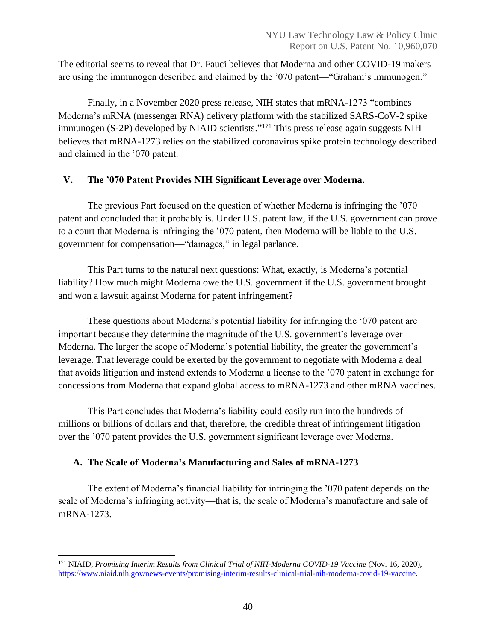The editorial seems to reveal that Dr. Fauci believes that Moderna and other COVID-19 makers are using the immunogen described and claimed by the '070 patent—"Graham's immunogen."

Finally, in a November 2020 press release, NIH states that mRNA-1273 "combines Moderna's mRNA (messenger RNA) delivery platform with the stabilized SARS-CoV-2 spike immunogen (S-2P) developed by NIAID scientists."<sup>171</sup> This press release again suggests NIH believes that mRNA-1273 relies on the stabilized coronavirus spike protein technology described and claimed in the '070 patent.

# <span id="page-40-0"></span>**V. The '070 Patent Provides NIH Significant Leverage over Moderna.**

The previous Part focused on the question of whether Moderna is infringing the '070 patent and concluded that it probably is. Under U.S. patent law, if the U.S. government can prove to a court that Moderna is infringing the '070 patent, then Moderna will be liable to the U.S. government for compensation—"damages," in legal parlance.

This Part turns to the natural next questions: What, exactly, is Moderna's potential liability? How much might Moderna owe the U.S. government if the U.S. government brought and won a lawsuit against Moderna for patent infringement?

These questions about Moderna's potential liability for infringing the '070 patent are important because they determine the magnitude of the U.S. government's leverage over Moderna. The larger the scope of Moderna's potential liability, the greater the government's leverage. That leverage could be exerted by the government to negotiate with Moderna a deal that avoids litigation and instead extends to Moderna a license to the '070 patent in exchange for concessions from Moderna that expand global access to mRNA-1273 and other mRNA vaccines.

This Part concludes that Moderna's liability could easily run into the hundreds of millions or billions of dollars and that, therefore, the credible threat of infringement litigation over the '070 patent provides the U.S. government significant leverage over Moderna.

# <span id="page-40-1"></span>**A. The Scale of Moderna's Manufacturing and Sales of mRNA-1273**

The extent of Moderna's financial liability for infringing the '070 patent depends on the scale of Moderna's infringing activity—that is, the scale of Moderna's manufacture and sale of mRNA-1273.

<sup>171</sup> NIAID, *Promising Interim Results from Clinical Trial of NIH-Moderna COVID-19 Vaccine* (Nov. 16, 2020), [https://www.niaid.nih.gov/news-events/promising-interim-results-clinical-trial-nih-moderna-covid-19-vaccine.](https://www.niaid.nih.gov/news-events/promising-interim-results-clinical-trial-nih-moderna-covid-19-vaccine)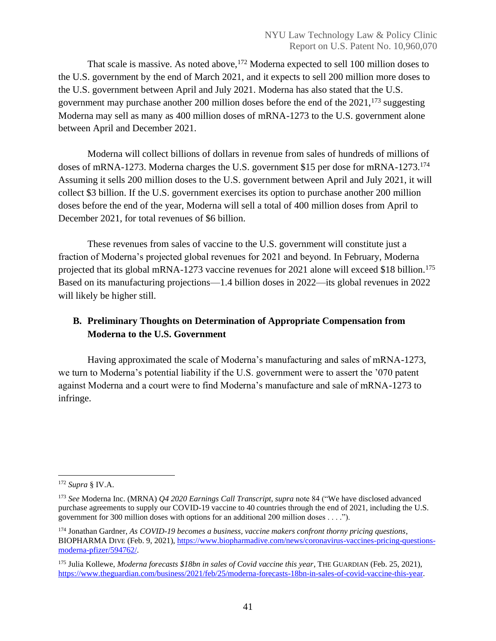That scale is massive. As noted above, <sup>172</sup> Moderna expected to sell 100 million doses to the U.S. government by the end of March 2021, and it expects to sell 200 million more doses to the U.S. government between April and July 2021. Moderna has also stated that the U.S. government may purchase another 200 million doses before the end of the  $2021$ ,  $^{173}$  suggesting Moderna may sell as many as 400 million doses of mRNA-1273 to the U.S. government alone between April and December 2021.

Moderna will collect billions of dollars in revenue from sales of hundreds of millions of doses of mRNA-1273. Moderna charges the U.S. government \$15 per dose for mRNA-1273.<sup>174</sup> Assuming it sells 200 million doses to the U.S. government between April and July 2021, it will collect \$3 billion. If the U.S. government exercises its option to purchase another 200 million doses before the end of the year, Moderna will sell a total of 400 million doses from April to December 2021, for total revenues of \$6 billion.

These revenues from sales of vaccine to the U.S. government will constitute just a fraction of Moderna's projected global revenues for 2021 and beyond. In February, Moderna projected that its global mRNA-1273 vaccine revenues for 2021 alone will exceed \$18 billion.<sup>175</sup> Based on its manufacturing projections—1.4 billion doses in 2022—its global revenues in 2022 will likely be higher still.

# <span id="page-41-0"></span>**B. Preliminary Thoughts on Determination of Appropriate Compensation from Moderna to the U.S. Government**

Having approximated the scale of Moderna's manufacturing and sales of mRNA-1273, we turn to Moderna's potential liability if the U.S. government were to assert the '070 patent against Moderna and a court were to find Moderna's manufacture and sale of mRNA-1273 to infringe.

<sup>172</sup> *Supra* § IV.A.

<sup>173</sup> *See* Moderna Inc. (MRNA) *Q4 2020 Earnings Call Transcript*, *supra* note 84 ("We have disclosed advanced purchase agreements to supply our COVID-19 vaccine to 40 countries through the end of 2021, including the U.S. government for 300 million doses with options for an additional 200 million doses . . . .").

<sup>174</sup> Jonathan Gardner, *As COVID-19 becomes a business, vaccine makers confront thorny pricing questions*, BIOPHARMA DIVE (Feb. 9, 2021)[, https://www.biopharmadive.com/news/coronavirus-vaccines-pricing-questions](https://www.biopharmadive.com/news/coronavirus-vaccines-pricing-questions-moderna-pfizer/594762/)[moderna-pfizer/594762/.](https://www.biopharmadive.com/news/coronavirus-vaccines-pricing-questions-moderna-pfizer/594762/)

<sup>175</sup> Julia Kollewe, *Moderna forecasts \$18bn in sales of Covid vaccine this year*, THE GUARDIAN (Feb. 25, 2021), [https://www.theguardian.com/business/2021/feb/25/moderna-forecasts-18bn-in-sales-of-covid-vaccine-this-year.](https://www.theguardian.com/business/2021/feb/25/moderna-forecasts-18bn-in-sales-of-covid-vaccine-this-year)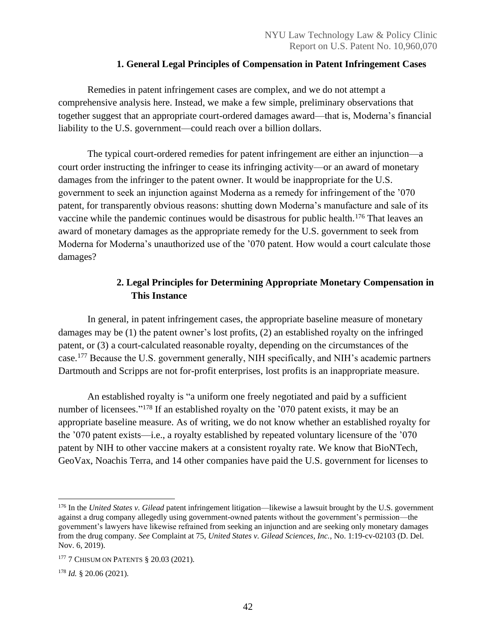## **1. General Legal Principles of Compensation in Patent Infringement Cases**

<span id="page-42-0"></span>Remedies in patent infringement cases are complex, and we do not attempt a comprehensive analysis here. Instead, we make a few simple, preliminary observations that together suggest that an appropriate court-ordered damages award—that is, Moderna's financial liability to the U.S. government—could reach over a billion dollars.

The typical court-ordered remedies for patent infringement are either an injunction—a court order instructing the infringer to cease its infringing activity—or an award of monetary damages from the infringer to the patent owner. It would be inappropriate for the U.S. government to seek an injunction against Moderna as a remedy for infringement of the '070 patent, for transparently obvious reasons: shutting down Moderna's manufacture and sale of its vaccine while the pandemic continues would be disastrous for public health.<sup>176</sup> That leaves an award of monetary damages as the appropriate remedy for the U.S. government to seek from Moderna for Moderna's unauthorized use of the '070 patent. How would a court calculate those damages?

# **2. Legal Principles for Determining Appropriate Monetary Compensation in This Instance**

<span id="page-42-1"></span>In general, in patent infringement cases, the appropriate baseline measure of monetary damages may be (1) the patent owner's lost profits, (2) an established royalty on the infringed patent, or (3) a court-calculated reasonable royalty, depending on the circumstances of the case.<sup>177</sup> Because the U.S. government generally, NIH specifically, and NIH's academic partners Dartmouth and Scripps are not for-profit enterprises, lost profits is an inappropriate measure.

An established royalty is "a uniform one freely negotiated and paid by a sufficient number of licensees."<sup>178</sup> If an established royalty on the '070 patent exists, it may be an appropriate baseline measure. As of writing, we do not know whether an established royalty for the '070 patent exists—i.e., a royalty established by repeated voluntary licensure of the '070 patent by NIH to other vaccine makers at a consistent royalty rate. We know that BioNTech, GeoVax, Noachis Terra, and 14 other companies have paid the U.S. government for licenses to

<sup>176</sup> In the *United States v. Gilead* patent infringement litigation—likewise a lawsuit brought by the U.S. government against a drug company allegedly using government-owned patents without the government's permission—the government's lawyers have likewise refrained from seeking an injunction and are seeking only monetary damages from the drug company. *See* Complaint at 75, *United States v. Gilead Sciences, Inc.*, No. 1:19-cv-02103 (D. Del. Nov. 6, 2019).

<sup>&</sup>lt;sup>177</sup> 7 CHISUM ON PATENTS § 20.03 (2021).

<sup>178</sup> *Id.* § 20.06 (2021).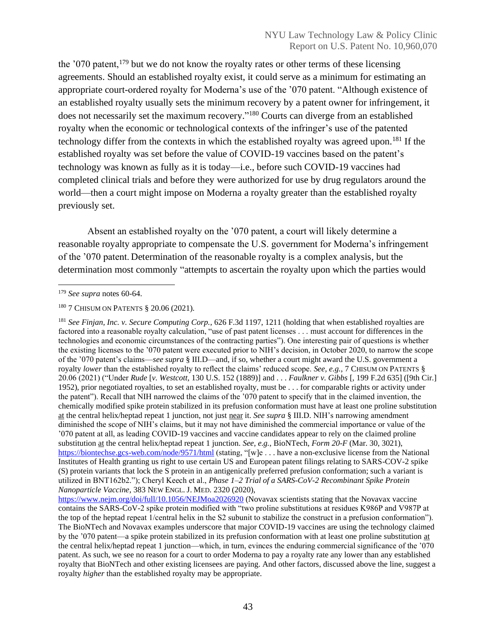the  $179$  patent,  $179$  but we do not know the royalty rates or other terms of these licensing agreements. Should an established royalty exist, it could serve as a minimum for estimating an appropriate court-ordered royalty for Moderna's use of the '070 patent. "Although existence of an established royalty usually sets the minimum recovery by a patent owner for infringement, it does not necessarily set the maximum recovery." <sup>180</sup> Courts can diverge from an established royalty when the economic or technological contexts of the infringer's use of the patented technology differ from the contexts in which the established royalty was agreed upon. <sup>181</sup> If the established royalty was set before the value of COVID-19 vaccines based on the patent's technology was known as fully as it is today—i.e., before such COVID-19 vaccines had completed clinical trials and before they were authorized for use by drug regulators around the world—then a court might impose on Moderna a royalty greater than the established royalty previously set.

Absent an established royalty on the '070 patent, a court will likely determine a reasonable royalty appropriate to compensate the U.S. government for Moderna's infringement of the '070 patent. Determination of the reasonable royalty is a complex analysis, but the determination most commonly "attempts to ascertain the royalty upon which the parties would

<sup>179</sup> *See supra* notes 60-64.

<sup>&</sup>lt;sup>180</sup> 7 CHISUM ON PATENTS § 20.06 (2021).

<sup>181</sup> *See Finjan, Inc. v. Secure Computing Corp.*, 626 F.3d 1197, 1211 (holding that when established royalties are factored into a reasonable royalty calculation, "use of past patent licenses . . . must account for differences in the technologies and economic circumstances of the contracting parties"). One interesting pair of questions is whether the existing licenses to the '070 patent were executed prior to NIH's decision, in October 2020, to narrow the scope of the '070 patent's claims—*see supra* § III.D—and, if so, whether a court might award the U.S. government a royalty *lower* than the established royalty to reflect the claims' reduced scope. *See, e.g.*, 7 CHISUM ON PATENTS § 20.06 (2021) ("Under *Rude* [*v. Westcott*, 130 U.S. 152 (1889)] and . . . *Faulkner v. Gibbs* [, 199 F.2d 635] ([9th Cir.] 1952), prior negotiated royalties, to set an established royalty, must be . . . for comparable rights or activity under the patent"). Recall that NIH narrowed the claims of the '070 patent to specify that in the claimed invention, the chemically modified spike protein stabilized in its prefusion conformation must have at least one proline substitution at the central helix/heptad repeat 1 junction, not just near it. *See supra* § III.D. NIH's narrowing amendment diminished the scope of NIH's claims, but it may not have diminished the commercial importance or value of the '070 patent at all, as leading COVID-19 vaccines and vaccine candidates appear to rely on the claimed proline substitution at the central helix/heptad repeat 1 junction. *See, e.g.*, BioNTech, *Form 20-F* (Mar. 30, 3021), <https://biontechse.gcs-web.com/node/9571/html> (stating, "[w]e ... have a non-exclusive license from the National Institutes of Health granting us right to use certain US and European patent filings relating to SARS-COV-2 spike (S) protein variants that lock the S protein in an antigenically preferred prefusion conformation; such a variant is utilized in BNT162b2."); Cheryl Keech et al., *Phase 1–2 Trial of a SARS-CoV-2 Recombinant Spike Protein Nanoparticle Vaccine*, 383 NEW ENGL. J. MED. 2320 (2020),

<https://www.nejm.org/doi/full/10.1056/NEJMoa2026920> (Novavax scientists stating that the Novavax vaccine contains the SARS-CoV-2 spike protein modified with "two proline substitutions at residues K986P and V987P at the top of the heptad repeat 1/central helix in the S2 subunit to stabilize the construct in a prefusion conformation"). The BioNTech and Novavax examples underscore that major COVID-19 vaccines are using the technology claimed by the '070 patent—a spike protein stabilized in its prefusion conformation with at least one proline substitution at the central helix/heptad repeat 1 junction—which, in turn, evinces the enduring commercial significance of the '070 patent. As such, we see no reason for a court to order Moderna to pay a royalty rate any lower than any established royalty that BioNTech and other existing licensees are paying. And other factors, discussed above the line, suggest a royalty *higher* than the established royalty may be appropriate.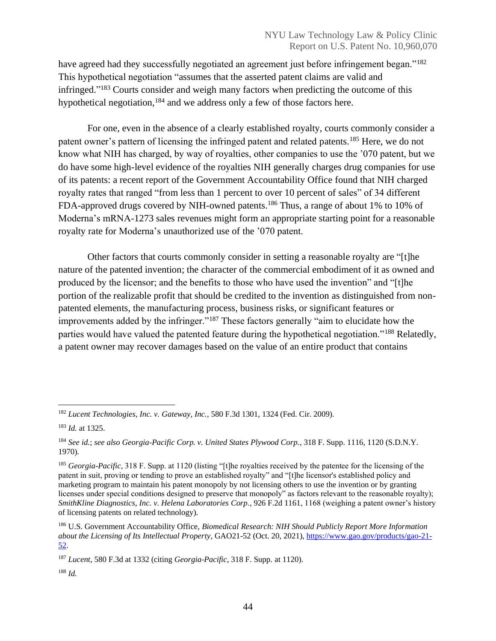have agreed had they successfully negotiated an agreement just before infringement began."<sup>182</sup> This hypothetical negotiation "assumes that the asserted patent claims are valid and infringed." <sup>183</sup> Courts consider and weigh many factors when predicting the outcome of this hypothetical negotiation,<sup>184</sup> and we address only a few of those factors here.

For one, even in the absence of a clearly established royalty, courts commonly consider a patent owner's pattern of licensing the infringed patent and related patents.<sup>185</sup> Here, we do not know what NIH has charged, by way of royalties, other companies to use the '070 patent, but we do have some high-level evidence of the royalties NIH generally charges drug companies for use of its patents: a recent report of the Government Accountability Office found that NIH charged royalty rates that ranged "from less than 1 percent to over 10 percent of sales" of 34 different FDA-approved drugs covered by NIH-owned patents.<sup>186</sup> Thus, a range of about 1% to 10% of Moderna's mRNA-1273 sales revenues might form an appropriate starting point for a reasonable royalty rate for Moderna's unauthorized use of the '070 patent.

Other factors that courts commonly consider in setting a reasonable royalty are "[t]he nature of the patented invention; the character of the commercial embodiment of it as owned and produced by the licensor; and the benefits to those who have used the invention" and "[t]he portion of the realizable profit that should be credited to the invention as distinguished from nonpatented elements, the manufacturing process, business risks, or significant features or improvements added by the infringer."<sup>187</sup> These factors generally "aim to elucidate how the parties would have valued the patented feature during the hypothetical negotiation."<sup>188</sup> Relatedly, a patent owner may recover damages based on the value of an entire product that contains

<sup>182</sup> *Lucent Technologies, Inc. v. Gateway, Inc.*, 580 F.3d 1301, 1324 (Fed. Cir. 2009).

<sup>183</sup> *Id.* at 1325.

<sup>184</sup> *See id.*; *see also Georgia-Pacific Corp. v. United States Plywood Corp.*, 318 F. Supp. 1116, 1120 (S.D.N.Y. 1970).

<sup>185</sup> *Georgia-Pacific*, 318 F. Supp. at 1120 (listing "[t]he royalties received by the patentee for the licensing of the patent in suit, proving or tending to prove an established royalty" and "[t]he licensor's established policy and marketing program to maintain his patent monopoly by not licensing others to use the invention or by granting licenses under special conditions designed to preserve that monopoly" as factors relevant to the reasonable royalty); *SmithKline Diagnostics, Inc. v. Helena Laboratories Corp.*, 926 F.2d 1161, 1168 (weighing a patent owner's history of licensing patents on related technology).

<sup>186</sup> U.S. Government Accountability Office, *Biomedical Research: NIH Should Publicly Report More Information about the Licensing of Its Intellectual Property*, GAO21-52 (Oct. 20, 2021), [https://www.gao.gov/products/gao-21-](https://www.gao.gov/products/gao-21-52) [52.](https://www.gao.gov/products/gao-21-52)

<sup>187</sup> *Lucent*, 580 F.3d at 1332 (citing *Georgia-Pacific*, 318 F. Supp. at 1120).

<sup>188</sup> *Id.*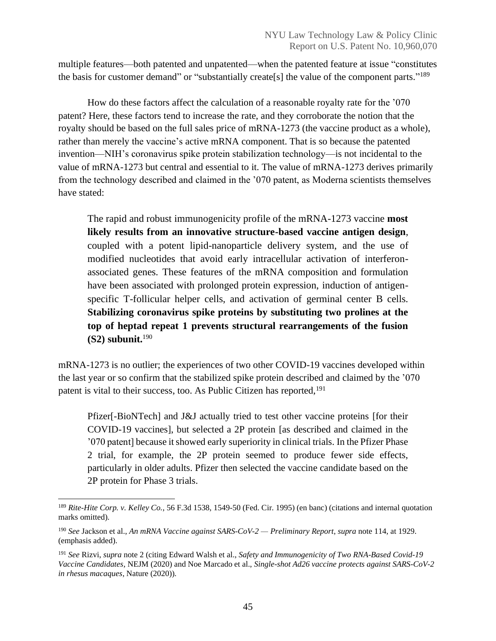multiple features—both patented and unpatented—when the patented feature at issue "constitutes the basis for customer demand" or "substantially create[s] the value of the component parts."<sup>189</sup>

How do these factors affect the calculation of a reasonable royalty rate for the '070 patent? Here, these factors tend to increase the rate, and they corroborate the notion that the royalty should be based on the full sales price of mRNA-1273 (the vaccine product as a whole), rather than merely the vaccine's active mRNA component. That is so because the patented invention—NIH's coronavirus spike protein stabilization technology—is not incidental to the value of mRNA-1273 but central and essential to it. The value of mRNA-1273 derives primarily from the technology described and claimed in the '070 patent, as Moderna scientists themselves have stated:

The rapid and robust immunogenicity profile of the mRNA-1273 vaccine **most likely results from an innovative structure-based vaccine antigen design**, coupled with a potent lipid-nanoparticle delivery system, and the use of modified nucleotides that avoid early intracellular activation of interferonassociated genes. These features of the mRNA composition and formulation have been associated with prolonged protein expression, induction of antigenspecific T-follicular helper cells, and activation of germinal center B cells. **Stabilizing coronavirus spike proteins by substituting two prolines at the top of heptad repeat 1 prevents structural rearrangements of the fusion (S2) subunit.**<sup>190</sup>

mRNA-1273 is no outlier; the experiences of two other COVID-19 vaccines developed within the last year or so confirm that the stabilized spike protein described and claimed by the '070 patent is vital to their success, too. As Public Citizen has reported,<sup>191</sup>

Pfizer[-BioNTech] and J&J actually tried to test other vaccine proteins [for their COVID-19 vaccines], but selected a 2P protein [as described and claimed in the '070 patent] because it showed early superiority in clinical trials. In the Pfizer Phase 2 trial, for example, the 2P protein seemed to produce fewer side effects, particularly in older adults. Pfizer then selected the vaccine candidate based on the 2P protein for Phase 3 trials.

<sup>189</sup> *Rite-Hite Corp. v. Kelley Co.*, 56 F.3d 1538, 1549-50 (Fed. Cir. 1995) (en banc) (citations and internal quotation marks omitted).

<sup>190</sup> *See* Jackson et al., *An mRNA Vaccine against SARS-CoV-2 — Preliminary Report*, *supra* note 114, at 1929. (emphasis added).

<sup>191</sup> *See* Rizvi, *supra* note 2 (citing Edward Walsh et al., *Safety and Immunogenicity of Two RNA-Based Covid-19 Vaccine Candidates*, NEJM (2020) and Noe Marcado et al., *Single-shot Ad26 vaccine protects against SARS-CoV-2 in rhesus macaques*, Nature (2020)).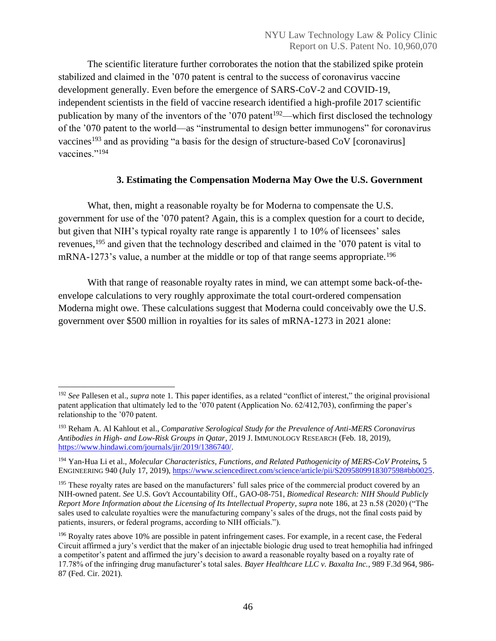The scientific literature further corroborates the notion that the stabilized spike protein stabilized and claimed in the '070 patent is central to the success of coronavirus vaccine development generally. Even before the emergence of SARS-CoV-2 and COVID-19, independent scientists in the field of vaccine research identified a high-profile 2017 scientific publication by many of the inventors of the '070 patent<sup>192</sup>—which first disclosed the technology of the '070 patent to the world—as "instrumental to design better immunogens" for coronavirus vaccines<sup>193</sup> and as providing "a basis for the design of structure-based CoV [coronavirus] vaccines."<sup>194</sup>

# **3. Estimating the Compensation Moderna May Owe the U.S. Government**

<span id="page-46-0"></span>What, then, might a reasonable royalty be for Moderna to compensate the U.S. government for use of the '070 patent? Again, this is a complex question for a court to decide, but given that NIH's typical royalty rate range is apparently 1 to 10% of licensees' sales revenues,<sup>195</sup> and given that the technology described and claimed in the '070 patent is vital to mRNA-1273's value, a number at the middle or top of that range seems appropriate.<sup>196</sup>

With that range of reasonable royalty rates in mind, we can attempt some back-of-theenvelope calculations to very roughly approximate the total court-ordered compensation Moderna might owe. These calculations suggest that Moderna could conceivably owe the U.S. government over \$500 million in royalties for its sales of mRNA-1273 in 2021 alone:

<sup>192</sup> *See* Pallesen et al., *supra* note 1. This paper identifies, as a related "conflict of interest," the original provisional patent application that ultimately led to the '070 patent (Application No. 62/412,703), confirming the paper's relationship to the '070 patent.

<sup>193</sup> Reham A. Al Kahlout et al., *Comparative Serological Study for the Prevalence of Anti-MERS Coronavirus Antibodies in High- and Low-Risk Groups in Qatar*, 2019 J. IMMUNOLOGY RESEARCH (Feb. 18, 2019), [https://www.hindawi.com/journals/jir/2019/1386740/.](https://www.hindawi.com/journals/jir/2019/1386740/)

<sup>194</sup> Yan-Hua Li et al., *Molecular Characteristics, Functions, and Related Pathogenicity of MERS-CoV Proteins,* 5 ENGINEERING 940 (July 17, 2019), [https://www.sciencedirect.com/science/article/pii/S2095809918307598#bb0025.](https://www.sciencedirect.com/science/article/pii/S2095809918307598#bb0025)

<sup>&</sup>lt;sup>195</sup> These royalty rates are based on the manufacturers' full sales price of the commercial product covered by an NIH-owned patent. *See* U.S. Gov't Accountability Off., GAO-08-751, *Biomedical Research: NIH Should Publicly Report More Information about the Licensing of Its Intellectual Property*, *supra* note 186, at 23 n.58 (2020) ("The sales used to calculate royalties were the manufacturing company's sales of the drugs, not the final costs paid by patients, insurers, or federal programs, according to NIH officials.").

<sup>&</sup>lt;sup>196</sup> Royalty rates above 10% are possible in patent infringement cases. For example, in a recent case, the Federal Circuit affirmed a jury's verdict that the maker of an injectable biologic drug used to treat hemophilia had infringed a competitor's patent and affirmed the jury's decision to award a reasonable royalty based on a royalty rate of 17.78% of the infringing drug manufacturer's total sales. *Bayer Healthcare LLC v. Baxalta Inc.*, 989 F.3d 964, 986- 87 (Fed. Cir. 2021).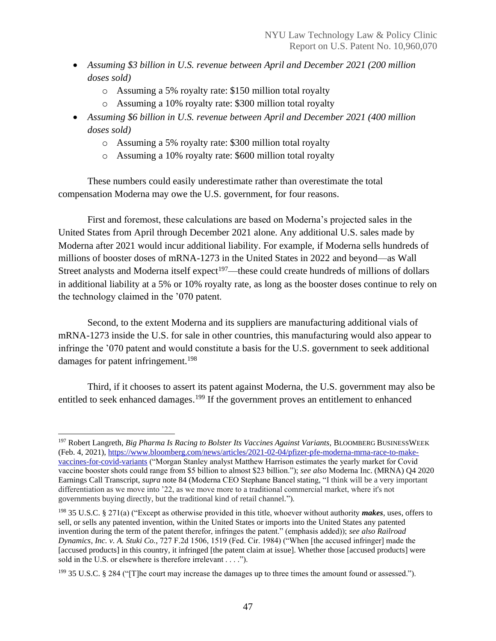- *Assuming \$3 billion in U.S. revenue between April and December 2021 (200 million doses sold)*
	- o Assuming a 5% royalty rate: \$150 million total royalty
	- o Assuming a 10% royalty rate: \$300 million total royalty
- *Assuming \$6 billion in U.S. revenue between April and December 2021 (400 million doses sold)*
	- o Assuming a 5% royalty rate: \$300 million total royalty
	- o Assuming a 10% royalty rate: \$600 million total royalty

These numbers could easily underestimate rather than overestimate the total compensation Moderna may owe the U.S. government, for four reasons.

First and foremost, these calculations are based on Moderna's projected sales in the United States from April through December 2021 alone. Any additional U.S. sales made by Moderna after 2021 would incur additional liability. For example, if Moderna sells hundreds of millions of booster doses of mRNA-1273 in the United States in 2022 and beyond—as Wall Street analysts and Moderna itself  $expect<sup>197</sup>$ —these could create hundreds of millions of dollars in additional liability at a 5% or 10% royalty rate, as long as the booster doses continue to rely on the technology claimed in the '070 patent.

Second, to the extent Moderna and its suppliers are manufacturing additional vials of mRNA-1273 inside the U.S. for sale in other countries, this manufacturing would also appear to infringe the '070 patent and would constitute a basis for the U.S. government to seek additional damages for patent infringement.<sup>198</sup>

Third, if it chooses to assert its patent against Moderna, the U.S. government may also be entitled to seek enhanced damages.<sup>199</sup> If the government proves an entitlement to enhanced

<sup>&</sup>lt;sup>197</sup> Robert Langreth, *Big Pharma Is Racing to Bolster Its Vaccines Against Variants*, BLOOMBERG BUSINESSWEEK (Feb. 4, 2021)[, https://www.bloomberg.com/news/articles/2021-02-04/pfizer-pfe-moderna-mrna-race-to-make](https://www.bloomberg.com/news/articles/2021-02-04/pfizer-pfe-moderna-mrna-race-to-make-vaccines-for-covid-variants)[vaccines-for-covid-variants](https://www.bloomberg.com/news/articles/2021-02-04/pfizer-pfe-moderna-mrna-race-to-make-vaccines-for-covid-variants) ("Morgan Stanley analyst Matthew Harrison estimates the yearly market for Covid vaccine booster shots could range from \$5 billion to almost \$23 billion."); *see also* Moderna Inc. (MRNA) Q4 2020 Earnings Call Transcript, *supra* note 84 (Moderna CEO Stephane Bancel stating, "I think will be a very important differentiation as we move into '22, as we move more to a traditional commercial market, where it's not governments buying directly, but the traditional kind of retail channel.").

<sup>198</sup> 35 U.S.C. § 271(a) ("Except as otherwise provided in this title, whoever without authority *makes*, uses, offers to sell, or sells any patented invention, within the United States or imports into the United States any patented invention during the term of the patent therefor, infringes the patent." (emphasis added)); *see also Railroad Dynamics, Inc. v. A. Stuki Co.*, 727 F.2d 1506, 1519 (Fed. Cir. 1984) ("When [the accused infringer] made the [accused products] in this country, it infringed [the patent claim at issue]. Whether those [accused products] were sold in the U.S. or elsewhere is therefore irrelevant . . . .").

 $199$  35 U.S.C. § 284 ("[T]he court may increase the damages up to three times the amount found or assessed.").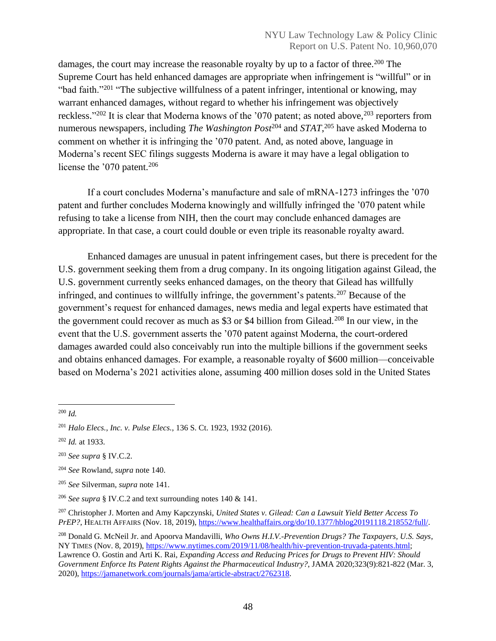damages, the court may increase the reasonable royalty by up to a factor of three.<sup>200</sup> The Supreme Court has held enhanced damages are appropriate when infringement is "willful" or in "bad faith."<sup>201</sup> "The subjective willfulness of a patent infringer, intentional or knowing, may warrant enhanced damages, without regard to whether his infringement was objectively reckless."<sup>202</sup> It is clear that Moderna knows of the '070 patent; as noted above,<sup>203</sup> reporters from numerous newspapers, including *The Washington Post*<sup>204</sup> and *STAT*, <sup>205</sup> have asked Moderna to comment on whether it is infringing the '070 patent. And, as noted above, language in Moderna's recent SEC filings suggests Moderna is aware it may have a legal obligation to license the '070 patent.<sup>206</sup>

If a court concludes Moderna's manufacture and sale of mRNA-1273 infringes the '070 patent and further concludes Moderna knowingly and willfully infringed the '070 patent while refusing to take a license from NIH, then the court may conclude enhanced damages are appropriate. In that case, a court could double or even triple its reasonable royalty award.

Enhanced damages are unusual in patent infringement cases, but there is precedent for the U.S. government seeking them from a drug company. In its ongoing litigation against Gilead, the U.S. government currently seeks enhanced damages, on the theory that Gilead has willfully infringed, and continues to willfully infringe, the government's patents.<sup>207</sup> Because of the government's request for enhanced damages, news media and legal experts have estimated that the government could recover as much as \$3 or \$4 billion from Gilead.<sup>208</sup> In our view, in the event that the U.S. government asserts the '070 patent against Moderna, the court-ordered damages awarded could also conceivably run into the multiple billions if the government seeks and obtains enhanced damages. For example, a reasonable royalty of \$600 million—conceivable based on Moderna's 2021 activities alone, assuming 400 million doses sold in the United States

<sup>200</sup> *Id.*

<sup>201</sup> *Halo Elecs., Inc. v. Pulse Elecs.*, 136 S. Ct. 1923, 1932 (2016).

<sup>202</sup> *Id.* at 1933.

<sup>203</sup> *See supra* § IV.C.2.

<sup>204</sup> *See* Rowland, *supra* note 140.

<sup>205</sup> *See* Silverman, *supra* note 141.

<sup>206</sup> *See supra* § IV.C.2 and text surrounding notes 140 & 141.

<sup>207</sup> Christopher J. Morten and Amy Kapczynski, *United States v. Gilead: Can a Lawsuit Yield Better Access To PrEP?*, HEALTH AFFAIRS (Nov. 18, 2019), [https://www.healthaffairs.org/do/10.1377/hblog20191118.218552/full/.](https://www.healthaffairs.org/do/10.1377/hblog20191118.218552/full/)

<sup>208</sup> Donald G. McNeil Jr. and Apoorva Mandavilli, *Who Owns H.I.V.-Prevention Drugs? The Taxpayers, U.S. Says*, NY TIMES (Nov. 8, 2019), [https://www.nytimes.com/2019/11/08/health/hiv-prevention-truvada-patents.html;](https://www.nytimes.com/2019/11/08/health/hiv-prevention-truvada-patents.html) Lawrence O. Gostin and Arti K. Rai, *Expanding Access and Reducing Prices for Drugs to Prevent HIV: Should Government Enforce Its Patent Rights Against the Pharmaceutical Industry?*, JAMA 2020;323(9):821-822 (Mar. 3, 2020), [https://jamanetwork.com/journals/jama/article-abstract/2762318.](https://jamanetwork.com/journals/jama/article-abstract/2762318)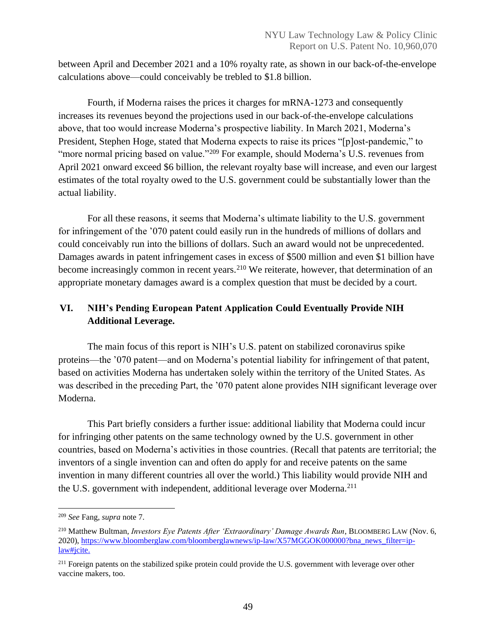between April and December 2021 and a 10% royalty rate, as shown in our back-of-the-envelope calculations above—could conceivably be trebled to \$1.8 billion.

Fourth, if Moderna raises the prices it charges for mRNA-1273 and consequently increases its revenues beyond the projections used in our back-of-the-envelope calculations above, that too would increase Moderna's prospective liability. In March 2021, Moderna's President, Stephen Hoge, stated that Moderna expects to raise its prices "[p]ost-pandemic," to "more normal pricing based on value."<sup>209</sup> For example, should Moderna's U.S. revenues from April 2021 onward exceed \$6 billion, the relevant royalty base will increase, and even our largest estimates of the total royalty owed to the U.S. government could be substantially lower than the actual liability.

For all these reasons, it seems that Moderna's ultimate liability to the U.S. government for infringement of the '070 patent could easily run in the hundreds of millions of dollars and could conceivably run into the billions of dollars. Such an award would not be unprecedented. Damages awards in patent infringement cases in excess of \$500 million and even \$1 billion have become increasingly common in recent years.<sup>210</sup> We reiterate, however, that determination of an appropriate monetary damages award is a complex question that must be decided by a court.

# <span id="page-49-0"></span>**VI. NIH's Pending European Patent Application Could Eventually Provide NIH Additional Leverage.**

The main focus of this report is NIH's U.S. patent on stabilized coronavirus spike proteins—the '070 patent—and on Moderna's potential liability for infringement of that patent, based on activities Moderna has undertaken solely within the territory of the United States. As was described in the preceding Part, the '070 patent alone provides NIH significant leverage over Moderna.

This Part briefly considers a further issue: additional liability that Moderna could incur for infringing other patents on the same technology owned by the U.S. government in other countries, based on Moderna's activities in those countries. (Recall that patents are territorial; the inventors of a single invention can and often do apply for and receive patents on the same invention in many different countries all over the world.) This liability would provide NIH and the U.S. government with independent, additional leverage over Moderna.<sup>211</sup>

<sup>209</sup> *See* Fang, *supra* note 7.

<sup>210</sup> Matthew Bultman, *Investors Eye Patents After 'Extraordinary' Damage Awards Run*, BLOOMBERG LAW (Nov. 6, 2020), [https://www.bloomberglaw.com/bloomberglawnews/ip-law/X57MGGOK000000?bna\\_news\\_filter=ip](https://www.bloomberglaw.com/bloomberglawnews/ip-law/X57MGGOK000000?bna_news_filter=ip-law#jcite)[law#jcite.](https://www.bloomberglaw.com/bloomberglawnews/ip-law/X57MGGOK000000?bna_news_filter=ip-law#jcite)

<sup>&</sup>lt;sup>211</sup> Foreign patents on the stabilized spike protein could provide the U.S. government with leverage over other vaccine makers, too.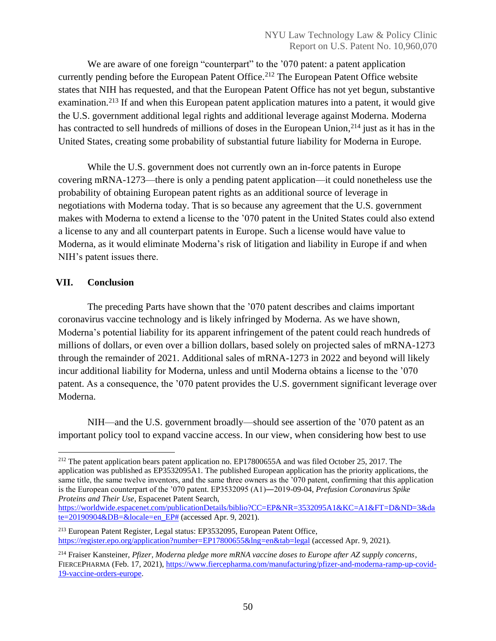We are aware of one foreign "counterpart" to the '070 patent: a patent application currently pending before the European Patent Office. <sup>212</sup> The European Patent Office website states that NIH has requested, and that the European Patent Office has not yet begun, substantive examination.<sup>213</sup> If and when this European patent application matures into a patent, it would give the U.S. government additional legal rights and additional leverage against Moderna. Moderna has contracted to sell hundreds of millions of doses in the European Union, <sup>214</sup> just as it has in the United States, creating some probability of substantial future liability for Moderna in Europe.

While the U.S. government does not currently own an in-force patents in Europe covering mRNA-1273—there is only a pending patent application—it could nonetheless use the probability of obtaining European patent rights as an additional source of leverage in negotiations with Moderna today. That is so because any agreement that the U.S. government makes with Moderna to extend a license to the '070 patent in the United States could also extend a license to any and all counterpart patents in Europe. Such a license would have value to Moderna, as it would eliminate Moderna's risk of litigation and liability in Europe if and when NIH's patent issues there.

# <span id="page-50-0"></span>**VII. Conclusion**

The preceding Parts have shown that the '070 patent describes and claims important coronavirus vaccine technology and is likely infringed by Moderna. As we have shown, Moderna's potential liability for its apparent infringement of the patent could reach hundreds of millions of dollars, or even over a billion dollars, based solely on projected sales of mRNA-1273 through the remainder of 2021. Additional sales of mRNA-1273 in 2022 and beyond will likely incur additional liability for Moderna, unless and until Moderna obtains a license to the '070 patent. As a consequence, the '070 patent provides the U.S. government significant leverage over Moderna.

NIH—and the U.S. government broadly—should see assertion of the '070 patent as an important policy tool to expand vaccine access. In our view, when considering how best to use

<sup>&</sup>lt;sup>212</sup> The patent application bears patent application no. EP17800655A and was filed October 25, 2017. The application was published as EP3532095A1. The published European application has the priority applications, the same title, the same twelve inventors, and the same three owners as the '070 patent, confirming that this application is the European counterpart of the '070 patent. EP3532095 (A1)―2019-09-04, *Prefusion Coronavirus Spike Proteins and Their Use*, Espacenet Patent Search,

[https://worldwide.espacenet.com/publicationDetails/biblio?CC=EP&NR=3532095A1&KC=A1&FT=D&ND=3&da](https://worldwide.espacenet.com/publicationDetails/biblio?CC=EP&NR=3532095A1&KC=A1&FT=D&ND=3&date=20190904&DB=&locale=en_EP)  $t = 20190904 \& DB = \& located = en\_EP\# (accessed Apr. 9, 2021).$ 

<sup>213</sup> European Patent Register, Legal status: EP3532095, European Patent Office, <https://register.epo.org/application?number=EP17800655&lng=en&tab=legal> (accessed Apr. 9, 2021).

<sup>214</sup> Fraiser Kansteiner, *Pfizer, Moderna pledge more mRNA vaccine doses to Europe after AZ supply concerns*, FIERCEPHARMA (Feb. 17, 2021), [https://www.fiercepharma.com/manufacturing/pfizer-and-moderna-ramp-up-covid-](https://www.fiercepharma.com/manufacturing/pfizer-and-moderna-ramp-up-covid-19-vaccine-orders-europe)[19-vaccine-orders-europe.](https://www.fiercepharma.com/manufacturing/pfizer-and-moderna-ramp-up-covid-19-vaccine-orders-europe)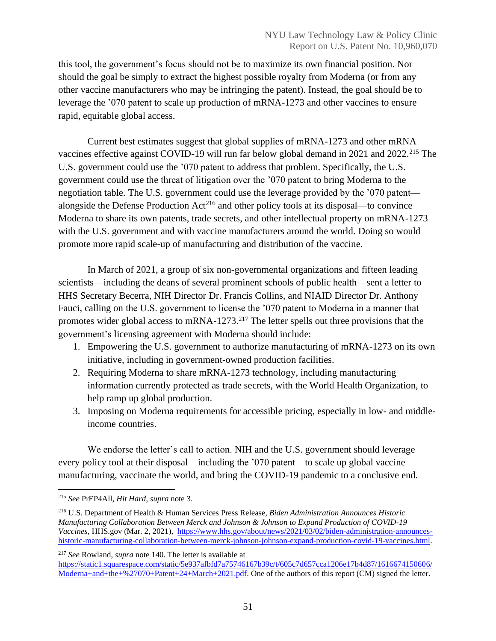this tool, the government's focus should not be to maximize its own financial position. Nor should the goal be simply to extract the highest possible royalty from Moderna (or from any other vaccine manufacturers who may be infringing the patent). Instead, the goal should be to leverage the '070 patent to scale up production of mRNA-1273 and other vaccines to ensure rapid, equitable global access.

Current best estimates suggest that global supplies of mRNA-1273 and other mRNA vaccines effective against COVID-19 will run far below global demand in 2021 and 2022.<sup>215</sup> The U.S. government could use the '070 patent to address that problem. Specifically, the U.S. government could use the threat of litigation over the '070 patent to bring Moderna to the negotiation table. The U.S. government could use the leverage provided by the '070 patent alongside the Defense Production  $Act^{216}$  and other policy tools at its disposal—to convince Moderna to share its own patents, trade secrets, and other intellectual property on mRNA-1273 with the U.S. government and with vaccine manufacturers around the world. Doing so would promote more rapid scale-up of manufacturing and distribution of the vaccine.

In March of 2021, a group of six non-governmental organizations and fifteen leading scientists—including the deans of several prominent schools of public health—sent a letter to HHS Secretary Becerra, NIH Director Dr. Francis Collins, and NIAID Director Dr. Anthony Fauci, calling on the U.S. government to license the '070 patent to Moderna in a manner that promotes wider global access to mRNA-1273.<sup>217</sup> The letter spells out three provisions that the government's licensing agreement with Moderna should include:

- 1. Empowering the U.S. government to authorize manufacturing of mRNA-1273 on its own initiative, including in government-owned production facilities.
- 2. Requiring Moderna to share mRNA-1273 technology, including manufacturing information currently protected as trade secrets, with the World Health Organization, to help ramp up global production.
- 3. Imposing on Moderna requirements for accessible pricing, especially in low- and middleincome countries.

We endorse the letter's call to action. NIH and the U.S. government should leverage every policy tool at their disposal—including the '070 patent—to scale up global vaccine manufacturing, vaccinate the world, and bring the COVID-19 pandemic to a conclusive end.

<sup>217</sup> *See* Rowland, *supra* note 140. The letter is available at

[https://static1.squarespace.com/static/5e937afbfd7a75746167b39c/t/605c7d657cca1206e17b4d87/1616674150606/](https://static1.squarespace.com/static/5e937afbfd7a75746167b39c/t/605c7d657cca1206e17b4d87/1616674150606/Moderna+and+the+%27070+Patent+24+March+2021.pdf) [Moderna+and+the+%27070+Patent+24+March+2021.pdf.](https://static1.squarespace.com/static/5e937afbfd7a75746167b39c/t/605c7d657cca1206e17b4d87/1616674150606/Moderna+and+the+%27070+Patent+24+March+2021.pdf) One of the authors of this report (CM) signed the letter.

<sup>215</sup> *See* PrEP4All, *Hit Hard*, *supra* note 3.

<sup>216</sup> U.S. Department of Health & Human Services Press Release, *Biden Administration Announces Historic Manufacturing Collaboration Between Merck and Johnson & Johnson to Expand Production of COVID-19 Vaccines*, HHS.gov (Mar. 2, 2021), [https://www.hhs.gov/about/news/2021/03/02/biden-administration-announces](https://www.hhs.gov/about/news/2021/03/02/biden-administration-announces-historic-manufacturing-collaboration-between-merck-johnson-johnson-expand-production-covid-19-vaccines.html)[historic-manufacturing-collaboration-between-merck-johnson-johnson-expand-production-covid-19-vaccines.html.](https://www.hhs.gov/about/news/2021/03/02/biden-administration-announces-historic-manufacturing-collaboration-between-merck-johnson-johnson-expand-production-covid-19-vaccines.html)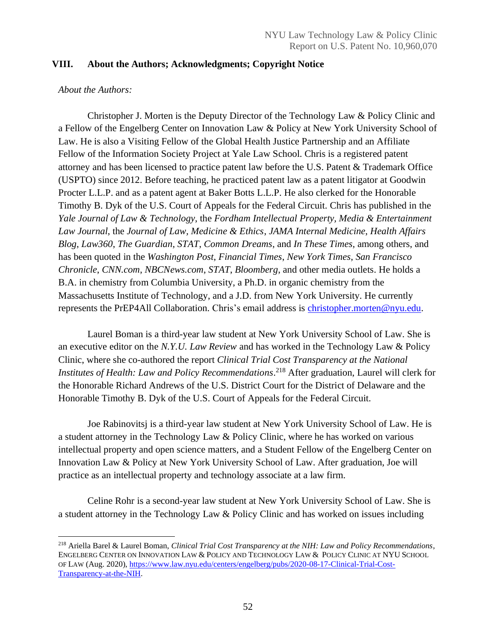# <span id="page-52-0"></span>**VIII. About the Authors; Acknowledgments; Copyright Notice**

#### *About the Authors:*

Christopher J. Morten is the Deputy Director of the Technology Law & Policy Clinic and a Fellow of the Engelberg Center on Innovation Law & Policy at New York University School of Law. He is also a Visiting Fellow of the Global Health Justice Partnership and an Affiliate Fellow of the Information Society Project at Yale Law School. Chris is a registered patent attorney and has been licensed to practice patent law before the U.S. Patent & Trademark Office (USPTO) since 2012. Before teaching, he practiced patent law as a patent litigator at Goodwin Procter L.L.P. and as a patent agent at Baker Botts L.L.P. He also clerked for the Honorable Timothy B. Dyk of the U.S. Court of Appeals for the Federal Circuit. Chris has published in the *Yale Journal of Law & Technology*, the *Fordham Intellectual Property, Media & Entertainment Law Journal*, the *Journal of Law, Medicine & Ethics*, *JAMA Internal Medicine*, *Health Affairs Blog*, *Law360*, *The Guardian*, *STAT*, *Common Dreams*, and *In These Times*, among others, and has been quoted in the *Washington Post*, *Financial Times*, *New York Times*, *San Francisco Chronicle*, *CNN.com*, *NBCNews.com*, *STAT*, *Bloomberg*, and other media outlets. He holds a B.A. in chemistry from Columbia University, a Ph.D. in organic chemistry from the Massachusetts Institute of Technology, and a J.D. from New York University. He currently represents the PrEP4All Collaboration. Chris's email address is [christopher.morten@nyu.edu.](mailto:christopher.morten@nyu.edu)

Laurel Boman is a third-year law student at New York University School of Law. She is an executive editor on the *N.Y.U. Law Review* and has worked in the Technology Law & Policy Clinic, where she co-authored the report *Clinical Trial Cost Transparency at the National Institutes of Health: Law and Policy Recommendations*. <sup>218</sup> After graduation, Laurel will clerk for the Honorable Richard Andrews of the U.S. District Court for the District of Delaware and the Honorable Timothy B. Dyk of the U.S. Court of Appeals for the Federal Circuit.

Joe Rabinovitsj is a third-year law student at New York University School of Law. He is a student attorney in the Technology Law & Policy Clinic, where he has worked on various intellectual property and open science matters, and a Student Fellow of the Engelberg Center on Innovation Law & Policy at New York University School of Law. After graduation, Joe will practice as an intellectual property and technology associate at a law firm.

Celine Rohr is a second-year law student at New York University School of Law. She is a student attorney in the Technology Law & Policy Clinic and has worked on issues including

<sup>218</sup> Ariella Barel & Laurel Boman, *Clinical Trial Cost Transparency at the NIH: Law and Policy Recommendations*, ENGELBERG CENTER ON INNOVATION LAW & POLICY AND TECHNOLOGY LAW & POLICY CLINIC AT NYU SCHOOL OF LAW (Aug. 2020), [https://www.law.nyu.edu/centers/engelberg/pubs/2020-08-17-Clinical-Trial-Cost-](https://www.law.nyu.edu/centers/engelberg/pubs/2020-08-17-Clinical-Trial-Cost-Transparency-at-the-NIH)[Transparency-at-the-NIH.](https://www.law.nyu.edu/centers/engelberg/pubs/2020-08-17-Clinical-Trial-Cost-Transparency-at-the-NIH)